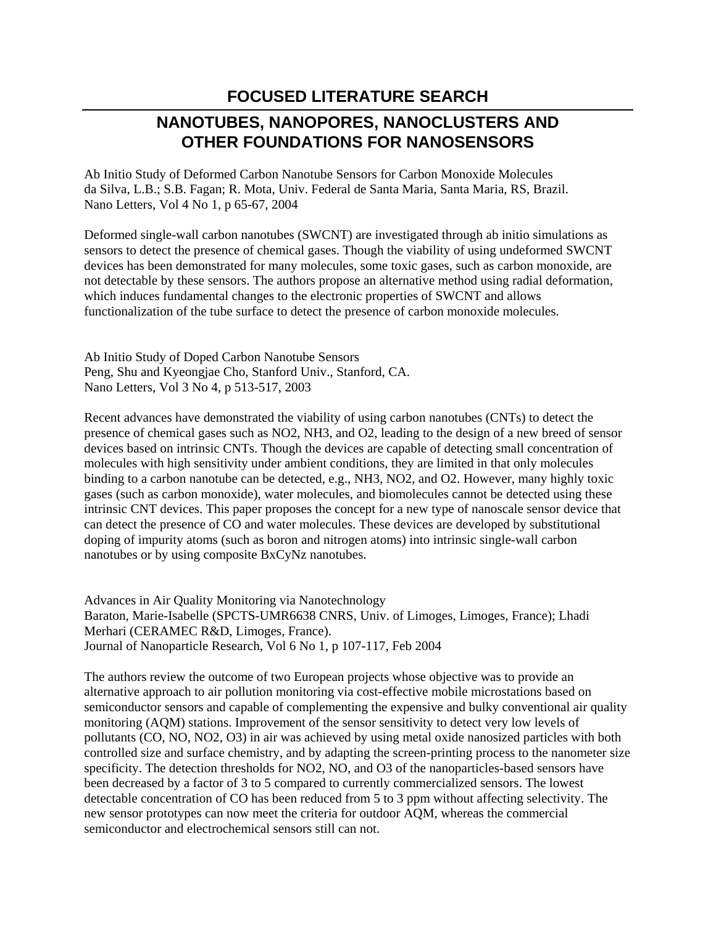## **FOCUSED LITERATURE SEARCH**

## **NANOTUBES, NANOPORES, NANOCLUSTERS AND OTHER FOUNDATIONS FOR NANOSENSORS**

Ab Initio Study of Deformed Carbon Nanotube Sensors for Carbon Monoxide Molecules da Silva, L.B.; S.B. Fagan; R. Mota, Univ. Federal de Santa Maria, Santa Maria, RS, Brazil. Nano Letters, Vol 4 No 1, p 65-67, 2004

Deformed single-wall carbon nanotubes (SWCNT) are investigated through ab initio simulations as sensors to detect the presence of chemical gases. Though the viability of using undeformed SWCNT devices has been demonstrated for many molecules, some toxic gases, such as carbon monoxide, are not detectable by these sensors. The authors propose an alternative method using radial deformation, which induces fundamental changes to the electronic properties of SWCNT and allows functionalization of the tube surface to detect the presence of carbon monoxide molecules.

Ab Initio Study of Doped Carbon Nanotube Sensors Peng, Shu and Kyeongjae Cho, Stanford Univ., Stanford, CA. Nano Letters, Vol 3 No 4, p 513-517, 2003

Recent advances have demonstrated the viability of using carbon nanotubes (CNTs) to detect the presence of chemical gases such as NO2, NH3, and O2, leading to the design of a new breed of sensor devices based on intrinsic CNTs. Though the devices are capable of detecting small concentration of molecules with high sensitivity under ambient conditions, they are limited in that only molecules binding to a carbon nanotube can be detected, e.g., NH3, NO2, and O2. However, many highly toxic gases (such as carbon monoxide), water molecules, and biomolecules cannot be detected using these intrinsic CNT devices. This paper proposes the concept for a new type of nanoscale sensor device that can detect the presence of CO and water molecules. These devices are developed by substitutional doping of impurity atoms (such as boron and nitrogen atoms) into intrinsic single-wall carbon nanotubes or by using composite BxCyNz nanotubes.

Advances in Air Quality Monitoring via Nanotechnology Baraton, Marie-Isabelle (SPCTS-UMR6638 CNRS, Univ. of Limoges, Limoges, France); Lhadi Merhari (CERAMEC R&D, Limoges, France). Journal of Nanoparticle Research, Vol 6 No 1, p 107-117, Feb 2004

The authors review the outcome of two European projects whose objective was to provide an alternative approach to air pollution monitoring via cost-effective mobile microstations based on semiconductor sensors and capable of complementing the expensive and bulky conventional air quality monitoring (AQM) stations. Improvement of the sensor sensitivity to detect very low levels of pollutants (CO, NO, NO2, O3) in air was achieved by using metal oxide nanosized particles with both controlled size and surface chemistry, and by adapting the screen-printing process to the nanometer size specificity. The detection thresholds for NO2, NO, and O3 of the nanoparticles-based sensors have been decreased by a factor of 3 to 5 compared to currently commercialized sensors. The lowest detectable concentration of CO has been reduced from 5 to 3 ppm without affecting selectivity. The new sensor prototypes can now meet the criteria for outdoor AQM, whereas the commercial semiconductor and electrochemical sensors still can not.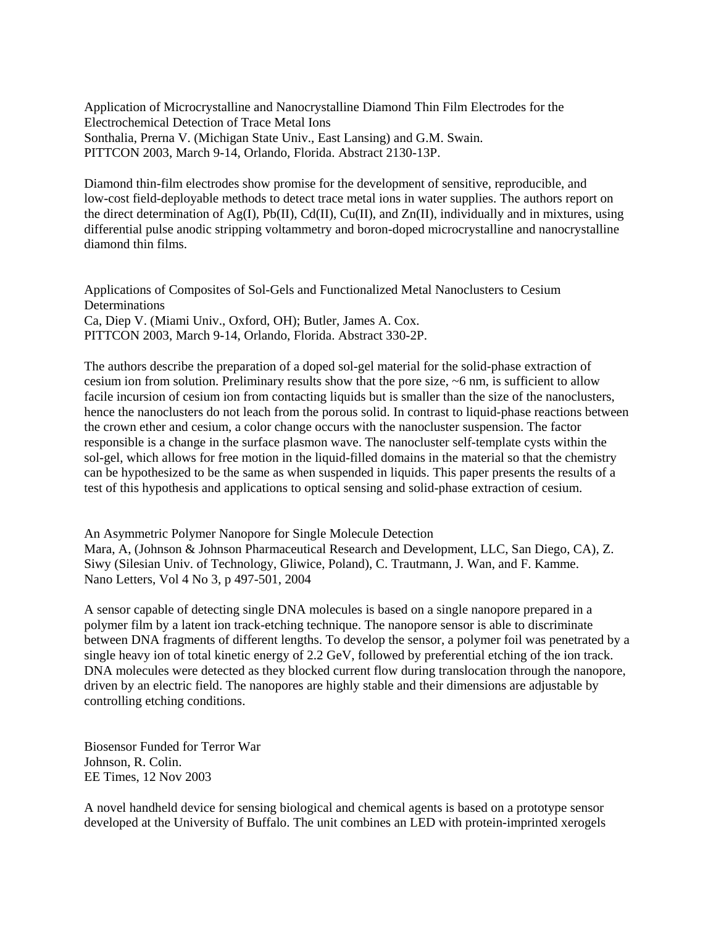Application of Microcrystalline and Nanocrystalline Diamond Thin Film Electrodes for the Electrochemical Detection of Trace Metal Ions Sonthalia, Prerna V. (Michigan State Univ., East Lansing) and G.M. Swain. PITTCON 2003, March 9-14, Orlando, Florida. Abstract 2130-13P.

Diamond thin-film electrodes show promise for the development of sensitive, reproducible, and low-cost field-deployable methods to detect trace metal ions in water supplies. The authors report on the direct determination of Ag(I), Pb(II), Cd(II), Cu(II), and Zn(II), individually and in mixtures, using differential pulse anodic stripping voltammetry and boron-doped microcrystalline and nanocrystalline diamond thin films.

Applications of Composites of Sol-Gels and Functionalized Metal Nanoclusters to Cesium Determinations Ca, Diep V. (Miami Univ., Oxford, OH); Butler, James A. Cox. PITTCON 2003, March 9-14, Orlando, Florida. Abstract 330-2P.

The authors describe the preparation of a doped sol-gel material for the solid-phase extraction of cesium ion from solution. Preliminary results show that the pore size, ~6 nm, is sufficient to allow facile incursion of cesium ion from contacting liquids but is smaller than the size of the nanoclusters, hence the nanoclusters do not leach from the porous solid. In contrast to liquid-phase reactions between the crown ether and cesium, a color change occurs with the nanocluster suspension. The factor responsible is a change in the surface plasmon wave. The nanocluster self-template cysts within the sol-gel, which allows for free motion in the liquid-filled domains in the material so that the chemistry can be hypothesized to be the same as when suspended in liquids. This paper presents the results of a test of this hypothesis and applications to optical sensing and solid-phase extraction of cesium.

An Asymmetric Polymer Nanopore for Single Molecule Detection

Mara, A, (Johnson & Johnson Pharmaceutical Research and Development, LLC, San Diego, CA), Z. Siwy (Silesian Univ. of Technology, Gliwice, Poland), C. Trautmann, J. Wan, and F. Kamme. Nano Letters, Vol 4 No 3, p 497-501, 2004

A sensor capable of detecting single DNA molecules is based on a single nanopore prepared in a polymer film by a latent ion track-etching technique. The nanopore sensor is able to discriminate between DNA fragments of different lengths. To develop the sensor, a polymer foil was penetrated by a single heavy ion of total kinetic energy of 2.2 GeV, followed by preferential etching of the ion track. DNA molecules were detected as they blocked current flow during translocation through the nanopore, driven by an electric field. The nanopores are highly stable and their dimensions are adjustable by controlling etching conditions.

Biosensor Funded for Terror War Johnson, R. Colin. EE Times, 12 Nov 2003

A novel handheld device for sensing biological and chemical agents is based on a prototype sensor developed at the University of Buffalo. The unit combines an LED with protein-imprinted xerogels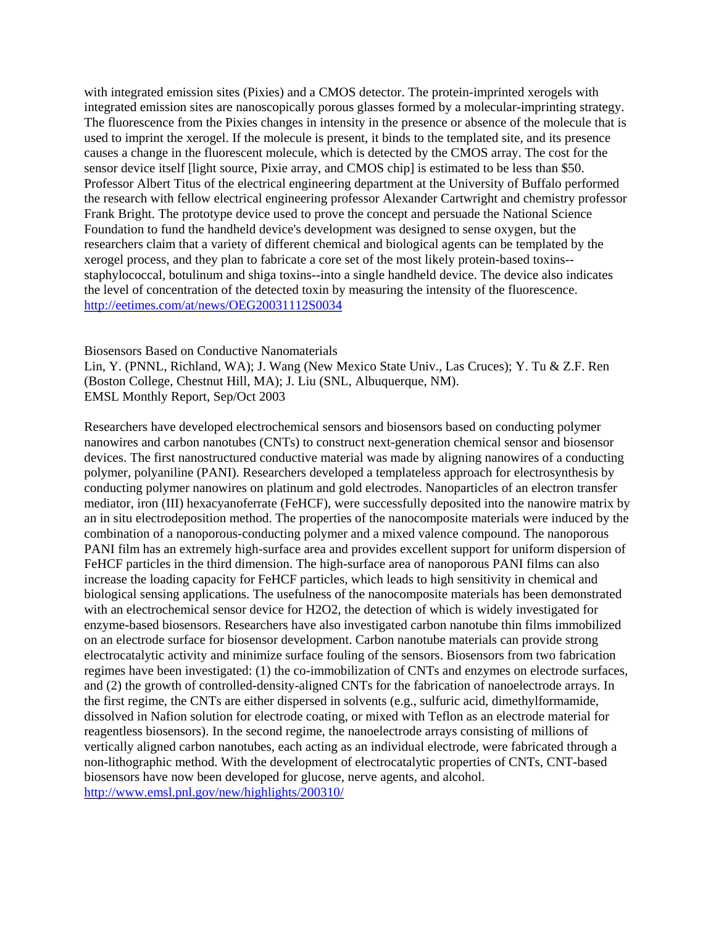with integrated emission sites (Pixies) and a CMOS detector. The protein-imprinted xerogels with integrated emission sites are nanoscopically porous glasses formed by a molecular-imprinting strategy. The fluorescence from the Pixies changes in intensity in the presence or absence of the molecule that is used to imprint the xerogel. If the molecule is present, it binds to the templated site, and its presence causes a change in the fluorescent molecule, which is detected by the CMOS array. The cost for the sensor device itself [light source, Pixie array, and CMOS chip] is estimated to be less than \$50. Professor Albert Titus of the electrical engineering department at the University of Buffalo performed the research with fellow electrical engineering professor Alexander Cartwright and chemistry professor Frank Bright. The prototype device used to prove the concept and persuade the National Science Foundation to fund the handheld device's development was designed to sense oxygen, but the researchers claim that a variety of different chemical and biological agents can be templated by the xerogel process, and they plan to fabricate a core set of the most likely protein-based toxins- staphylococcal, botulinum and shiga toxins--into a single handheld device. The device also indicates the level of concentration of the detected toxin by measuring the intensity of the fluorescence. <http://eetimes.com/at/news/OEG20031112S0034>

Biosensors Based on Conductive Nanomaterials

Lin, Y. (PNNL, Richland, WA); J. Wang (New Mexico State Univ., Las Cruces); Y. Tu & Z.F. Ren (Boston College, Chestnut Hill, MA); J. Liu (SNL, Albuquerque, NM). EMSL Monthly Report, Sep/Oct 2003

Researchers have developed electrochemical sensors and biosensors based on conducting polymer nanowires and carbon nanotubes (CNTs) to construct next-generation chemical sensor and biosensor devices. The first nanostructured conductive material was made by aligning nanowires of a conducting polymer, polyaniline (PANI). Researchers developed a templateless approach for electrosynthesis by conducting polymer nanowires on platinum and gold electrodes. Nanoparticles of an electron transfer mediator, iron (III) hexacyanoferrate (FeHCF), were successfully deposited into the nanowire matrix by an in situ electrodeposition method. The properties of the nanocomposite materials were induced by the combination of a nanoporous-conducting polymer and a mixed valence compound. The nanoporous PANI film has an extremely high-surface area and provides excellent support for uniform dispersion of FeHCF particles in the third dimension. The high-surface area of nanoporous PANI films can also increase the loading capacity for FeHCF particles, which leads to high sensitivity in chemical and biological sensing applications. The usefulness of the nanocomposite materials has been demonstrated with an electrochemical sensor device for H2O2, the detection of which is widely investigated for enzyme-based biosensors. Researchers have also investigated carbon nanotube thin films immobilized on an electrode surface for biosensor development. Carbon nanotube materials can provide strong electrocatalytic activity and minimize surface fouling of the sensors. Biosensors from two fabrication regimes have been investigated: (1) the co-immobilization of CNTs and enzymes on electrode surfaces, and (2) the growth of controlled-density-aligned CNTs for the fabrication of nanoelectrode arrays. In the first regime, the CNTs are either dispersed in solvents (e.g., sulfuric acid, dimethylformamide, dissolved in Nafion solution for electrode coating, or mixed with Teflon as an electrode material for reagentless biosensors). In the second regime, the nanoelectrode arrays consisting of millions of vertically aligned carbon nanotubes, each acting as an individual electrode, were fabricated through a non-lithographic method. With the development of electrocatalytic properties of CNTs, CNT-based biosensors have now been developed for glucose, nerve agents, and alcohol. <http://www.emsl.pnl.gov/new/highlights/200310/>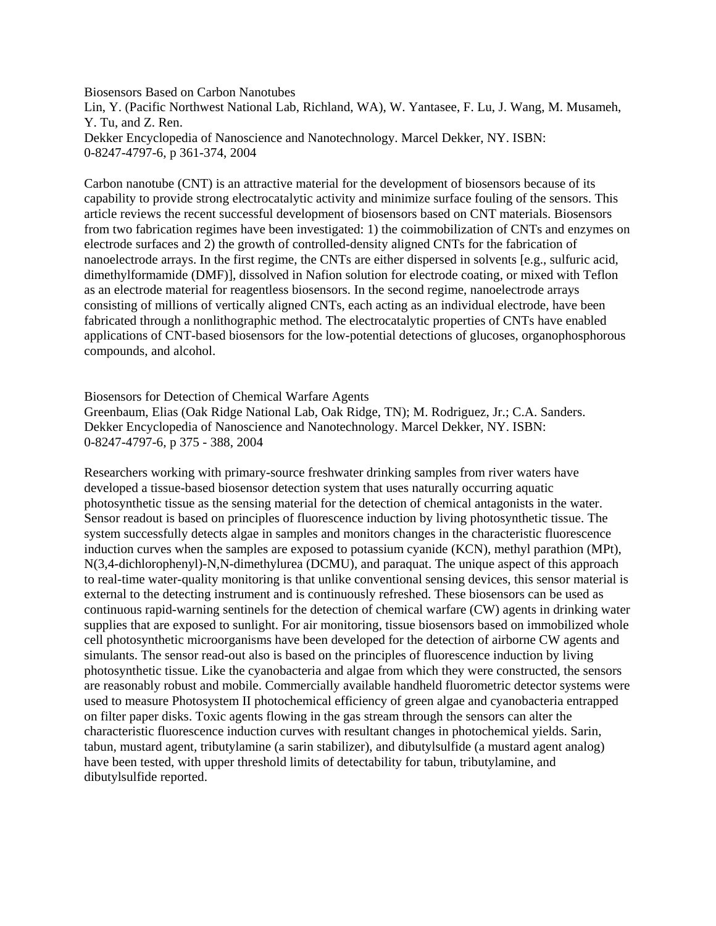Biosensors Based on Carbon Nanotubes Lin, Y. (Pacific Northwest National Lab, Richland, WA), W. Yantasee, F. Lu, J. Wang, M. Musameh, Y. Tu, and Z. Ren. Dekker Encyclopedia of Nanoscience and Nanotechnology. Marcel Dekker, NY. ISBN: 0-8247-4797-6, p 361-374, 2004

Carbon nanotube (CNT) is an attractive material for the development of biosensors because of its capability to provide strong electrocatalytic activity and minimize surface fouling of the sensors. This article reviews the recent successful development of biosensors based on CNT materials. Biosensors from two fabrication regimes have been investigated: 1) the coimmobilization of CNTs and enzymes on electrode surfaces and 2) the growth of controlled-density aligned CNTs for the fabrication of nanoelectrode arrays. In the first regime, the CNTs are either dispersed in solvents [e.g., sulfuric acid, dimethylformamide (DMF)], dissolved in Nafion solution for electrode coating, or mixed with Teflon as an electrode material for reagentless biosensors. In the second regime, nanoelectrode arrays consisting of millions of vertically aligned CNTs, each acting as an individual electrode, have been fabricated through a nonlithographic method. The electrocatalytic properties of CNTs have enabled applications of CNT-based biosensors for the low-potential detections of glucoses, organophosphorous compounds, and alcohol.

Biosensors for Detection of Chemical Warfare Agents Greenbaum, Elias (Oak Ridge National Lab, Oak Ridge, TN); M. Rodriguez, Jr.; C.A. Sanders. Dekker Encyclopedia of Nanoscience and Nanotechnology. Marcel Dekker, NY. ISBN: 0-8247-4797-6, p 375 - 388, 2004

Researchers working with primary-source freshwater drinking samples from river waters have developed a tissue-based biosensor detection system that uses naturally occurring aquatic photosynthetic tissue as the sensing material for the detection of chemical antagonists in the water. Sensor readout is based on principles of fluorescence induction by living photosynthetic tissue. The system successfully detects algae in samples and monitors changes in the characteristic fluorescence induction curves when the samples are exposed to potassium cyanide (KCN), methyl parathion (MPt), N(3,4-dichlorophenyl)-N,N-dimethylurea (DCMU), and paraquat. The unique aspect of this approach to real-time water-quality monitoring is that unlike conventional sensing devices, this sensor material is external to the detecting instrument and is continuously refreshed. These biosensors can be used as continuous rapid-warning sentinels for the detection of chemical warfare (CW) agents in drinking water supplies that are exposed to sunlight. For air monitoring, tissue biosensors based on immobilized whole cell photosynthetic microorganisms have been developed for the detection of airborne CW agents and simulants. The sensor read-out also is based on the principles of fluorescence induction by living photosynthetic tissue. Like the cyanobacteria and algae from which they were constructed, the sensors are reasonably robust and mobile. Commercially available handheld fluorometric detector systems were used to measure Photosystem II photochemical efficiency of green algae and cyanobacteria entrapped on filter paper disks. Toxic agents flowing in the gas stream through the sensors can alter the characteristic fluorescence induction curves with resultant changes in photochemical yields. Sarin, tabun, mustard agent, tributylamine (a sarin stabilizer), and dibutylsulfide (a mustard agent analog) have been tested, with upper threshold limits of detectability for tabun, tributylamine, and dibutylsulfide reported.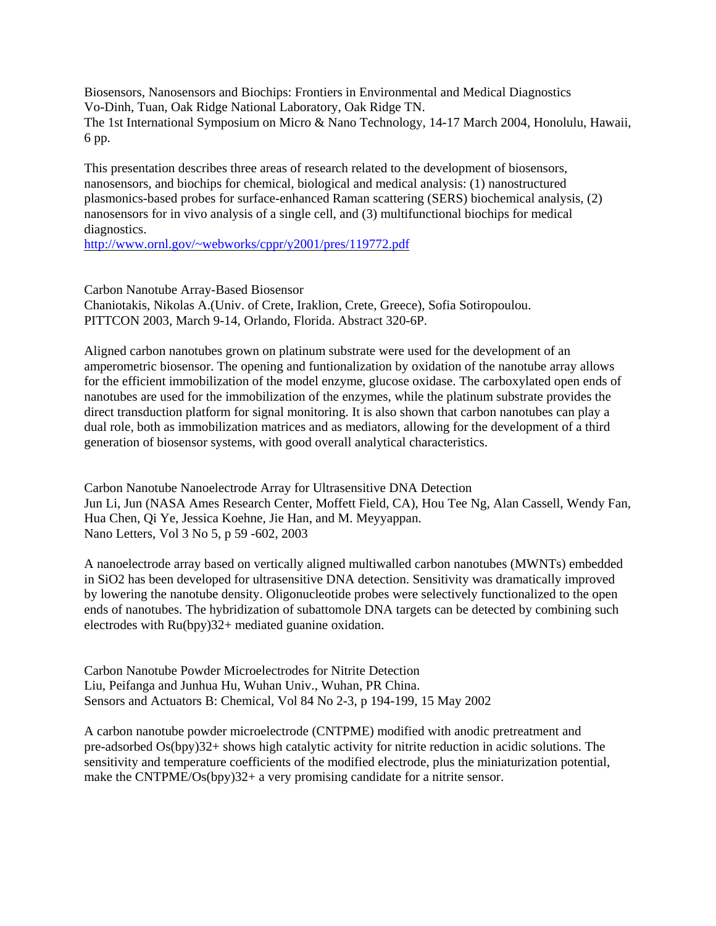Biosensors, Nanosensors and Biochips: Frontiers in Environmental and Medical Diagnostics Vo-Dinh, Tuan, Oak Ridge National Laboratory, Oak Ridge TN. The 1st International Symposium on Micro & Nano Technology, 14-17 March 2004, Honolulu, Hawaii, 6 pp.

This presentation describes three areas of research related to the development of biosensors, nanosensors, and biochips for chemical, biological and medical analysis: (1) nanostructured plasmonics-based probes for surface-enhanced Raman scattering (SERS) biochemical analysis, (2) nanosensors for in vivo analysis of a single cell, and (3) multifunctional biochips for medical diagnostics.

<http://www.ornl.gov/~webworks/cppr/y2001/pres/119772.pdf>

Carbon Nanotube Array-Based Biosensor Chaniotakis, Nikolas A.(Univ. of Crete, Iraklion, Crete, Greece), Sofia Sotiropoulou. PITTCON 2003, March 9-14, Orlando, Florida. Abstract 320-6P.

Aligned carbon nanotubes grown on platinum substrate were used for the development of an amperometric biosensor. The opening and funtionalization by oxidation of the nanotube array allows for the efficient immobilization of the model enzyme, glucose oxidase. The carboxylated open ends of nanotubes are used for the immobilization of the enzymes, while the platinum substrate provides the direct transduction platform for signal monitoring. It is also shown that carbon nanotubes can play a dual role, both as immobilization matrices and as mediators, allowing for the development of a third generation of biosensor systems, with good overall analytical characteristics.

Carbon Nanotube Nanoelectrode Array for Ultrasensitive DNA Detection Jun Li, Jun (NASA Ames Research Center, Moffett Field, CA), Hou Tee Ng, Alan Cassell, Wendy Fan, Hua Chen, Qi Ye, Jessica Koehne, Jie Han, and M. Meyyappan. Nano Letters, Vol 3 No 5, p 59 -602, 2003

A nanoelectrode array based on vertically aligned multiwalled carbon nanotubes (MWNTs) embedded in SiO2 has been developed for ultrasensitive DNA detection. Sensitivity was dramatically improved by lowering the nanotube density. Oligonucleotide probes were selectively functionalized to the open ends of nanotubes. The hybridization of subattomole DNA targets can be detected by combining such electrodes with Ru(bpy)32+ mediated guanine oxidation.

Carbon Nanotube Powder Microelectrodes for Nitrite Detection Liu, Peifanga and Junhua Hu, Wuhan Univ., Wuhan, PR China. Sensors and Actuators B: Chemical, Vol 84 No 2-3, p 194-199, 15 May 2002

A carbon nanotube powder microelectrode (CNTPME) modified with anodic pretreatment and pre-adsorbed Os(bpy)32+ shows high catalytic activity for nitrite reduction in acidic solutions. The sensitivity and temperature coefficients of the modified electrode, plus the miniaturization potential, make the CNTPME/Os(bpy)32+ a very promising candidate for a nitrite sensor.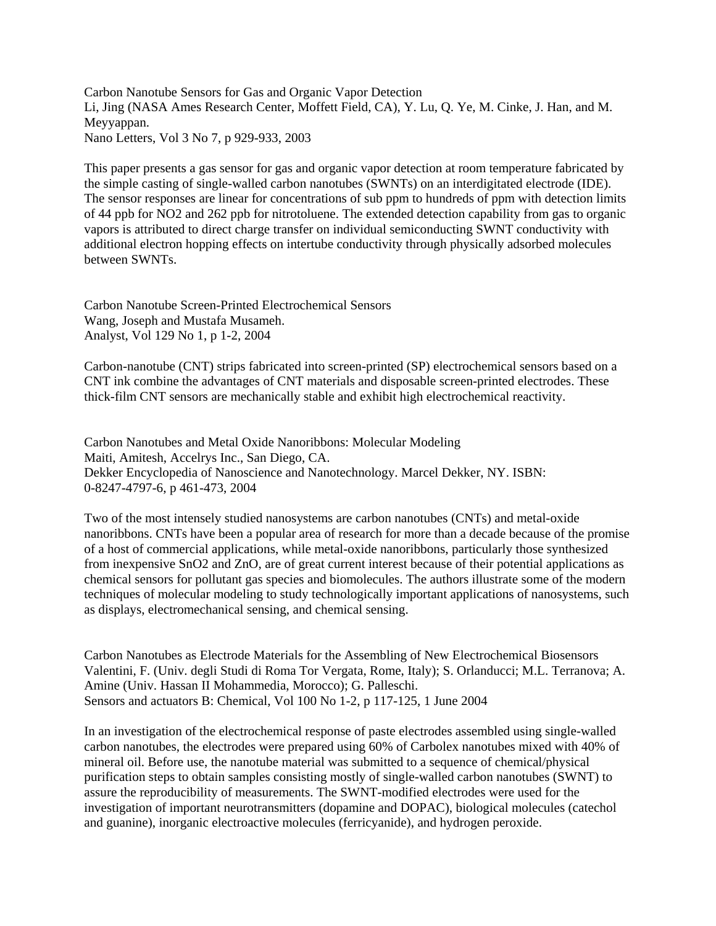Carbon Nanotube Sensors for Gas and Organic Vapor Detection Li, Jing (NASA Ames Research Center, Moffett Field, CA), Y. Lu, Q. Ye, M. Cinke, J. Han, and M. Meyyappan. Nano Letters, Vol 3 No 7, p 929-933, 2003

This paper presents a gas sensor for gas and organic vapor detection at room temperature fabricated by the simple casting of single-walled carbon nanotubes (SWNTs) on an interdigitated electrode (IDE). The sensor responses are linear for concentrations of sub ppm to hundreds of ppm with detection limits of 44 ppb for NO2 and 262 ppb for nitrotoluene. The extended detection capability from gas to organic vapors is attributed to direct charge transfer on individual semiconducting SWNT conductivity with additional electron hopping effects on intertube conductivity through physically adsorbed molecules between SWNTs.

Carbon Nanotube Screen-Printed Electrochemical Sensors Wang, Joseph and Mustafa Musameh. Analyst, Vol 129 No 1, p 1-2, 2004

Carbon-nanotube (CNT) strips fabricated into screen-printed (SP) electrochemical sensors based on a CNT ink combine the advantages of CNT materials and disposable screen-printed electrodes. These thick-film CNT sensors are mechanically stable and exhibit high electrochemical reactivity.

Carbon Nanotubes and Metal Oxide Nanoribbons: Molecular Modeling Maiti, Amitesh, Accelrys Inc., San Diego, CA. Dekker Encyclopedia of Nanoscience and Nanotechnology. Marcel Dekker, NY. ISBN: 0-8247-4797-6, p 461-473, 2004

Two of the most intensely studied nanosystems are carbon nanotubes (CNTs) and metal-oxide nanoribbons. CNTs have been a popular area of research for more than a decade because of the promise of a host of commercial applications, while metal-oxide nanoribbons, particularly those synthesized from inexpensive SnO2 and ZnO, are of great current interest because of their potential applications as chemical sensors for pollutant gas species and biomolecules. The authors illustrate some of the modern techniques of molecular modeling to study technologically important applications of nanosystems, such as displays, electromechanical sensing, and chemical sensing.

Carbon Nanotubes as Electrode Materials for the Assembling of New Electrochemical Biosensors Valentini, F. (Univ. degli Studi di Roma Tor Vergata, Rome, Italy); S. Orlanducci; M.L. Terranova; A. Amine (Univ. Hassan II Mohammedia, Morocco); G. Palleschi. Sensors and actuators B: Chemical, Vol 100 No 1-2, p 117-125, 1 June 2004

In an investigation of the electrochemical response of paste electrodes assembled using single-walled carbon nanotubes, the electrodes were prepared using 60% of Carbolex nanotubes mixed with 40% of mineral oil. Before use, the nanotube material was submitted to a sequence of chemical/physical purification steps to obtain samples consisting mostly of single-walled carbon nanotubes (SWNT) to assure the reproducibility of measurements. The SWNT-modified electrodes were used for the investigation of important neurotransmitters (dopamine and DOPAC), biological molecules (catechol and guanine), inorganic electroactive molecules (ferricyanide), and hydrogen peroxide.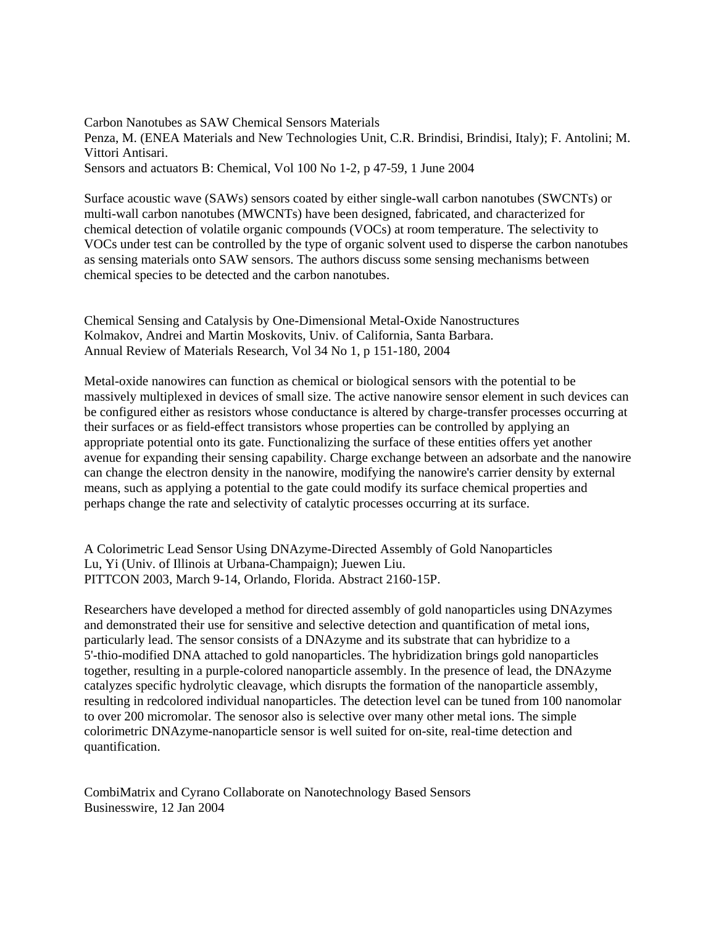Carbon Nanotubes as SAW Chemical Sensors Materials Penza, M. (ENEA Materials and New Technologies Unit, C.R. Brindisi, Brindisi, Italy); F. Antolini; M. Vittori Antisari. Sensors and actuators B: Chemical, Vol 100 No 1-2, p 47-59, 1 June 2004

Surface acoustic wave (SAWs) sensors coated by either single-wall carbon nanotubes (SWCNTs) or multi-wall carbon nanotubes (MWCNTs) have been designed, fabricated, and characterized for chemical detection of volatile organic compounds (VOCs) at room temperature. The selectivity to VOCs under test can be controlled by the type of organic solvent used to disperse the carbon nanotubes as sensing materials onto SAW sensors. The authors discuss some sensing mechanisms between chemical species to be detected and the carbon nanotubes.

Chemical Sensing and Catalysis by One-Dimensional Metal-Oxide Nanostructures Kolmakov, Andrei and Martin Moskovits, Univ. of California, Santa Barbara. Annual Review of Materials Research, Vol 34 No 1, p 151-180, 2004

Metal-oxide nanowires can function as chemical or biological sensors with the potential to be massively multiplexed in devices of small size. The active nanowire sensor element in such devices can be configured either as resistors whose conductance is altered by charge-transfer processes occurring at their surfaces or as field-effect transistors whose properties can be controlled by applying an appropriate potential onto its gate. Functionalizing the surface of these entities offers yet another avenue for expanding their sensing capability. Charge exchange between an adsorbate and the nanowire can change the electron density in the nanowire, modifying the nanowire's carrier density by external means, such as applying a potential to the gate could modify its surface chemical properties and perhaps change the rate and selectivity of catalytic processes occurring at its surface.

A Colorimetric Lead Sensor Using DNAzyme-Directed Assembly of Gold Nanoparticles Lu, Yi (Univ. of Illinois at Urbana-Champaign); Juewen Liu. PITTCON 2003, March 9-14, Orlando, Florida. Abstract 2160-15P.

Researchers have developed a method for directed assembly of gold nanoparticles using DNAzymes and demonstrated their use for sensitive and selective detection and quantification of metal ions, particularly lead. The sensor consists of a DNAzyme and its substrate that can hybridize to a 5'-thio-modified DNA attached to gold nanoparticles. The hybridization brings gold nanoparticles together, resulting in a purple-colored nanoparticle assembly. In the presence of lead, the DNAzyme catalyzes specific hydrolytic cleavage, which disrupts the formation of the nanoparticle assembly, resulting in redcolored individual nanoparticles. The detection level can be tuned from 100 nanomolar to over 200 micromolar. The senosor also is selective over many other metal ions. The simple colorimetric DNAzyme-nanoparticle sensor is well suited for on-site, real-time detection and quantification.

CombiMatrix and Cyrano Collaborate on Nanotechnology Based Sensors Businesswire, 12 Jan 2004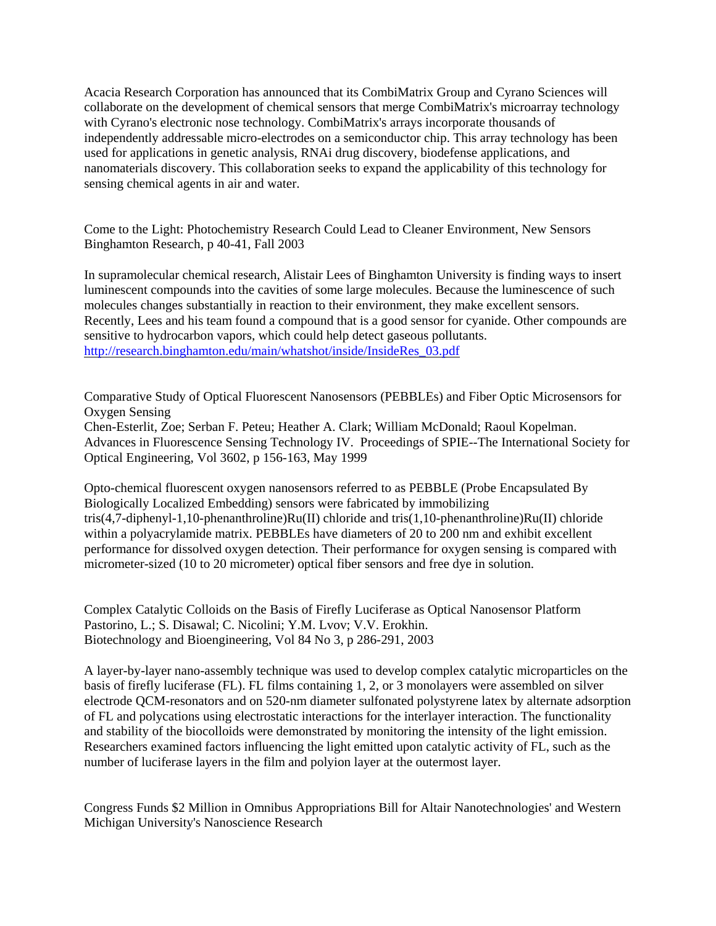Acacia Research Corporation has announced that its CombiMatrix Group and Cyrano Sciences will collaborate on the development of chemical sensors that merge CombiMatrix's microarray technology with Cyrano's electronic nose technology. CombiMatrix's arrays incorporate thousands of independently addressable micro-electrodes on a semiconductor chip. This array technology has been used for applications in genetic analysis, RNAi drug discovery, biodefense applications, and nanomaterials discovery. This collaboration seeks to expand the applicability of this technology for sensing chemical agents in air and water.

Come to the Light: Photochemistry Research Could Lead to Cleaner Environment, New Sensors Binghamton Research, p 40-41, Fall 2003

In supramolecular chemical research, Alistair Lees of Binghamton University is finding ways to insert luminescent compounds into the cavities of some large molecules. Because the luminescence of such molecules changes substantially in reaction to their environment, they make excellent sensors. Recently, Lees and his team found a compound that is a good sensor for cyanide. Other compounds are sensitive to hydrocarbon vapors, which could help detect gaseous pollutants. [http://research.binghamton.edu/main/whatshot/inside/InsideRes\\_03.pdf](http://research.binghamton.edu/main/whatshot/inside/InsideRes_03.pdf)

Comparative Study of Optical Fluorescent Nanosensors (PEBBLEs) and Fiber Optic Microsensors for Oxygen Sensing Chen-Esterlit, Zoe; Serban F. Peteu; Heather A. Clark; William McDonald; Raoul Kopelman. Advances in Fluorescence Sensing Technology IV. Proceedings of SPIE--The International Society for Optical Engineering, Vol 3602, p 156-163, May 1999

Opto-chemical fluorescent oxygen nanosensors referred to as PEBBLE (Probe Encapsulated By Biologically Localized Embedding) sensors were fabricated by immobilizing tris(4,7-diphenyl-1,10-phenanthroline)Ru(II) chloride and tris(1,10-phenanthroline)Ru(II) chloride within a polyacrylamide matrix. PEBBLEs have diameters of 20 to 200 nm and exhibit excellent performance for dissolved oxygen detection. Their performance for oxygen sensing is compared with micrometer-sized (10 to 20 micrometer) optical fiber sensors and free dye in solution.

Complex Catalytic Colloids on the Basis of Firefly Luciferase as Optical Nanosensor Platform Pastorino, L.; S. Disawal; C. Nicolini; Y.M. Lvov; V.V. Erokhin. Biotechnology and Bioengineering, Vol 84 No 3, p 286-291, 2003

A layer-by-layer nano-assembly technique was used to develop complex catalytic microparticles on the basis of firefly luciferase (FL). FL films containing 1, 2, or 3 monolayers were assembled on silver electrode QCM-resonators and on 520-nm diameter sulfonated polystyrene latex by alternate adsorption of FL and polycations using electrostatic interactions for the interlayer interaction. The functionality and stability of the biocolloids were demonstrated by monitoring the intensity of the light emission. Researchers examined factors influencing the light emitted upon catalytic activity of FL, such as the number of luciferase layers in the film and polyion layer at the outermost layer.

Congress Funds \$2 Million in Omnibus Appropriations Bill for Altair Nanotechnologies' and Western Michigan University's Nanoscience Research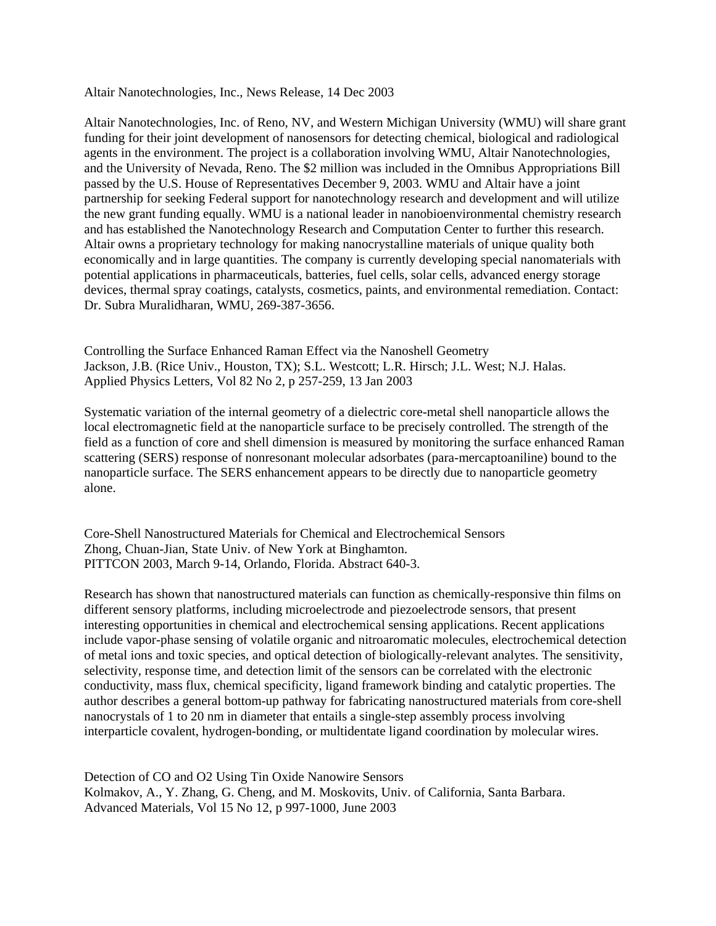Altair Nanotechnologies, Inc., News Release, 14 Dec 2003

Altair Nanotechnologies, Inc. of Reno, NV, and Western Michigan University (WMU) will share grant funding for their joint development of nanosensors for detecting chemical, biological and radiological agents in the environment. The project is a collaboration involving WMU, Altair Nanotechnologies, and the University of Nevada, Reno. The \$2 million was included in the Omnibus Appropriations Bill passed by the U.S. House of Representatives December 9, 2003. WMU and Altair have a joint partnership for seeking Federal support for nanotechnology research and development and will utilize the new grant funding equally. WMU is a national leader in nanobioenvironmental chemistry research and has established the Nanotechnology Research and Computation Center to further this research. Altair owns a proprietary technology for making nanocrystalline materials of unique quality both economically and in large quantities. The company is currently developing special nanomaterials with potential applications in pharmaceuticals, batteries, fuel cells, solar cells, advanced energy storage devices, thermal spray coatings, catalysts, cosmetics, paints, and environmental remediation. Contact: Dr. Subra Muralidharan, WMU, 269-387-3656.

Controlling the Surface Enhanced Raman Effect via the Nanoshell Geometry Jackson, J.B. (Rice Univ., Houston, TX); S.L. Westcott; L.R. Hirsch; J.L. West; N.J. Halas. Applied Physics Letters, Vol 82 No 2, p 257-259, 13 Jan 2003

Systematic variation of the internal geometry of a dielectric core-metal shell nanoparticle allows the local electromagnetic field at the nanoparticle surface to be precisely controlled. The strength of the field as a function of core and shell dimension is measured by monitoring the surface enhanced Raman scattering (SERS) response of nonresonant molecular adsorbates (para-mercaptoaniline) bound to the nanoparticle surface. The SERS enhancement appears to be directly due to nanoparticle geometry alone.

Core-Shell Nanostructured Materials for Chemical and Electrochemical Sensors Zhong, Chuan-Jian, State Univ. of New York at Binghamton. PITTCON 2003, March 9-14, Orlando, Florida. Abstract 640-3.

Research has shown that nanostructured materials can function as chemically-responsive thin films on different sensory platforms, including microelectrode and piezoelectrode sensors, that present interesting opportunities in chemical and electrochemical sensing applications. Recent applications include vapor-phase sensing of volatile organic and nitroaromatic molecules, electrochemical detection of metal ions and toxic species, and optical detection of biologically-relevant analytes. The sensitivity, selectivity, response time, and detection limit of the sensors can be correlated with the electronic conductivity, mass flux, chemical specificity, ligand framework binding and catalytic properties. The author describes a general bottom-up pathway for fabricating nanostructured materials from core-shell nanocrystals of 1 to 20 nm in diameter that entails a single-step assembly process involving interparticle covalent, hydrogen-bonding, or multidentate ligand coordination by molecular wires.

Detection of CO and O2 Using Tin Oxide Nanowire Sensors Kolmakov, A., Y. Zhang, G. Cheng, and M. Moskovits, Univ. of California, Santa Barbara. Advanced Materials, Vol 15 No 12, p 997-1000, June 2003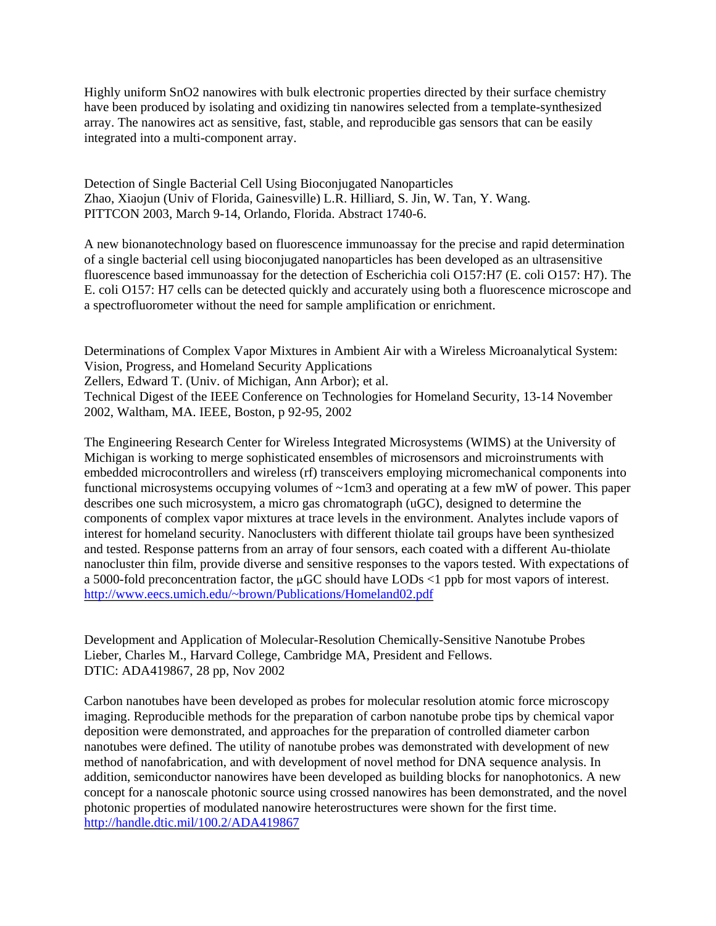Highly uniform SnO2 nanowires with bulk electronic properties directed by their surface chemistry have been produced by isolating and oxidizing tin nanowires selected from a template-synthesized array. The nanowires act as sensitive, fast, stable, and reproducible gas sensors that can be easily integrated into a multi-component array.

Detection of Single Bacterial Cell Using Bioconjugated Nanoparticles Zhao, Xiaojun (Univ of Florida, Gainesville) L.R. Hilliard, S. Jin, W. Tan, Y. Wang. PITTCON 2003, March 9-14, Orlando, Florida. Abstract 1740-6.

A new bionanotechnology based on fluorescence immunoassay for the precise and rapid determination of a single bacterial cell using bioconjugated nanoparticles has been developed as an ultrasensitive fluorescence based immunoassay for the detection of Escherichia coli O157:H7 (E. coli O157: H7). The E. coli O157: H7 cells can be detected quickly and accurately using both a fluorescence microscope and a spectrofluorometer without the need for sample amplification or enrichment.

Determinations of Complex Vapor Mixtures in Ambient Air with a Wireless Microanalytical System: Vision, Progress, and Homeland Security Applications Zellers, Edward T. (Univ. of Michigan, Ann Arbor); et al. Technical Digest of the IEEE Conference on Technologies for Homeland Security, 13-14 November 2002, Waltham, MA. IEEE, Boston, p 92-95, 2002

The Engineering Research Center for Wireless Integrated Microsystems (WIMS) at the University of Michigan is working to merge sophisticated ensembles of microsensors and microinstruments with embedded microcontrollers and wireless (rf) transceivers employing micromechanical components into functional microsystems occupying volumes of ~1cm3 and operating at a few mW of power. This paper describes one such microsystem, a micro gas chromatograph (uGC), designed to determine the components of complex vapor mixtures at trace levels in the environment. Analytes include vapors of interest for homeland security. Nanoclusters with different thiolate tail groups have been synthesized and tested. Response patterns from an array of four sensors, each coated with a different Au-thiolate nanocluster thin film, provide diverse and sensitive responses to the vapors tested. With expectations of a 5000-fold preconcentration factor, the  $\mu$ GC should have LODs <1 ppb for most vapors of interest. <http://www.eecs.umich.edu/~brown/Publications/Homeland02.pdf>

Development and Application of Molecular-Resolution Chemically-Sensitive Nanotube Probes Lieber, Charles M., Harvard College, Cambridge MA, President and Fellows. DTIC: ADA419867, 28 pp, Nov 2002

Carbon nanotubes have been developed as probes for molecular resolution atomic force microscopy imaging. Reproducible methods for the preparation of carbon nanotube probe tips by chemical vapor deposition were demonstrated, and approaches for the preparation of controlled diameter carbon nanotubes were defined. The utility of nanotube probes was demonstrated with development of new method of nanofabrication, and with development of novel method for DNA sequence analysis. In addition, semiconductor nanowires have been developed as building blocks for nanophotonics. A new concept for a nanoscale photonic source using crossed nanowires has been demonstrated, and the novel photonic properties of modulated nanowire heterostructures were shown for the first time. <http://handle.dtic.mil/100.2/ADA419867>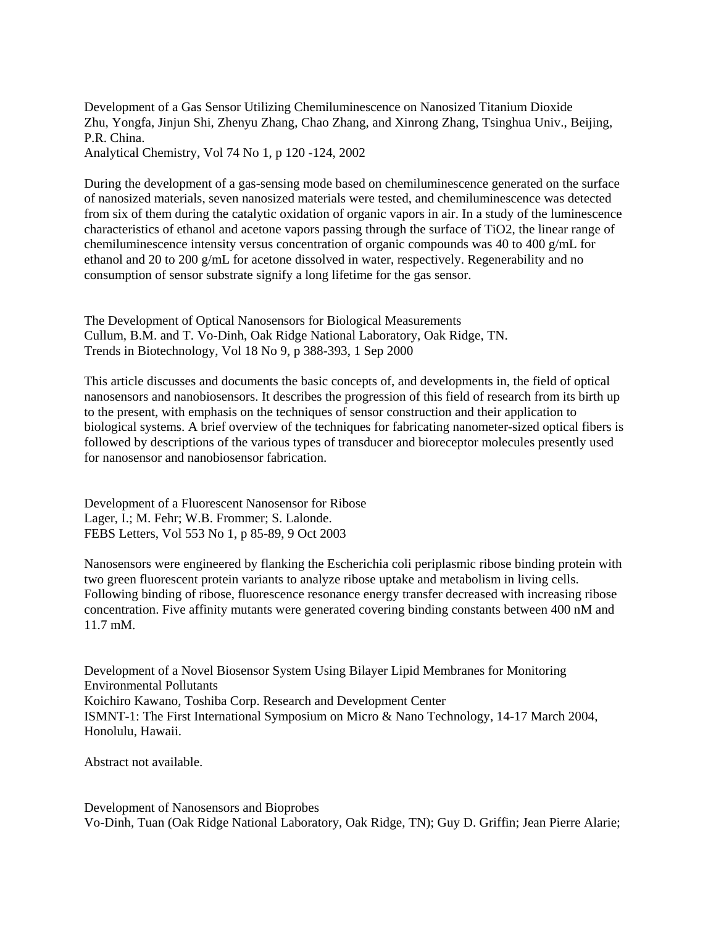Development of a Gas Sensor Utilizing Chemiluminescence on Nanosized Titanium Dioxide Zhu, Yongfa, Jinjun Shi, Zhenyu Zhang, Chao Zhang, and Xinrong Zhang, Tsinghua Univ., Beijing, P.R. China.

Analytical Chemistry, Vol 74 No 1, p 120 -124, 2002

During the development of a gas-sensing mode based on chemiluminescence generated on the surface of nanosized materials, seven nanosized materials were tested, and chemiluminescence was detected from six of them during the catalytic oxidation of organic vapors in air. In a study of the luminescence characteristics of ethanol and acetone vapors passing through the surface of TiO2, the linear range of chemiluminescence intensity versus concentration of organic compounds was 40 to 400 g/mL for ethanol and 20 to 200 g/mL for acetone dissolved in water, respectively. Regenerability and no consumption of sensor substrate signify a long lifetime for the gas sensor.

The Development of Optical Nanosensors for Biological Measurements Cullum, B.M. and T. Vo-Dinh, Oak Ridge National Laboratory, Oak Ridge, TN. Trends in Biotechnology, Vol 18 No 9, p 388-393, 1 Sep 2000

This article discusses and documents the basic concepts of, and developments in, the field of optical nanosensors and nanobiosensors. It describes the progression of this field of research from its birth up to the present, with emphasis on the techniques of sensor construction and their application to biological systems. A brief overview of the techniques for fabricating nanometer-sized optical fibers is followed by descriptions of the various types of transducer and bioreceptor molecules presently used for nanosensor and nanobiosensor fabrication.

Development of a Fluorescent Nanosensor for Ribose Lager, I.; M. Fehr; W.B. Frommer; S. Lalonde. FEBS Letters, Vol 553 No 1, p 85-89, 9 Oct 2003

Nanosensors were engineered by flanking the Escherichia coli periplasmic ribose binding protein with two green fluorescent protein variants to analyze ribose uptake and metabolism in living cells. Following binding of ribose, fluorescence resonance energy transfer decreased with increasing ribose concentration. Five affinity mutants were generated covering binding constants between 400 nM and 11.7 mM.

Development of a Novel Biosensor System Using Bilayer Lipid Membranes for Monitoring Environmental Pollutants Koichiro Kawano, Toshiba Corp. Research and Development Center ISMNT-1: The First International Symposium on Micro & Nano Technology, 14-17 March 2004, Honolulu, Hawaii.

Abstract not available.

Development of Nanosensors and Bioprobes Vo-Dinh, Tuan (Oak Ridge National Laboratory, Oak Ridge, TN); Guy D. Griffin; Jean Pierre Alarie;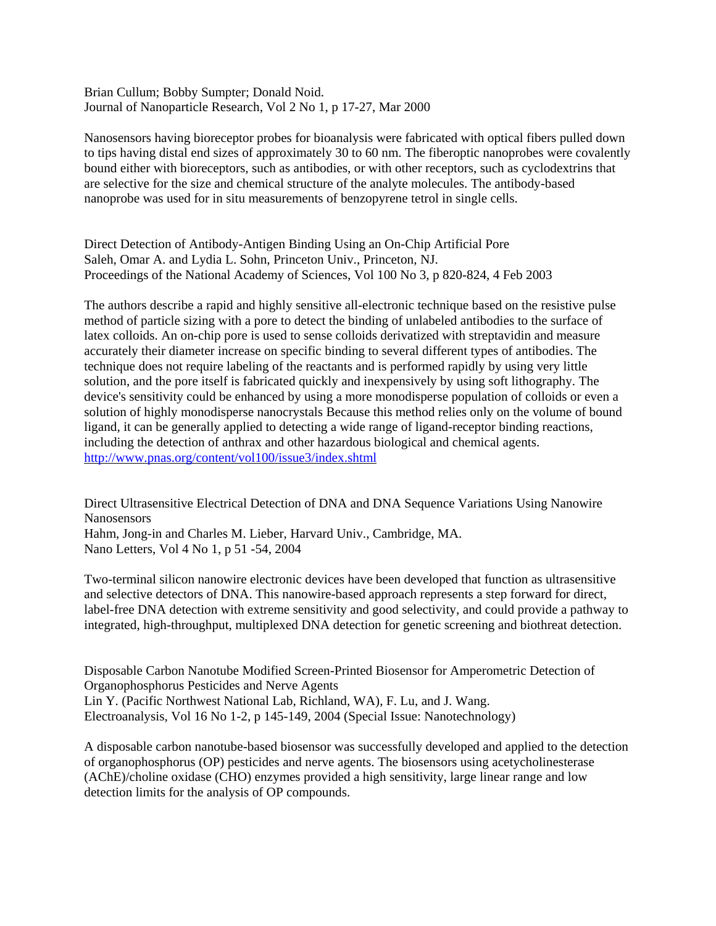Brian Cullum; Bobby Sumpter; Donald Noid. Journal of Nanoparticle Research, Vol 2 No 1, p 17-27, Mar 2000

Nanosensors having bioreceptor probes for bioanalysis were fabricated with optical fibers pulled down to tips having distal end sizes of approximately 30 to 60 nm. The fiberoptic nanoprobes were covalently bound either with bioreceptors, such as antibodies, or with other receptors, such as cyclodextrins that are selective for the size and chemical structure of the analyte molecules. The antibody-based nanoprobe was used for in situ measurements of benzopyrene tetrol in single cells.

Direct Detection of Antibody-Antigen Binding Using an On-Chip Artificial Pore Saleh, Omar A. and Lydia L. Sohn, Princeton Univ., Princeton, NJ. Proceedings of the National Academy of Sciences, Vol 100 No 3, p 820-824, 4 Feb 2003

The authors describe a rapid and highly sensitive all-electronic technique based on the resistive pulse method of particle sizing with a pore to detect the binding of unlabeled antibodies to the surface of latex colloids. An on-chip pore is used to sense colloids derivatized with streptavidin and measure accurately their diameter increase on specific binding to several different types of antibodies. The technique does not require labeling of the reactants and is performed rapidly by using very little solution, and the pore itself is fabricated quickly and inexpensively by using soft lithography. The device's sensitivity could be enhanced by using a more monodisperse population of colloids or even a solution of highly monodisperse nanocrystals Because this method relies only on the volume of bound ligand, it can be generally applied to detecting a wide range of ligand-receptor binding reactions, including the detection of anthrax and other hazardous biological and chemical agents. <http://www.pnas.org/content/vol100/issue3/index.shtml>

Direct Ultrasensitive Electrical Detection of DNA and DNA Sequence Variations Using Nanowire Nanosensors Hahm, Jong-in and Charles M. Lieber, Harvard Univ., Cambridge, MA. Nano Letters, Vol 4 No 1, p 51 -54, 2004

Two-terminal silicon nanowire electronic devices have been developed that function as ultrasensitive and selective detectors of DNA. This nanowire-based approach represents a step forward for direct, label-free DNA detection with extreme sensitivity and good selectivity, and could provide a pathway to integrated, high-throughput, multiplexed DNA detection for genetic screening and biothreat detection.

Disposable Carbon Nanotube Modified Screen-Printed Biosensor for Amperometric Detection of Organophosphorus Pesticides and Nerve Agents Lin Y. (Pacific Northwest National Lab, Richland, WA), F. Lu, and J. Wang. Electroanalysis, Vol 16 No 1-2, p 145-149, 2004 (Special Issue: Nanotechnology)

A disposable carbon nanotube-based biosensor was successfully developed and applied to the detection of organophosphorus (OP) pesticides and nerve agents. The biosensors using acetycholinesterase (AChE)/choline oxidase (CHO) enzymes provided a high sensitivity, large linear range and low detection limits for the analysis of OP compounds.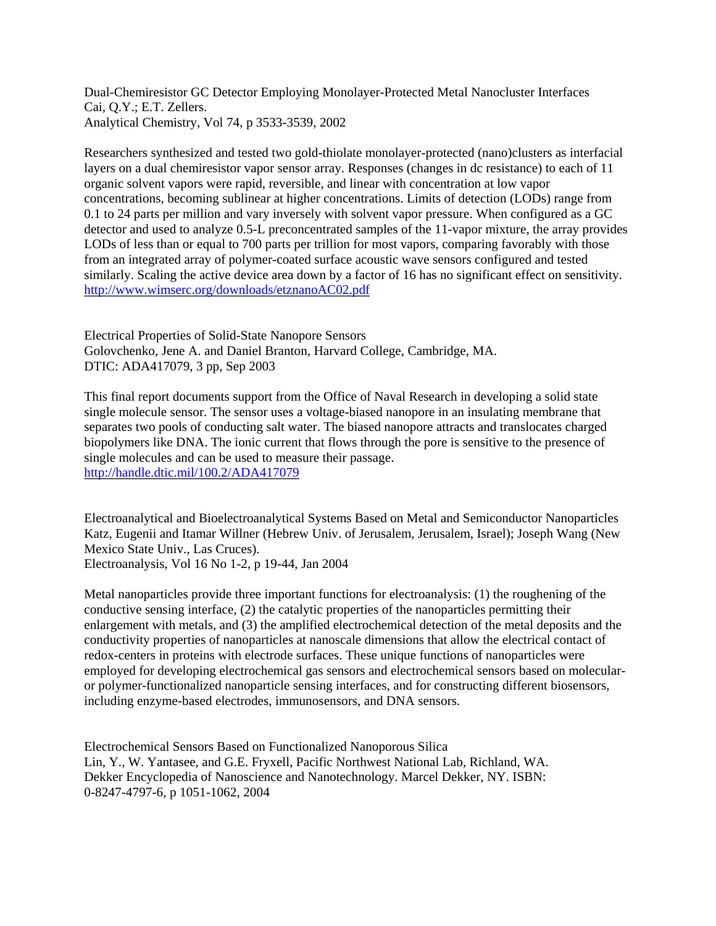Dual-Chemiresistor GC Detector Employing Monolayer-Protected Metal Nanocluster Interfaces Cai, Q.Y.; E.T. Zellers. Analytical Chemistry, Vol 74, p 3533-3539, 2002

Researchers synthesized and tested two gold-thiolate monolayer-protected (nano)clusters as interfacial layers on a dual chemiresistor vapor sensor array. Responses (changes in dc resistance) to each of 11 organic solvent vapors were rapid, reversible, and linear with concentration at low vapor concentrations, becoming sublinear at higher concentrations. Limits of detection (LODs) range from 0.1 to 24 parts per million and vary inversely with solvent vapor pressure. When configured as a GC detector and used to analyze 0.5-L preconcentrated samples of the 11-vapor mixture, the array provides LODs of less than or equal to 700 parts per trillion for most vapors, comparing favorably with those from an integrated array of polymer-coated surface acoustic wave sensors configured and tested similarly. Scaling the active device area down by a factor of 16 has no significant effect on sensitivity. <http://www.wimserc.org/downloads/etznanoAC02.pdf>

Electrical Properties of Solid-State Nanopore Sensors Golovchenko, Jene A. and Daniel Branton, Harvard College, Cambridge, MA. DTIC: ADA417079, 3 pp, Sep 2003

This final report documents support from the Office of Naval Research in developing a solid state single molecule sensor. The sensor uses a voltage-biased nanopore in an insulating membrane that separates two pools of conducting salt water. The biased nanopore attracts and translocates charged biopolymers like DNA. The ionic current that flows through the pore is sensitive to the presence of single molecules and can be used to measure their passage. <http://handle.dtic.mil/100.2/ADA417079>

Electroanalytical and Bioelectroanalytical Systems Based on Metal and Semiconductor Nanoparticles Katz, Eugenii and Itamar Willner (Hebrew Univ. of Jerusalem, Jerusalem, Israel); Joseph Wang (New Mexico State Univ., Las Cruces).

Electroanalysis, Vol 16 No 1-2, p 19-44, Jan 2004

Metal nanoparticles provide three important functions for electroanalysis: (1) the roughening of the conductive sensing interface, (2) the catalytic properties of the nanoparticles permitting their enlargement with metals, and (3) the amplified electrochemical detection of the metal deposits and the conductivity properties of nanoparticles at nanoscale dimensions that allow the electrical contact of redox-centers in proteins with electrode surfaces. These unique functions of nanoparticles were employed for developing electrochemical gas sensors and electrochemical sensors based on molecularor polymer-functionalized nanoparticle sensing interfaces, and for constructing different biosensors, including enzyme-based electrodes, immunosensors, and DNA sensors.

Electrochemical Sensors Based on Functionalized Nanoporous Silica Lin, Y., W. Yantasee, and G.E. Fryxell, Pacific Northwest National Lab, Richland, WA. Dekker Encyclopedia of Nanoscience and Nanotechnology. Marcel Dekker, NY. ISBN: 0-8247-4797-6, p 1051-1062, 2004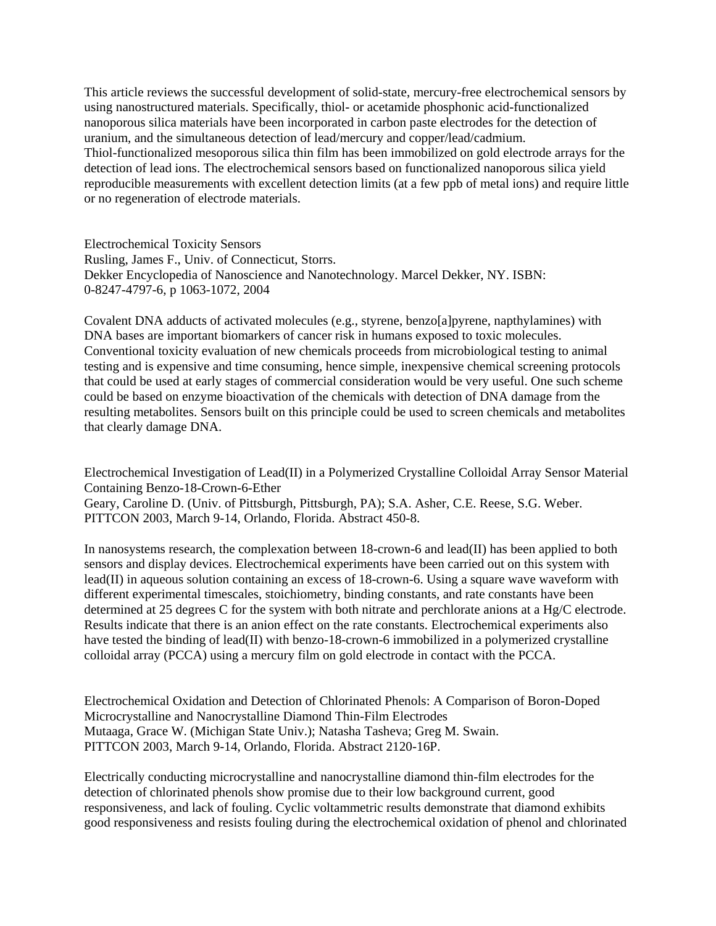This article reviews the successful development of solid-state, mercury-free electrochemical sensors by using nanostructured materials. Specifically, thiol- or acetamide phosphonic acid-functionalized nanoporous silica materials have been incorporated in carbon paste electrodes for the detection of uranium, and the simultaneous detection of lead/mercury and copper/lead/cadmium. Thiol-functionalized mesoporous silica thin film has been immobilized on gold electrode arrays for the detection of lead ions. The electrochemical sensors based on functionalized nanoporous silica yield reproducible measurements with excellent detection limits (at a few ppb of metal ions) and require little or no regeneration of electrode materials.

Electrochemical Toxicity Sensors Rusling, James F., Univ. of Connecticut, Storrs. Dekker Encyclopedia of Nanoscience and Nanotechnology. Marcel Dekker, NY. ISBN: 0-8247-4797-6, p 1063-1072, 2004

Covalent DNA adducts of activated molecules (e.g., styrene, benzo[a]pyrene, napthylamines) with DNA bases are important biomarkers of cancer risk in humans exposed to toxic molecules. Conventional toxicity evaluation of new chemicals proceeds from microbiological testing to animal testing and is expensive and time consuming, hence simple, inexpensive chemical screening protocols that could be used at early stages of commercial consideration would be very useful. One such scheme could be based on enzyme bioactivation of the chemicals with detection of DNA damage from the resulting metabolites. Sensors built on this principle could be used to screen chemicals and metabolites that clearly damage DNA.

Electrochemical Investigation of Lead(II) in a Polymerized Crystalline Colloidal Array Sensor Material Containing Benzo-18-Crown-6-Ether Geary, Caroline D. (Univ. of Pittsburgh, Pittsburgh, PA); S.A. Asher, C.E. Reese, S.G. Weber. PITTCON 2003, March 9-14, Orlando, Florida. Abstract 450-8.

In nanosystems research, the complexation between 18-crown-6 and lead(II) has been applied to both sensors and display devices. Electrochemical experiments have been carried out on this system with lead(II) in aqueous solution containing an excess of 18-crown-6. Using a square wave waveform with different experimental timescales, stoichiometry, binding constants, and rate constants have been determined at 25 degrees C for the system with both nitrate and perchlorate anions at a Hg/C electrode. Results indicate that there is an anion effect on the rate constants. Electrochemical experiments also have tested the binding of lead(II) with benzo-18-crown-6 immobilized in a polymerized crystalline colloidal array (PCCA) using a mercury film on gold electrode in contact with the PCCA.

Electrochemical Oxidation and Detection of Chlorinated Phenols: A Comparison of Boron-Doped Microcrystalline and Nanocrystalline Diamond Thin-Film Electrodes Mutaaga, Grace W. (Michigan State Univ.); Natasha Tasheva; Greg M. Swain. PITTCON 2003, March 9-14, Orlando, Florida. Abstract 2120-16P.

Electrically conducting microcrystalline and nanocrystalline diamond thin-film electrodes for the detection of chlorinated phenols show promise due to their low background current, good responsiveness, and lack of fouling. Cyclic voltammetric results demonstrate that diamond exhibits good responsiveness and resists fouling during the electrochemical oxidation of phenol and chlorinated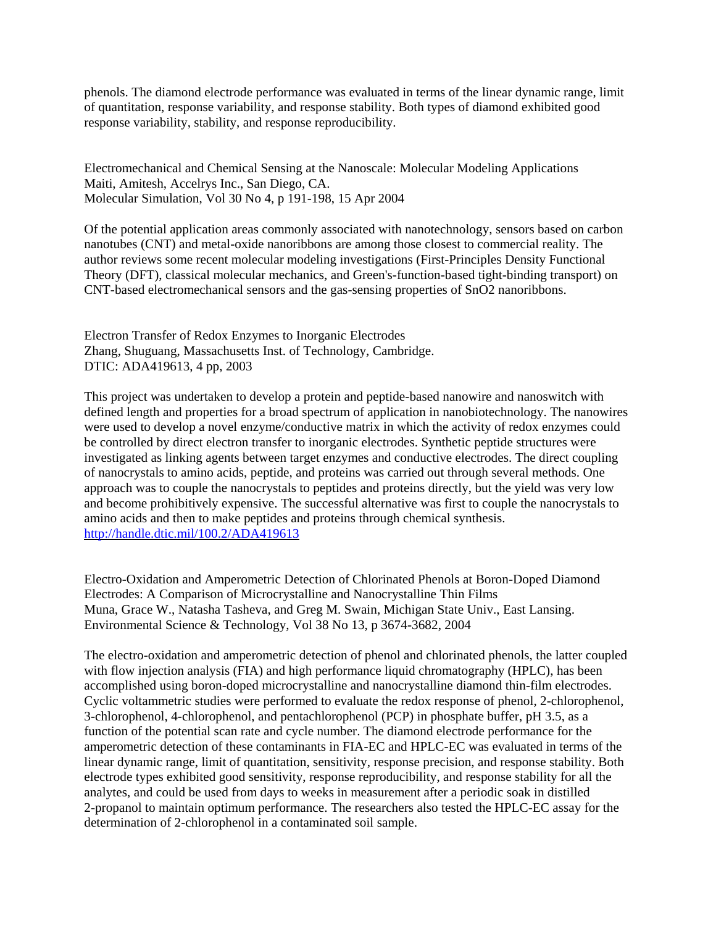phenols. The diamond electrode performance was evaluated in terms of the linear dynamic range, limit of quantitation, response variability, and response stability. Both types of diamond exhibited good response variability, stability, and response reproducibility.

Electromechanical and Chemical Sensing at the Nanoscale: Molecular Modeling Applications Maiti, Amitesh, Accelrys Inc., San Diego, CA. Molecular Simulation, Vol 30 No 4, p 191-198, 15 Apr 2004

Of the potential application areas commonly associated with nanotechnology, sensors based on carbon nanotubes (CNT) and metal-oxide nanoribbons are among those closest to commercial reality. The author reviews some recent molecular modeling investigations (First-Principles Density Functional Theory (DFT), classical molecular mechanics, and Green's-function-based tight-binding transport) on CNT-based electromechanical sensors and the gas-sensing properties of SnO2 nanoribbons.

Electron Transfer of Redox Enzymes to Inorganic Electrodes Zhang, Shuguang, Massachusetts Inst. of Technology, Cambridge. DTIC: ADA419613, 4 pp, 2003

This project was undertaken to develop a protein and peptide-based nanowire and nanoswitch with defined length and properties for a broad spectrum of application in nanobiotechnology. The nanowires were used to develop a novel enzyme/conductive matrix in which the activity of redox enzymes could be controlled by direct electron transfer to inorganic electrodes. Synthetic peptide structures were investigated as linking agents between target enzymes and conductive electrodes. The direct coupling of nanocrystals to amino acids, peptide, and proteins was carried out through several methods. One approach was to couple the nanocrystals to peptides and proteins directly, but the yield was very low and become prohibitively expensive. The successful alternative was first to couple the nanocrystals to amino acids and then to make peptides and proteins through chemical synthesis. <http://handle.dtic.mil/100.2/ADA419613>

Electro-Oxidation and Amperometric Detection of Chlorinated Phenols at Boron-Doped Diamond Electrodes: A Comparison of Microcrystalline and Nanocrystalline Thin Films Muna, Grace W., Natasha Tasheva, and Greg M. Swain, Michigan State Univ., East Lansing. Environmental Science & Technology, Vol 38 No 13, p 3674-3682, 2004

The electro-oxidation and amperometric detection of phenol and chlorinated phenols, the latter coupled with flow injection analysis (FIA) and high performance liquid chromatography (HPLC), has been accomplished using boron-doped microcrystalline and nanocrystalline diamond thin-film electrodes. Cyclic voltammetric studies were performed to evaluate the redox response of phenol, 2-chlorophenol, 3-chlorophenol, 4-chlorophenol, and pentachlorophenol (PCP) in phosphate buffer, pH 3.5, as a function of the potential scan rate and cycle number. The diamond electrode performance for the amperometric detection of these contaminants in FIA-EC and HPLC-EC was evaluated in terms of the linear dynamic range, limit of quantitation, sensitivity, response precision, and response stability. Both electrode types exhibited good sensitivity, response reproducibility, and response stability for all the analytes, and could be used from days to weeks in measurement after a periodic soak in distilled 2-propanol to maintain optimum performance. The researchers also tested the HPLC-EC assay for the determination of 2-chlorophenol in a contaminated soil sample.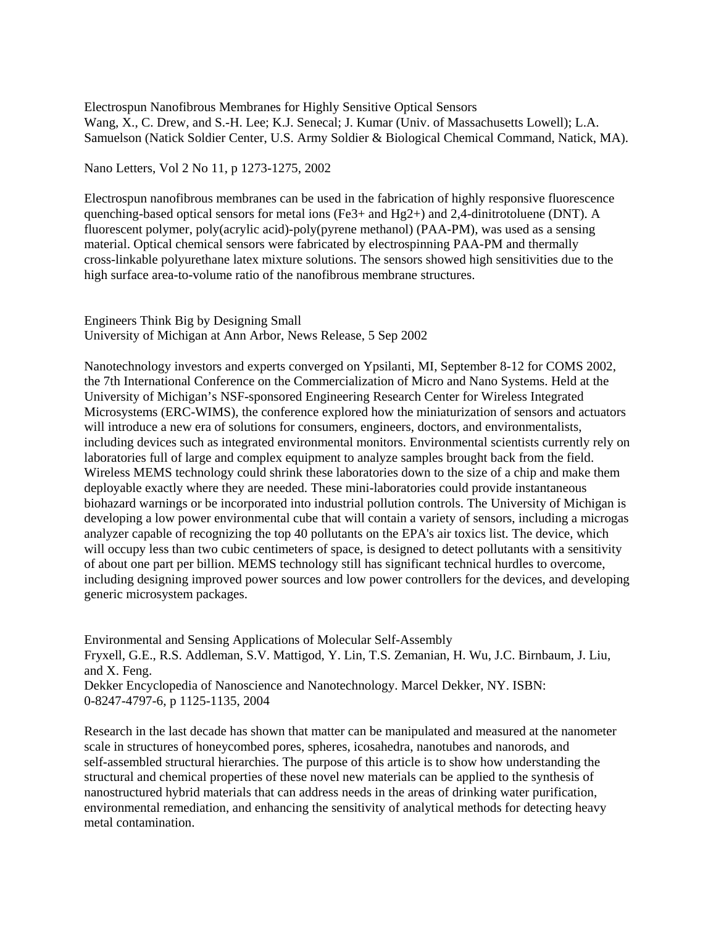Electrospun Nanofibrous Membranes for Highly Sensitive Optical Sensors Wang, X., C. Drew, and S.-H. Lee; K.J. Senecal; J. Kumar (Univ. of Massachusetts Lowell); L.A. Samuelson (Natick Soldier Center, U.S. Army Soldier & Biological Chemical Command, Natick, MA).

Nano Letters, Vol 2 No 11, p 1273-1275, 2002

Electrospun nanofibrous membranes can be used in the fabrication of highly responsive fluorescence quenching-based optical sensors for metal ions (Fe3+ and Hg2+) and 2,4-dinitrotoluene (DNT). A fluorescent polymer, poly(acrylic acid)-poly(pyrene methanol) (PAA-PM), was used as a sensing material. Optical chemical sensors were fabricated by electrospinning PAA-PM and thermally cross-linkable polyurethane latex mixture solutions. The sensors showed high sensitivities due to the high surface area-to-volume ratio of the nanofibrous membrane structures.

## Engineers Think Big by Designing Small University of Michigan at Ann Arbor, News Release, 5 Sep 2002

Nanotechnology investors and experts converged on Ypsilanti, MI, September 8-12 for COMS 2002, the 7th International Conference on the Commercialization of Micro and Nano Systems. Held at the University of Michigan's NSF-sponsored Engineering Research Center for Wireless Integrated Microsystems (ERC-WIMS), the conference explored how the miniaturization of sensors and actuators will introduce a new era of solutions for consumers, engineers, doctors, and environmentalists, including devices such as integrated environmental monitors. Environmental scientists currently rely on laboratories full of large and complex equipment to analyze samples brought back from the field. Wireless MEMS technology could shrink these laboratories down to the size of a chip and make them deployable exactly where they are needed. These mini-laboratories could provide instantaneous biohazard warnings or be incorporated into industrial pollution controls. The University of Michigan is developing a low power environmental cube that will contain a variety of sensors, including a microgas analyzer capable of recognizing the top 40 pollutants on the EPA's air toxics list. The device, which will occupy less than two cubic centimeters of space, is designed to detect pollutants with a sensitivity of about one part per billion. MEMS technology still has significant technical hurdles to overcome, including designing improved power sources and low power controllers for the devices, and developing generic microsystem packages.

Environmental and Sensing Applications of Molecular Self-Assembly Fryxell, G.E., R.S. Addleman, S.V. Mattigod, Y. Lin, T.S. Zemanian, H. Wu, J.C. Birnbaum, J. Liu, and X. Feng. Dekker Encyclopedia of Nanoscience and Nanotechnology. Marcel Dekker, NY. ISBN:

0-8247-4797-6, p 1125-1135, 2004

Research in the last decade has shown that matter can be manipulated and measured at the nanometer scale in structures of honeycombed pores, spheres, icosahedra, nanotubes and nanorods, and self-assembled structural hierarchies. The purpose of this article is to show how understanding the structural and chemical properties of these novel new materials can be applied to the synthesis of nanostructured hybrid materials that can address needs in the areas of drinking water purification, environmental remediation, and enhancing the sensitivity of analytical methods for detecting heavy metal contamination.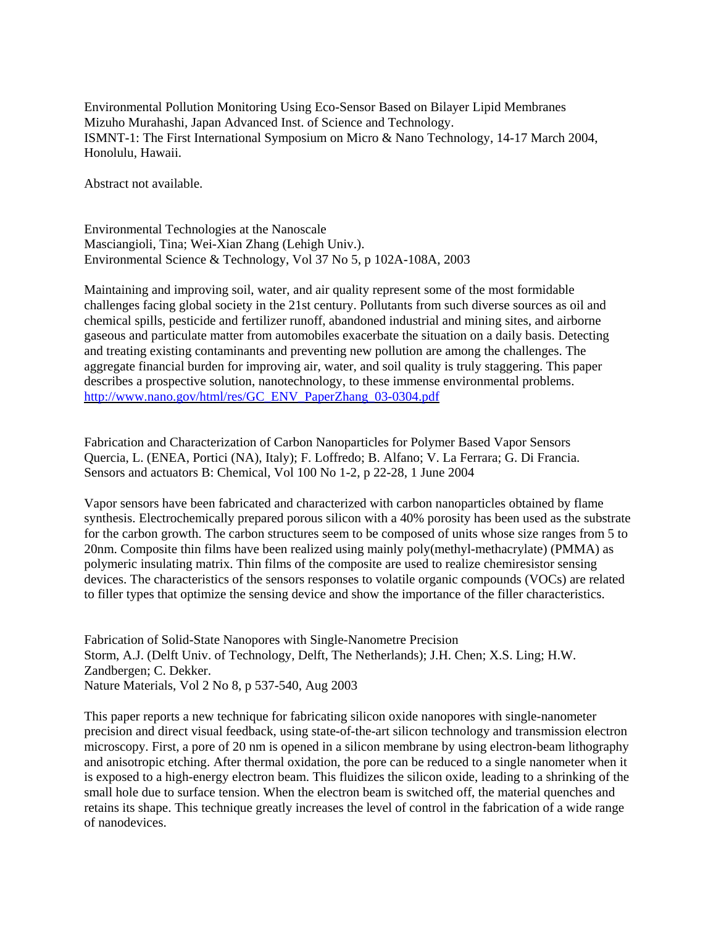Environmental Pollution Monitoring Using Eco-Sensor Based on Bilayer Lipid Membranes Mizuho Murahashi, Japan Advanced Inst. of Science and Technology. ISMNT-1: The First International Symposium on Micro & Nano Technology, 14-17 March 2004, Honolulu, Hawaii.

Abstract not available.

Environmental Technologies at the Nanoscale Masciangioli, Tina; Wei-Xian Zhang (Lehigh Univ.). Environmental Science & Technology, Vol 37 No 5, p 102A-108A, 2003

Maintaining and improving soil, water, and air quality represent some of the most formidable challenges facing global society in the 21st century. Pollutants from such diverse sources as oil and chemical spills, pesticide and fertilizer runoff, abandoned industrial and mining sites, and airborne gaseous and particulate matter from automobiles exacerbate the situation on a daily basis. Detecting and treating existing contaminants and preventing new pollution are among the challenges. The aggregate financial burden for improving air, water, and soil quality is truly staggering. This paper describes a prospective solution, nanotechnology, to these immense environmental problems. [http://www.nano.gov/html/res/GC\\_ENV\\_PaperZhang\\_03-0304.pdf](http://www.nano.gov/html/res/GC_ENV_PaperZhang_03-0304.pdf)

Fabrication and Characterization of Carbon Nanoparticles for Polymer Based Vapor Sensors Quercia, L. (ENEA, Portici (NA), Italy); F. Loffredo; B. Alfano; V. La Ferrara; G. Di Francia. Sensors and actuators B: Chemical, Vol 100 No 1-2, p 22-28, 1 June 2004

Vapor sensors have been fabricated and characterized with carbon nanoparticles obtained by flame synthesis. Electrochemically prepared porous silicon with a 40% porosity has been used as the substrate for the carbon growth. The carbon structures seem to be composed of units whose size ranges from 5 to 20nm. Composite thin films have been realized using mainly poly(methyl-methacrylate) (PMMA) as polymeric insulating matrix. Thin films of the composite are used to realize chemiresistor sensing devices. The characteristics of the sensors responses to volatile organic compounds (VOCs) are related to filler types that optimize the sensing device and show the importance of the filler characteristics.

Fabrication of Solid-State Nanopores with Single-Nanometre Precision Storm, A.J. (Delft Univ. of Technology, Delft, The Netherlands); J.H. Chen; X.S. Ling; H.W. Zandbergen; C. Dekker. Nature Materials, Vol 2 No 8, p 537-540, Aug 2003

This paper reports a new technique for fabricating silicon oxide nanopores with single-nanometer precision and direct visual feedback, using state-of-the-art silicon technology and transmission electron microscopy. First, a pore of 20 nm is opened in a silicon membrane by using electron-beam lithography and anisotropic etching. After thermal oxidation, the pore can be reduced to a single nanometer when it is exposed to a high-energy electron beam. This fluidizes the silicon oxide, leading to a shrinking of the small hole due to surface tension. When the electron beam is switched off, the material quenches and retains its shape. This technique greatly increases the level of control in the fabrication of a wide range of nanodevices.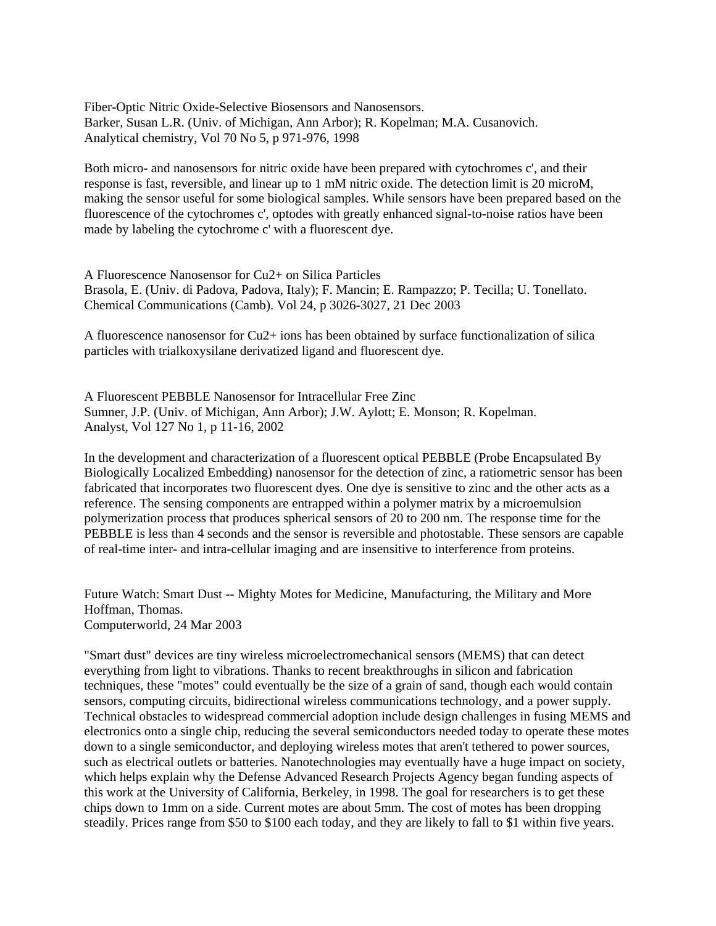Fiber-Optic Nitric Oxide-Selective Biosensors and Nanosensors. Barker, Susan L.R. (Univ. of Michigan, Ann Arbor); R. Kopelman; M.A. Cusanovich. Analytical chemistry, Vol 70 No 5, p 971-976, 1998

Both micro- and nanosensors for nitric oxide have been prepared with cytochromes c', and their response is fast, reversible, and linear up to 1 mM nitric oxide. The detection limit is 20 microM, making the sensor useful for some biological samples. While sensors have been prepared based on the fluorescence of the cytochromes c', optodes with greatly enhanced signal-to-noise ratios have been made by labeling the cytochrome c' with a fluorescent dye.

A Fluorescence Nanosensor for Cu2+ on Silica Particles Brasola, E. (Univ. di Padova, Padova, Italy); F. Mancin; E. Rampazzo; P. Tecilla; U. Tonellato. Chemical Communications (Camb). Vol 24, p 3026-3027, 21 Dec 2003

A fluorescence nanosensor for Cu2+ ions has been obtained by surface functionalization of silica particles with trialkoxysilane derivatized ligand and fluorescent dye.

A Fluorescent PEBBLE Nanosensor for Intracellular Free Zinc Sumner, J.P. (Univ. of Michigan, Ann Arbor); J.W. Aylott; E. Monson; R. Kopelman. Analyst, Vol 127 No 1, p 11-16, 2002

In the development and characterization of a fluorescent optical PEBBLE (Probe Encapsulated By Biologically Localized Embedding) nanosensor for the detection of zinc, a ratiometric sensor has been fabricated that incorporates two fluorescent dyes. One dye is sensitive to zinc and the other acts as a reference. The sensing components are entrapped within a polymer matrix by a microemulsion polymerization process that produces spherical sensors of 20 to 200 nm. The response time for the PEBBLE is less than 4 seconds and the sensor is reversible and photostable. These sensors are capable of real-time inter- and intra-cellular imaging and are insensitive to interference from proteins.

Future Watch: Smart Dust -- Mighty Motes for Medicine, Manufacturing, the Military and More Hoffman, Thomas. Computerworld, 24 Mar 2003

"Smart dust" devices are tiny wireless microelectromechanical sensors (MEMS) that can detect everything from light to vibrations. Thanks to recent breakthroughs in silicon and fabrication techniques, these "motes" could eventually be the size of a grain of sand, though each would contain sensors, computing circuits, bidirectional wireless communications technology, and a power supply. Technical obstacles to widespread commercial adoption include design challenges in fusing MEMS and electronics onto a single chip, reducing the several semiconductors needed today to operate these motes down to a single semiconductor, and deploying wireless motes that aren't tethered to power sources, such as electrical outlets or batteries. Nanotechnologies may eventually have a huge impact on society, which helps explain why the Defense Advanced Research Projects Agency began funding aspects of this work at the University of California, Berkeley, in 1998. The goal for researchers is to get these chips down to 1mm on a side. Current motes are about 5mm. The cost of motes has been dropping steadily. Prices range from \$50 to \$100 each today, and they are likely to fall to \$1 within five years.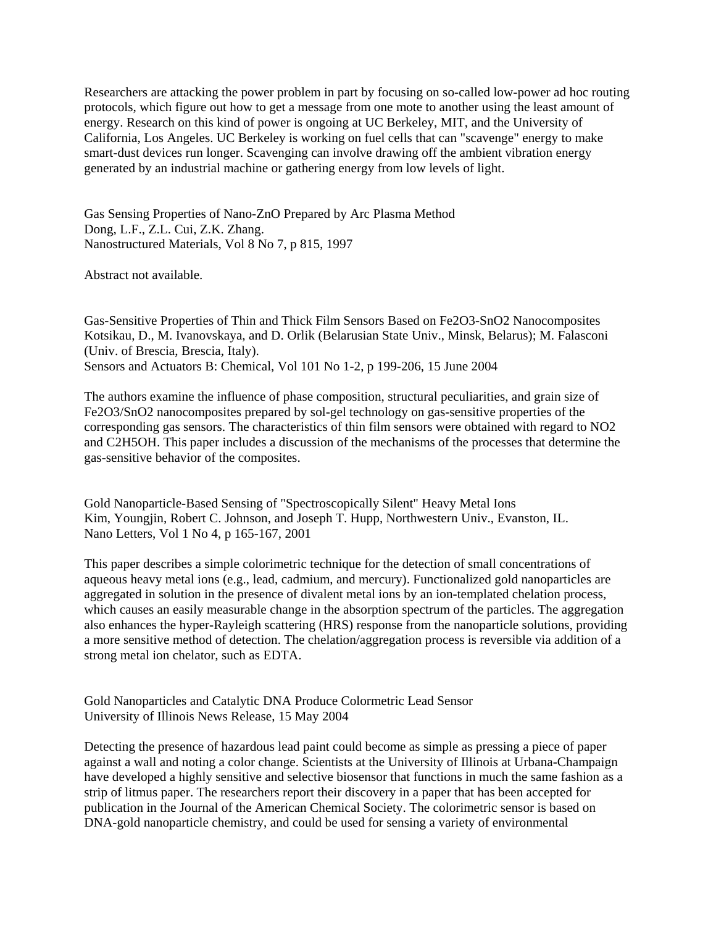Researchers are attacking the power problem in part by focusing on so-called low-power ad hoc routing protocols, which figure out how to get a message from one mote to another using the least amount of energy. Research on this kind of power is ongoing at UC Berkeley, MIT, and the University of California, Los Angeles. UC Berkeley is working on fuel cells that can "scavenge" energy to make smart-dust devices run longer. Scavenging can involve drawing off the ambient vibration energy generated by an industrial machine or gathering energy from low levels of light.

Gas Sensing Properties of Nano-ZnO Prepared by Arc Plasma Method Dong, L.F., Z.L. Cui, Z.K. Zhang. Nanostructured Materials, Vol 8 No 7, p 815, 1997

Abstract not available.

Gas-Sensitive Properties of Thin and Thick Film Sensors Based on Fe2O3-SnO2 Nanocomposites Kotsikau, D., M. Ivanovskaya, and D. Orlik (Belarusian State Univ., Minsk, Belarus); M. Falasconi (Univ. of Brescia, Brescia, Italy). Sensors and Actuators B: Chemical, Vol 101 No 1-2, p 199-206, 15 June 2004

The authors examine the influence of phase composition, structural peculiarities, and grain size of Fe2O3/SnO2 nanocomposites prepared by sol-gel technology on gas-sensitive properties of the corresponding gas sensors. The characteristics of thin film sensors were obtained with regard to NO2 and C2H5OH. This paper includes a discussion of the mechanisms of the processes that determine the gas-sensitive behavior of the composites.

Gold Nanoparticle-Based Sensing of "Spectroscopically Silent" Heavy Metal Ions Kim, Youngjin, Robert C. Johnson, and Joseph T. Hupp, Northwestern Univ., Evanston, IL. Nano Letters, Vol 1 No 4, p 165-167, 2001

This paper describes a simple colorimetric technique for the detection of small concentrations of aqueous heavy metal ions (e.g., lead, cadmium, and mercury). Functionalized gold nanoparticles are aggregated in solution in the presence of divalent metal ions by an ion-templated chelation process, which causes an easily measurable change in the absorption spectrum of the particles. The aggregation also enhances the hyper-Rayleigh scattering (HRS) response from the nanoparticle solutions, providing a more sensitive method of detection. The chelation/aggregation process is reversible via addition of a strong metal ion chelator, such as EDTA.

Gold Nanoparticles and Catalytic DNA Produce Colormetric Lead Sensor University of Illinois News Release, 15 May 2004

Detecting the presence of hazardous lead paint could become as simple as pressing a piece of paper against a wall and noting a color change. Scientists at the University of Illinois at Urbana-Champaign have developed a highly sensitive and selective biosensor that functions in much the same fashion as a strip of litmus paper. The researchers report their discovery in a paper that has been accepted for publication in the Journal of the American Chemical Society. The colorimetric sensor is based on DNA-gold nanoparticle chemistry, and could be used for sensing a variety of environmental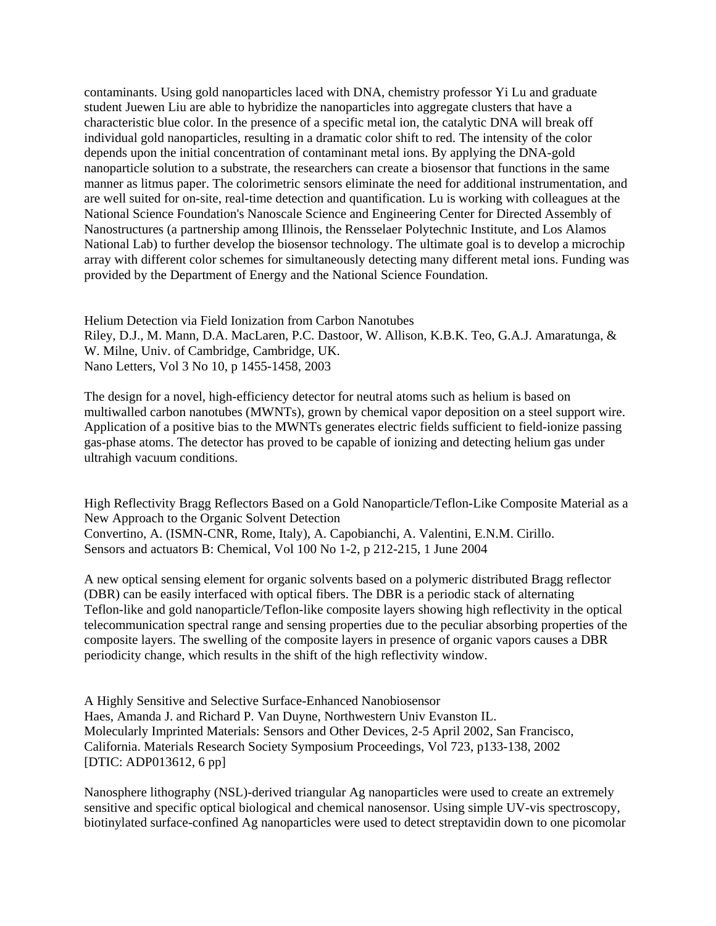contaminants. Using gold nanoparticles laced with DNA, chemistry professor Yi Lu and graduate student Juewen Liu are able to hybridize the nanoparticles into aggregate clusters that have a characteristic blue color. In the presence of a specific metal ion, the catalytic DNA will break off individual gold nanoparticles, resulting in a dramatic color shift to red. The intensity of the color depends upon the initial concentration of contaminant metal ions. By applying the DNA-gold nanoparticle solution to a substrate, the researchers can create a biosensor that functions in the same manner as litmus paper. The colorimetric sensors eliminate the need for additional instrumentation, and are well suited for on-site, real-time detection and quantification. Lu is working with colleagues at the National Science Foundation's Nanoscale Science and Engineering Center for Directed Assembly of Nanostructures (a partnership among Illinois, the Rensselaer Polytechnic Institute, and Los Alamos National Lab) to further develop the biosensor technology. The ultimate goal is to develop a microchip array with different color schemes for simultaneously detecting many different metal ions. Funding was provided by the Department of Energy and the National Science Foundation.

Helium Detection via Field Ionization from Carbon Nanotubes Riley, D.J., M. Mann, D.A. MacLaren, P.C. Dastoor, W. Allison, K.B.K. Teo, G.A.J. Amaratunga, & W. Milne, Univ. of Cambridge, Cambridge, UK. Nano Letters, Vol 3 No 10, p 1455-1458, 2003

The design for a novel, high-efficiency detector for neutral atoms such as helium is based on multiwalled carbon nanotubes (MWNTs), grown by chemical vapor deposition on a steel support wire. Application of a positive bias to the MWNTs generates electric fields sufficient to field-ionize passing gas-phase atoms. The detector has proved to be capable of ionizing and detecting helium gas under ultrahigh vacuum conditions.

High Reflectivity Bragg Reflectors Based on a Gold Nanoparticle/Teflon-Like Composite Material as a New Approach to the Organic Solvent Detection Convertino, A. (ISMN-CNR, Rome, Italy), A. Capobianchi, A. Valentini, E.N.M. Cirillo. Sensors and actuators B: Chemical, Vol 100 No 1-2, p 212-215, 1 June 2004

A new optical sensing element for organic solvents based on a polymeric distributed Bragg reflector (DBR) can be easily interfaced with optical fibers. The DBR is a periodic stack of alternating Teflon-like and gold nanoparticle/Teflon-like composite layers showing high reflectivity in the optical telecommunication spectral range and sensing properties due to the peculiar absorbing properties of the composite layers. The swelling of the composite layers in presence of organic vapors causes a DBR periodicity change, which results in the shift of the high reflectivity window.

A Highly Sensitive and Selective Surface-Enhanced Nanobiosensor Haes, Amanda J. and Richard P. Van Duyne, Northwestern Univ Evanston IL. Molecularly Imprinted Materials: Sensors and Other Devices, 2-5 April 2002, San Francisco, California. Materials Research Society Symposium Proceedings, Vol 723, p133-138, 2002 [DTIC: ADP013612, 6 pp]

Nanosphere lithography (NSL)-derived triangular Ag nanoparticles were used to create an extremely sensitive and specific optical biological and chemical nanosensor. Using simple UV-vis spectroscopy, biotinylated surface-confined Ag nanoparticles were used to detect streptavidin down to one picomolar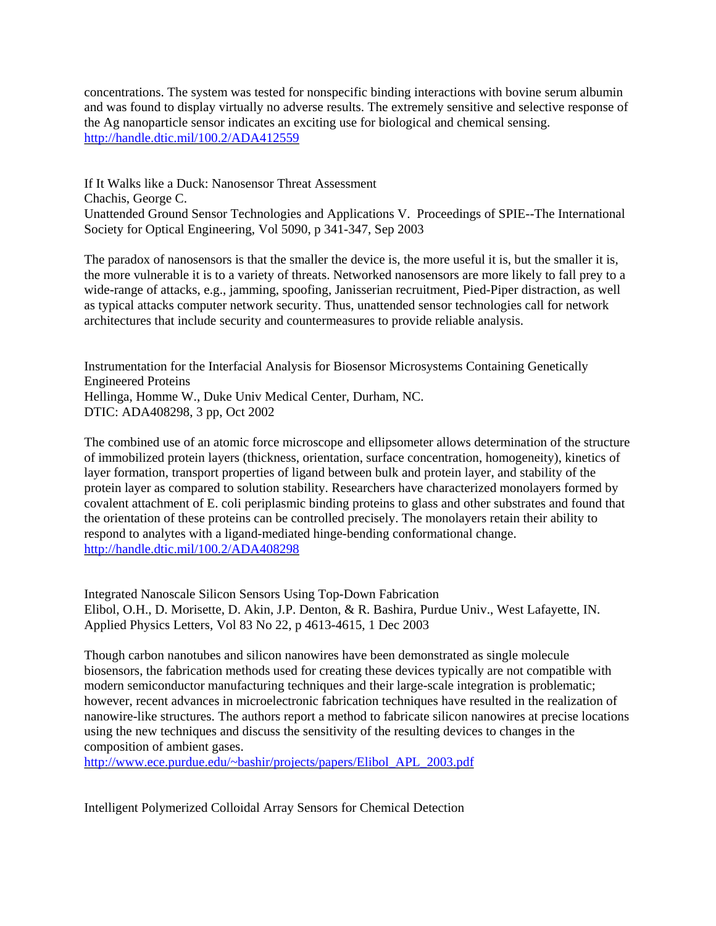concentrations. The system was tested for nonspecific binding interactions with bovine serum albumin and was found to display virtually no adverse results. The extremely sensitive and selective response of the Ag nanoparticle sensor indicates an exciting use for biological and chemical sensing. <http://handle.dtic.mil/100.2/ADA412559>

If It Walks like a Duck: Nanosensor Threat Assessment Chachis, George C. Unattended Ground Sensor Technologies and Applications V. Proceedings of SPIE--The International Society for Optical Engineering, Vol 5090, p 341-347, Sep 2003

The paradox of nanosensors is that the smaller the device is, the more useful it is, but the smaller it is, the more vulnerable it is to a variety of threats. Networked nanosensors are more likely to fall prey to a wide-range of attacks, e.g., jamming, spoofing, Janisserian recruitment, Pied-Piper distraction, as well as typical attacks computer network security. Thus, unattended sensor technologies call for network architectures that include security and countermeasures to provide reliable analysis.

Instrumentation for the Interfacial Analysis for Biosensor Microsystems Containing Genetically Engineered Proteins Hellinga, Homme W., Duke Univ Medical Center, Durham, NC. DTIC: ADA408298, 3 pp, Oct 2002

The combined use of an atomic force microscope and ellipsometer allows determination of the structure of immobilized protein layers (thickness, orientation, surface concentration, homogeneity), kinetics of layer formation, transport properties of ligand between bulk and protein layer, and stability of the protein layer as compared to solution stability. Researchers have characterized monolayers formed by covalent attachment of E. coli periplasmic binding proteins to glass and other substrates and found that the orientation of these proteins can be controlled precisely. The monolayers retain their ability to respond to analytes with a ligand-mediated hinge-bending conformational change. <http://handle.dtic.mil/100.2/ADA408298>

Integrated Nanoscale Silicon Sensors Using Top-Down Fabrication Elibol, O.H., D. Morisette, D. Akin, J.P. Denton, & R. Bashira, Purdue Univ., West Lafayette, IN. Applied Physics Letters, Vol 83 No 22, p 4613-4615, 1 Dec 2003

Though carbon nanotubes and silicon nanowires have been demonstrated as single molecule biosensors, the fabrication methods used for creating these devices typically are not compatible with modern semiconductor manufacturing techniques and their large-scale integration is problematic; however, recent advances in microelectronic fabrication techniques have resulted in the realization of nanowire-like structures. The authors report a method to fabricate silicon nanowires at precise locations using the new techniques and discuss the sensitivity of the resulting devices to changes in the composition of ambient gases.

[http://www.ece.purdue.edu/~bashir/projects/papers/Elibol\\_APL\\_2003.pdf](http://www.ece.purdue.edu/~bashir/projects/papers/Elibol_APL_2003.pdf)

Intelligent Polymerized Colloidal Array Sensors for Chemical Detection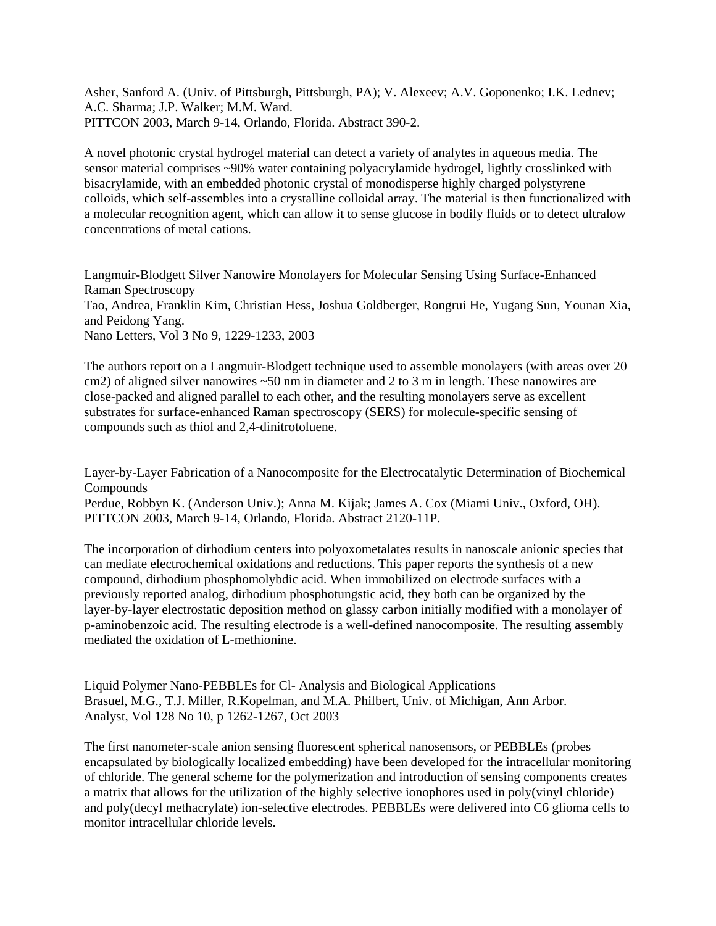Asher, Sanford A. (Univ. of Pittsburgh, Pittsburgh, PA); V. Alexeev; A.V. Goponenko; I.K. Lednev; A.C. Sharma; J.P. Walker; M.M. Ward. PITTCON 2003, March 9-14, Orlando, Florida. Abstract 390-2.

A novel photonic crystal hydrogel material can detect a variety of analytes in aqueous media. The sensor material comprises ~90% water containing polyacrylamide hydrogel, lightly crosslinked with bisacrylamide, with an embedded photonic crystal of monodisperse highly charged polystyrene colloids, which self-assembles into a crystalline colloidal array. The material is then functionalized with a molecular recognition agent, which can allow it to sense glucose in bodily fluids or to detect ultralow concentrations of metal cations.

Langmuir-Blodgett Silver Nanowire Monolayers for Molecular Sensing Using Surface-Enhanced Raman Spectroscopy Tao, Andrea, Franklin Kim, Christian Hess, Joshua Goldberger, Rongrui He, Yugang Sun, Younan Xia, and Peidong Yang. Nano Letters, Vol 3 No 9, 1229-1233, 2003

The authors report on a Langmuir-Blodgett technique used to assemble monolayers (with areas over 20 cm2) of aligned silver nanowires ~50 nm in diameter and 2 to 3 m in length. These nanowires are close-packed and aligned parallel to each other, and the resulting monolayers serve as excellent substrates for surface-enhanced Raman spectroscopy (SERS) for molecule-specific sensing of compounds such as thiol and 2,4-dinitrotoluene.

Layer-by-Layer Fabrication of a Nanocomposite for the Electrocatalytic Determination of Biochemical Compounds Perdue, Robbyn K. (Anderson Univ.); Anna M. Kijak; James A. Cox (Miami Univ., Oxford, OH).

PITTCON 2003, March 9-14, Orlando, Florida. Abstract 2120-11P.

The incorporation of dirhodium centers into polyoxometalates results in nanoscale anionic species that can mediate electrochemical oxidations and reductions. This paper reports the synthesis of a new compound, dirhodium phosphomolybdic acid. When immobilized on electrode surfaces with a previously reported analog, dirhodium phosphotungstic acid, they both can be organized by the layer-by-layer electrostatic deposition method on glassy carbon initially modified with a monolayer of p-aminobenzoic acid. The resulting electrode is a well-defined nanocomposite. The resulting assembly mediated the oxidation of L-methionine.

Liquid Polymer Nano-PEBBLEs for Cl- Analysis and Biological Applications Brasuel, M.G., T.J. Miller, R.Kopelman, and M.A. Philbert, Univ. of Michigan, Ann Arbor. Analyst, Vol 128 No 10, p 1262-1267, Oct 2003

The first nanometer-scale anion sensing fluorescent spherical nanosensors, or PEBBLEs (probes encapsulated by biologically localized embedding) have been developed for the intracellular monitoring of chloride. The general scheme for the polymerization and introduction of sensing components creates a matrix that allows for the utilization of the highly selective ionophores used in poly(vinyl chloride) and poly(decyl methacrylate) ion-selective electrodes. PEBBLEs were delivered into C6 glioma cells to monitor intracellular chloride levels.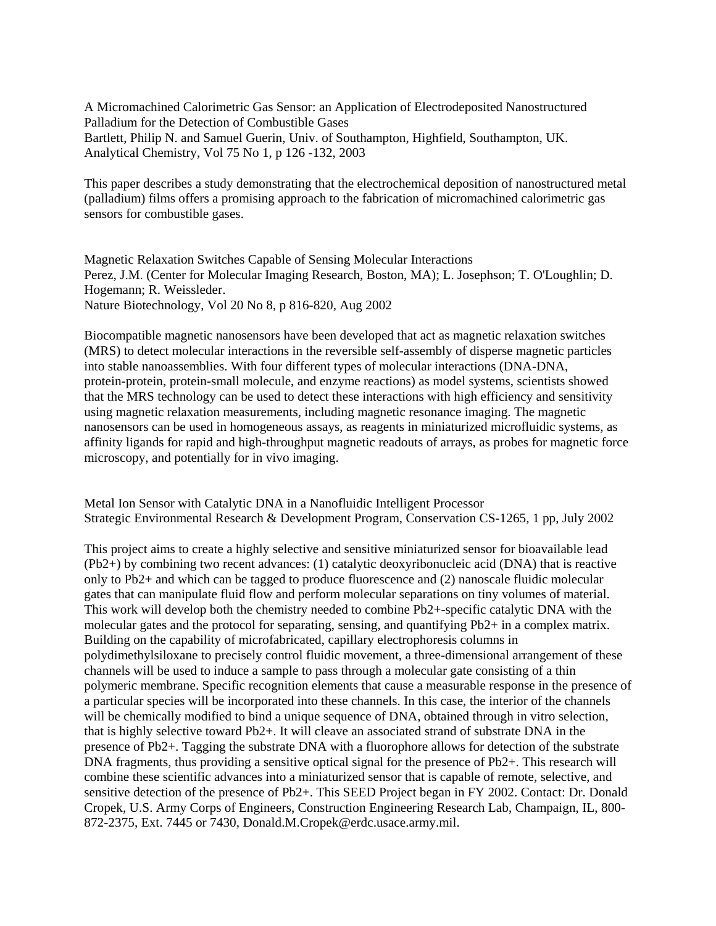A Micromachined Calorimetric Gas Sensor: an Application of Electrodeposited Nanostructured Palladium for the Detection of Combustible Gases Bartlett, Philip N. and Samuel Guerin, Univ. of Southampton, Highfield, Southampton, UK. Analytical Chemistry, Vol 75 No 1, p 126 -132, 2003

This paper describes a study demonstrating that the electrochemical deposition of nanostructured metal (palladium) films offers a promising approach to the fabrication of micromachined calorimetric gas sensors for combustible gases.

Magnetic Relaxation Switches Capable of Sensing Molecular Interactions Perez, J.M. (Center for Molecular Imaging Research, Boston, MA); L. Josephson; T. O'Loughlin; D. Hogemann; R. Weissleder. Nature Biotechnology, Vol 20 No 8, p 816-820, Aug 2002

Biocompatible magnetic nanosensors have been developed that act as magnetic relaxation switches (MRS) to detect molecular interactions in the reversible self-assembly of disperse magnetic particles into stable nanoassemblies. With four different types of molecular interactions (DNA-DNA, protein-protein, protein-small molecule, and enzyme reactions) as model systems, scientists showed that the MRS technology can be used to detect these interactions with high efficiency and sensitivity using magnetic relaxation measurements, including magnetic resonance imaging. The magnetic nanosensors can be used in homogeneous assays, as reagents in miniaturized microfluidic systems, as affinity ligands for rapid and high-throughput magnetic readouts of arrays, as probes for magnetic force microscopy, and potentially for in vivo imaging.

Metal Ion Sensor with Catalytic DNA in a Nanofluidic Intelligent Processor Strategic Environmental Research & Development Program, Conservation CS-1265, 1 pp, July 2002

This project aims to create a highly selective and sensitive miniaturized sensor for bioavailable lead (Pb2+) by combining two recent advances: (1) catalytic deoxyribonucleic acid (DNA) that is reactive only to Pb2+ and which can be tagged to produce fluorescence and (2) nanoscale fluidic molecular gates that can manipulate fluid flow and perform molecular separations on tiny volumes of material. This work will develop both the chemistry needed to combine Pb2+-specific catalytic DNA with the molecular gates and the protocol for separating, sensing, and quantifying Pb2+ in a complex matrix. Building on the capability of microfabricated, capillary electrophoresis columns in polydimethylsiloxane to precisely control fluidic movement, a three-dimensional arrangement of these channels will be used to induce a sample to pass through a molecular gate consisting of a thin polymeric membrane. Specific recognition elements that cause a measurable response in the presence of a particular species will be incorporated into these channels. In this case, the interior of the channels will be chemically modified to bind a unique sequence of DNA, obtained through in vitro selection, that is highly selective toward Pb2+. It will cleave an associated strand of substrate DNA in the presence of Pb2+. Tagging the substrate DNA with a fluorophore allows for detection of the substrate DNA fragments, thus providing a sensitive optical signal for the presence of Pb2+. This research will combine these scientific advances into a miniaturized sensor that is capable of remote, selective, and sensitive detection of the presence of Pb2+. This SEED Project began in FY 2002. Contact: Dr. Donald Cropek, U.S. Army Corps of Engineers, Construction Engineering Research Lab, Champaign, IL, 800- 872-2375, Ext. 7445 or 7430, Donald.M.Cropek@erdc.usace.army.mil.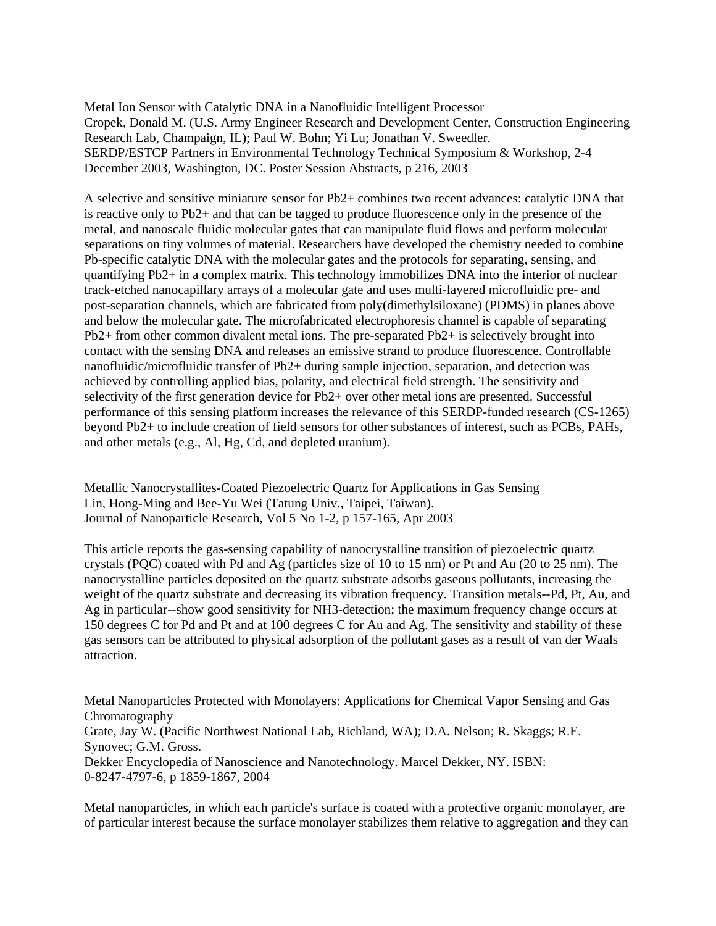Metal Ion Sensor with Catalytic DNA in a Nanofluidic Intelligent Processor Cropek, Donald M. (U.S. Army Engineer Research and Development Center, Construction Engineering Research Lab, Champaign, IL); Paul W. Bohn; Yi Lu; Jonathan V. Sweedler. SERDP/ESTCP Partners in Environmental Technology Technical Symposium & Workshop, 2-4 December 2003, Washington, DC. Poster Session Abstracts, p 216, 2003

A selective and sensitive miniature sensor for Pb2+ combines two recent advances: catalytic DNA that is reactive only to Pb2+ and that can be tagged to produce fluorescence only in the presence of the metal, and nanoscale fluidic molecular gates that can manipulate fluid flows and perform molecular separations on tiny volumes of material. Researchers have developed the chemistry needed to combine Pb-specific catalytic DNA with the molecular gates and the protocols for separating, sensing, and quantifying Pb2+ in a complex matrix. This technology immobilizes DNA into the interior of nuclear track-etched nanocapillary arrays of a molecular gate and uses multi-layered microfluidic pre- and post-separation channels, which are fabricated from poly(dimethylsiloxane) (PDMS) in planes above and below the molecular gate. The microfabricated electrophoresis channel is capable of separating Pb2+ from other common divalent metal ions. The pre-separated Pb2+ is selectively brought into contact with the sensing DNA and releases an emissive strand to produce fluorescence. Controllable nanofluidic/microfluidic transfer of Pb2+ during sample injection, separation, and detection was achieved by controlling applied bias, polarity, and electrical field strength. The sensitivity and selectivity of the first generation device for Pb2+ over other metal ions are presented. Successful performance of this sensing platform increases the relevance of this SERDP-funded research (CS-1265) beyond Pb2+ to include creation of field sensors for other substances of interest, such as PCBs, PAHs, and other metals (e.g., Al, Hg, Cd, and depleted uranium).

Metallic Nanocrystallites-Coated Piezoelectric Quartz for Applications in Gas Sensing Lin, Hong-Ming and Bee-Yu Wei (Tatung Univ., Taipei, Taiwan). Journal of Nanoparticle Research, Vol 5 No 1-2, p 157-165, Apr 2003

This article reports the gas-sensing capability of nanocrystalline transition of piezoelectric quartz crystals (PQC) coated with Pd and Ag (particles size of 10 to 15 nm) or Pt and Au (20 to 25 nm). The nanocrystalline particles deposited on the quartz substrate adsorbs gaseous pollutants, increasing the weight of the quartz substrate and decreasing its vibration frequency. Transition metals--Pd, Pt, Au, and Ag in particular--show good sensitivity for NH3-detection; the maximum frequency change occurs at 150 degrees C for Pd and Pt and at 100 degrees C for Au and Ag. The sensitivity and stability of these gas sensors can be attributed to physical adsorption of the pollutant gases as a result of van der Waals attraction.

Metal Nanoparticles Protected with Monolayers: Applications for Chemical Vapor Sensing and Gas Chromatography Grate, Jay W. (Pacific Northwest National Lab, Richland, WA); D.A. Nelson; R. Skaggs; R.E. Synovec; G.M. Gross. Dekker Encyclopedia of Nanoscience and Nanotechnology. Marcel Dekker, NY. ISBN: 0-8247-4797-6, p 1859-1867, 2004

Metal nanoparticles, in which each particle's surface is coated with a protective organic monolayer, are of particular interest because the surface monolayer stabilizes them relative to aggregation and they can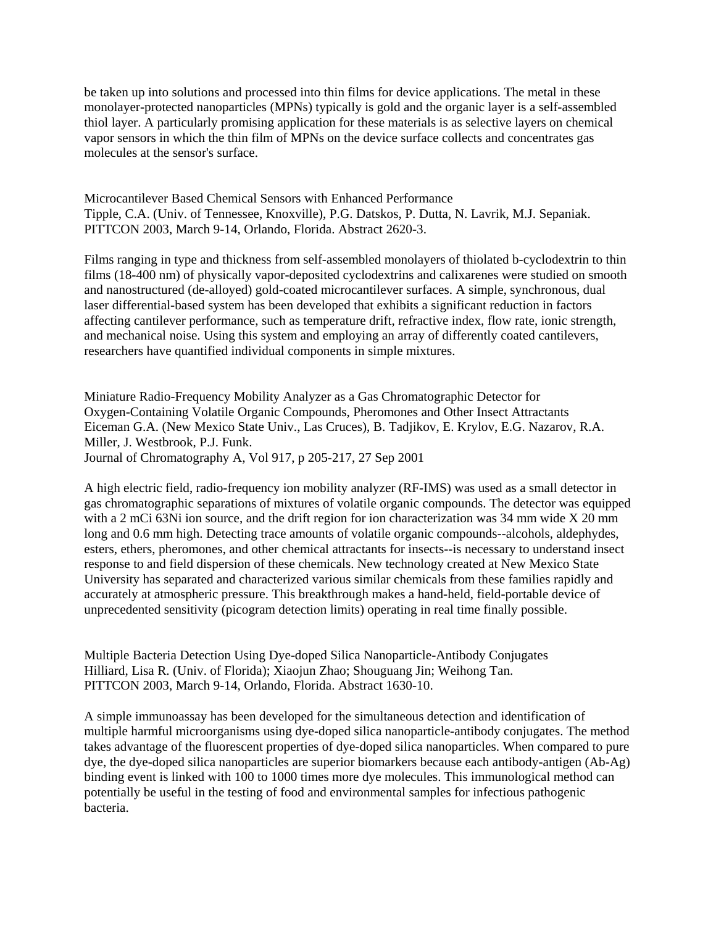be taken up into solutions and processed into thin films for device applications. The metal in these monolayer-protected nanoparticles (MPNs) typically is gold and the organic layer is a self-assembled thiol layer. A particularly promising application for these materials is as selective layers on chemical vapor sensors in which the thin film of MPNs on the device surface collects and concentrates gas molecules at the sensor's surface.

Microcantilever Based Chemical Sensors with Enhanced Performance Tipple, C.A. (Univ. of Tennessee, Knoxville), P.G. Datskos, P. Dutta, N. Lavrik, M.J. Sepaniak. PITTCON 2003, March 9-14, Orlando, Florida. Abstract 2620-3.

Films ranging in type and thickness from self-assembled monolayers of thiolated b-cyclodextrin to thin films (18-400 nm) of physically vapor-deposited cyclodextrins and calixarenes were studied on smooth and nanostructured (de-alloyed) gold-coated microcantilever surfaces. A simple, synchronous, dual laser differential-based system has been developed that exhibits a significant reduction in factors affecting cantilever performance, such as temperature drift, refractive index, flow rate, ionic strength, and mechanical noise. Using this system and employing an array of differently coated cantilevers, researchers have quantified individual components in simple mixtures.

Miniature Radio-Frequency Mobility Analyzer as a Gas Chromatographic Detector for Oxygen-Containing Volatile Organic Compounds, Pheromones and Other Insect Attractants Eiceman G.A. (New Mexico State Univ., Las Cruces), B. Tadjikov, E. Krylov, E.G. Nazarov, R.A. Miller, J. Westbrook, P.J. Funk. Journal of Chromatography A, Vol 917, p 205-217, 27 Sep 2001

A high electric field, radio-frequency ion mobility analyzer (RF-IMS) was used as a small detector in gas chromatographic separations of mixtures of volatile organic compounds. The detector was equipped with a 2 mCi 63Ni ion source, and the drift region for ion characterization was 34 mm wide X 20 mm long and 0.6 mm high. Detecting trace amounts of volatile organic compounds--alcohols, aldephydes, esters, ethers, pheromones, and other chemical attractants for insects--is necessary to understand insect response to and field dispersion of these chemicals. New technology created at New Mexico State University has separated and characterized various similar chemicals from these families rapidly and accurately at atmospheric pressure. This breakthrough makes a hand-held, field-portable device of unprecedented sensitivity (picogram detection limits) operating in real time finally possible.

Multiple Bacteria Detection Using Dye-doped Silica Nanoparticle-Antibody Conjugates Hilliard, Lisa R. (Univ. of Florida); Xiaojun Zhao; Shouguang Jin; Weihong Tan. PITTCON 2003, March 9-14, Orlando, Florida. Abstract 1630-10.

A simple immunoassay has been developed for the simultaneous detection and identification of multiple harmful microorganisms using dye-doped silica nanoparticle-antibody conjugates. The method takes advantage of the fluorescent properties of dye-doped silica nanoparticles. When compared to pure dye, the dye-doped silica nanoparticles are superior biomarkers because each antibody-antigen (Ab-Ag) binding event is linked with 100 to 1000 times more dye molecules. This immunological method can potentially be useful in the testing of food and environmental samples for infectious pathogenic bacteria.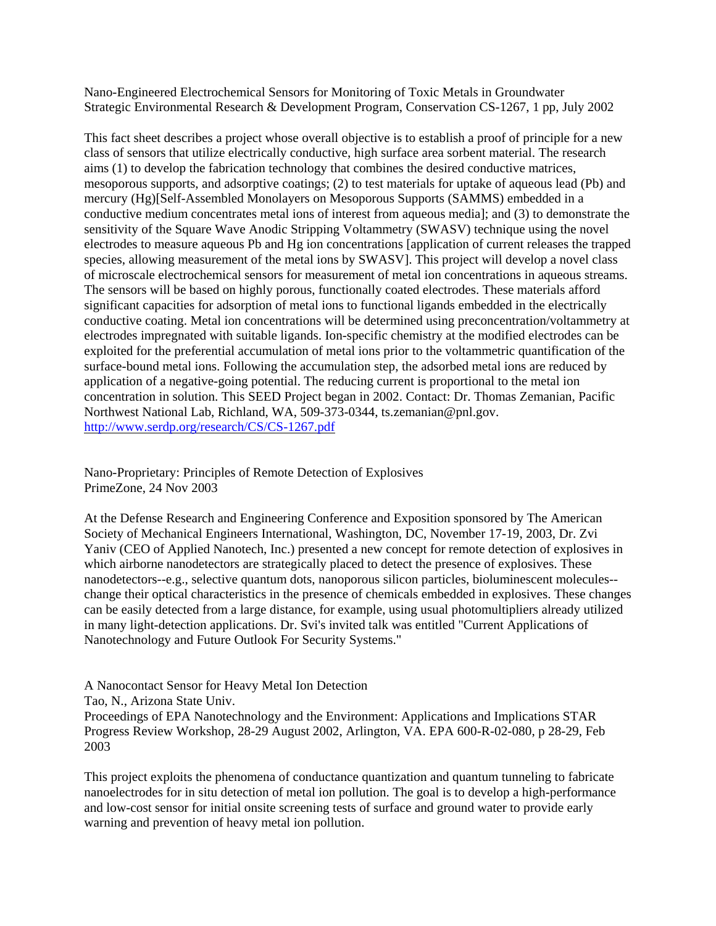Nano-Engineered Electrochemical Sensors for Monitoring of Toxic Metals in Groundwater Strategic Environmental Research & Development Program, Conservation CS-1267, 1 pp, July 2002

This fact sheet describes a project whose overall objective is to establish a proof of principle for a new class of sensors that utilize electrically conductive, high surface area sorbent material. The research aims (1) to develop the fabrication technology that combines the desired conductive matrices, mesoporous supports, and adsorptive coatings; (2) to test materials for uptake of aqueous lead (Pb) and mercury (Hg)[Self-Assembled Monolayers on Mesoporous Supports (SAMMS) embedded in a conductive medium concentrates metal ions of interest from aqueous media]; and (3) to demonstrate the sensitivity of the Square Wave Anodic Stripping Voltammetry (SWASV) technique using the novel electrodes to measure aqueous Pb and Hg ion concentrations [application of current releases the trapped species, allowing measurement of the metal ions by SWASV]. This project will develop a novel class of microscale electrochemical sensors for measurement of metal ion concentrations in aqueous streams. The sensors will be based on highly porous, functionally coated electrodes. These materials afford significant capacities for adsorption of metal ions to functional ligands embedded in the electrically conductive coating. Metal ion concentrations will be determined using preconcentration/voltammetry at electrodes impregnated with suitable ligands. Ion-specific chemistry at the modified electrodes can be exploited for the preferential accumulation of metal ions prior to the voltammetric quantification of the surface-bound metal ions. Following the accumulation step, the adsorbed metal ions are reduced by application of a negative-going potential. The reducing current is proportional to the metal ion concentration in solution. This SEED Project began in 2002. Contact: Dr. Thomas Zemanian, Pacific Northwest National Lab, Richland, WA, 509-373-0344, ts.zemanian@pnl.gov. <http://www.serdp.org/research/CS/CS-1267.pdf>

Nano-Proprietary: Principles of Remote Detection of Explosives PrimeZone, 24 Nov 2003

At the Defense Research and Engineering Conference and Exposition sponsored by The American Society of Mechanical Engineers International, Washington, DC, November 17-19, 2003, Dr. Zvi Yaniv (CEO of Applied Nanotech, Inc.) presented a new concept for remote detection of explosives in which airborne nanodetectors are strategically placed to detect the presence of explosives. These nanodetectors--e.g., selective quantum dots, nanoporous silicon particles, bioluminescent molecules- change their optical characteristics in the presence of chemicals embedded in explosives. These changes can be easily detected from a large distance, for example, using usual photomultipliers already utilized in many light-detection applications. Dr. Svi's invited talk was entitled "Current Applications of Nanotechnology and Future Outlook For Security Systems."

A Nanocontact Sensor for Heavy Metal Ion Detection

Tao, N., Arizona State Univ.

Proceedings of EPA Nanotechnology and the Environment: Applications and Implications STAR Progress Review Workshop, 28-29 August 2002, Arlington, VA. EPA 600-R-02-080, p 28-29, Feb 2003

This project exploits the phenomena of conductance quantization and quantum tunneling to fabricate nanoelectrodes for in situ detection of metal ion pollution. The goal is to develop a high-performance and low-cost sensor for initial onsite screening tests of surface and ground water to provide early warning and prevention of heavy metal ion pollution.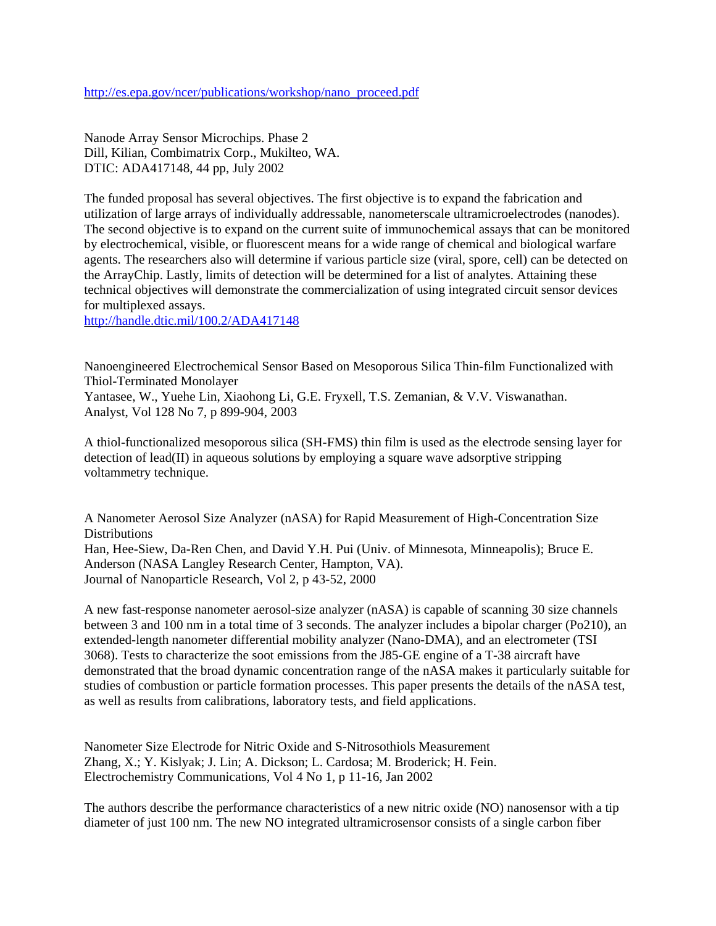[http://es.epa.gov/ncer/publications/workshop/nano\\_proceed.pdf](http://es.epa.gov/ncer/publications/workshop/nano_proceed.pdf) 

Nanode Array Sensor Microchips. Phase 2 Dill, Kilian, Combimatrix Corp., Mukilteo, WA. DTIC: ADA417148, 44 pp, July 2002

The funded proposal has several objectives. The first objective is to expand the fabrication and utilization of large arrays of individually addressable, nanometerscale ultramicroelectrodes (nanodes). The second objective is to expand on the current suite of immunochemical assays that can be monitored by electrochemical, visible, or fluorescent means for a wide range of chemical and biological warfare agents. The researchers also will determine if various particle size (viral, spore, cell) can be detected on the ArrayChip. Lastly, limits of detection will be determined for a list of analytes. Attaining these technical objectives will demonstrate the commercialization of using integrated circuit sensor devices for multiplexed assays.

<http://handle.dtic.mil/100.2/ADA417148>

Nanoengineered Electrochemical Sensor Based on Mesoporous Silica Thin-film Functionalized with Thiol-Terminated Monolayer Yantasee, W., Yuehe Lin, Xiaohong Li, G.E. Fryxell, T.S. Zemanian, & V.V. Viswanathan. Analyst, Vol 128 No 7, p 899-904, 2003

A thiol-functionalized mesoporous silica (SH-FMS) thin film is used as the electrode sensing layer for detection of lead(II) in aqueous solutions by employing a square wave adsorptive stripping voltammetry technique.

A Nanometer Aerosol Size Analyzer (nASA) for Rapid Measurement of High-Concentration Size **Distributions** Han, Hee-Siew, Da-Ren Chen, and David Y.H. Pui (Univ. of Minnesota, Minneapolis); Bruce E. Anderson (NASA Langley Research Center, Hampton, VA). Journal of Nanoparticle Research, Vol 2, p 43-52, 2000

A new fast-response nanometer aerosol-size analyzer (nASA) is capable of scanning 30 size channels between 3 and 100 nm in a total time of 3 seconds. The analyzer includes a bipolar charger (Po210), an extended-length nanometer differential mobility analyzer (Nano-DMA), and an electrometer (TSI 3068). Tests to characterize the soot emissions from the J85-GE engine of a T-38 aircraft have demonstrated that the broad dynamic concentration range of the nASA makes it particularly suitable for studies of combustion or particle formation processes. This paper presents the details of the nASA test, as well as results from calibrations, laboratory tests, and field applications.

Nanometer Size Electrode for Nitric Oxide and S-Nitrosothiols Measurement Zhang, X.; Y. Kislyak; J. Lin; A. Dickson; L. Cardosa; M. Broderick; H. Fein. Electrochemistry Communications, Vol 4 No 1, p 11-16, Jan 2002

The authors describe the performance characteristics of a new nitric oxide (NO) nanosensor with a tip diameter of just 100 nm. The new NO integrated ultramicrosensor consists of a single carbon fiber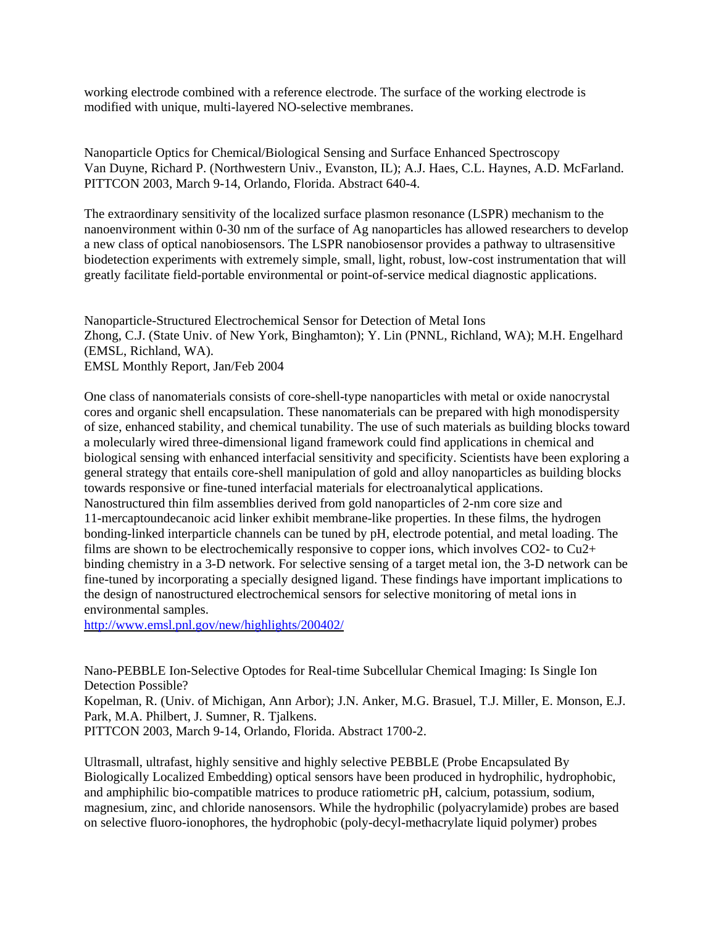working electrode combined with a reference electrode. The surface of the working electrode is modified with unique, multi-layered NO-selective membranes.

Nanoparticle Optics for Chemical/Biological Sensing and Surface Enhanced Spectroscopy Van Duyne, Richard P. (Northwestern Univ., Evanston, IL); A.J. Haes, C.L. Haynes, A.D. McFarland. PITTCON 2003, March 9-14, Orlando, Florida. Abstract 640-4.

The extraordinary sensitivity of the localized surface plasmon resonance (LSPR) mechanism to the nanoenvironment within 0-30 nm of the surface of Ag nanoparticles has allowed researchers to develop a new class of optical nanobiosensors. The LSPR nanobiosensor provides a pathway to ultrasensitive biodetection experiments with extremely simple, small, light, robust, low-cost instrumentation that will greatly facilitate field-portable environmental or point-of-service medical diagnostic applications.

Nanoparticle-Structured Electrochemical Sensor for Detection of Metal Ions Zhong, C.J. (State Univ. of New York, Binghamton); Y. Lin (PNNL, Richland, WA); M.H. Engelhard (EMSL, Richland, WA). EMSL Monthly Report, Jan/Feb 2004

One class of nanomaterials consists of core-shell-type nanoparticles with metal or oxide nanocrystal cores and organic shell encapsulation. These nanomaterials can be prepared with high monodispersity of size, enhanced stability, and chemical tunability. The use of such materials as building blocks toward a molecularly wired three-dimensional ligand framework could find applications in chemical and biological sensing with enhanced interfacial sensitivity and specificity. Scientists have been exploring a general strategy that entails core-shell manipulation of gold and alloy nanoparticles as building blocks towards responsive or fine-tuned interfacial materials for electroanalytical applications. Nanostructured thin film assemblies derived from gold nanoparticles of 2-nm core size and 11-mercaptoundecanoic acid linker exhibit membrane-like properties. In these films, the hydrogen bonding-linked interparticle channels can be tuned by pH, electrode potential, and metal loading. The films are shown to be electrochemically responsive to copper ions, which involves CO2- to Cu2+ binding chemistry in a 3-D network. For selective sensing of a target metal ion, the 3-D network can be fine-tuned by incorporating a specially designed ligand. These findings have important implications to the design of nanostructured electrochemical sensors for selective monitoring of metal ions in environmental samples.

<http://www.emsl.pnl.gov/new/highlights/200402/>

Nano-PEBBLE Ion-Selective Optodes for Real-time Subcellular Chemical Imaging: Is Single Ion Detection Possible? Kopelman, R. (Univ. of Michigan, Ann Arbor); J.N. Anker, M.G. Brasuel, T.J. Miller, E. Monson, E.J. Park, M.A. Philbert, J. Sumner, R. Tjalkens. PITTCON 2003, March 9-14, Orlando, Florida. Abstract 1700-2.

Ultrasmall, ultrafast, highly sensitive and highly selective PEBBLE (Probe Encapsulated By Biologically Localized Embedding) optical sensors have been produced in hydrophilic, hydrophobic, and amphiphilic bio-compatible matrices to produce ratiometric pH, calcium, potassium, sodium, magnesium, zinc, and chloride nanosensors. While the hydrophilic (polyacrylamide) probes are based on selective fluoro-ionophores, the hydrophobic (poly-decyl-methacrylate liquid polymer) probes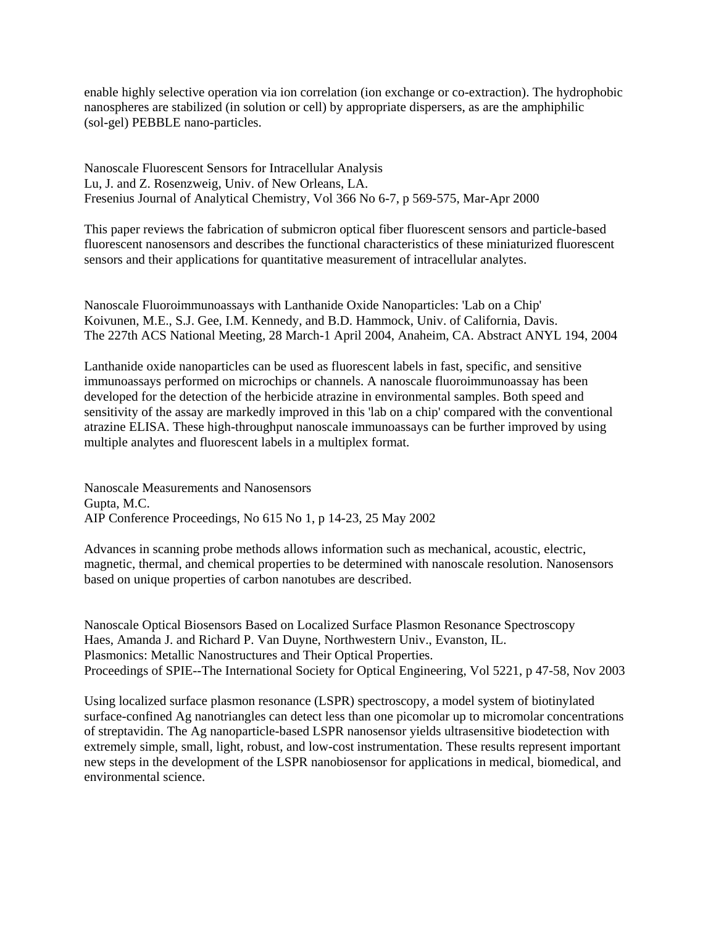enable highly selective operation via ion correlation (ion exchange or co-extraction). The hydrophobic nanospheres are stabilized (in solution or cell) by appropriate dispersers, as are the amphiphilic (sol-gel) PEBBLE nano-particles.

Nanoscale Fluorescent Sensors for Intracellular Analysis Lu, J. and Z. Rosenzweig, Univ. of New Orleans, LA. Fresenius Journal of Analytical Chemistry, Vol 366 No 6-7, p 569-575, Mar-Apr 2000

This paper reviews the fabrication of submicron optical fiber fluorescent sensors and particle-based fluorescent nanosensors and describes the functional characteristics of these miniaturized fluorescent sensors and their applications for quantitative measurement of intracellular analytes.

Nanoscale Fluoroimmunoassays with Lanthanide Oxide Nanoparticles: 'Lab on a Chip' Koivunen, M.E., S.J. Gee, I.M. Kennedy, and B.D. Hammock, Univ. of California, Davis. The 227th ACS National Meeting, 28 March-1 April 2004, Anaheim, CA. Abstract ANYL 194, 2004

Lanthanide oxide nanoparticles can be used as fluorescent labels in fast, specific, and sensitive immunoassays performed on microchips or channels. A nanoscale fluoroimmunoassay has been developed for the detection of the herbicide atrazine in environmental samples. Both speed and sensitivity of the assay are markedly improved in this 'lab on a chip' compared with the conventional atrazine ELISA. These high-throughput nanoscale immunoassays can be further improved by using multiple analytes and fluorescent labels in a multiplex format.

Nanoscale Measurements and Nanosensors Gupta, M.C. AIP Conference Proceedings, No 615 No 1, p 14-23, 25 May 2002

Advances in scanning probe methods allows information such as mechanical, acoustic, electric, magnetic, thermal, and chemical properties to be determined with nanoscale resolution. Nanosensors based on unique properties of carbon nanotubes are described.

Nanoscale Optical Biosensors Based on Localized Surface Plasmon Resonance Spectroscopy Haes, Amanda J. and Richard P. Van Duyne, Northwestern Univ., Evanston, IL. Plasmonics: Metallic Nanostructures and Their Optical Properties. Proceedings of SPIE--The International Society for Optical Engineering, Vol 5221, p 47-58, Nov 2003

Using localized surface plasmon resonance (LSPR) spectroscopy, a model system of biotinylated surface-confined Ag nanotriangles can detect less than one picomolar up to micromolar concentrations of streptavidin. The Ag nanoparticle-based LSPR nanosensor yields ultrasensitive biodetection with extremely simple, small, light, robust, and low-cost instrumentation. These results represent important new steps in the development of the LSPR nanobiosensor for applications in medical, biomedical, and environmental science.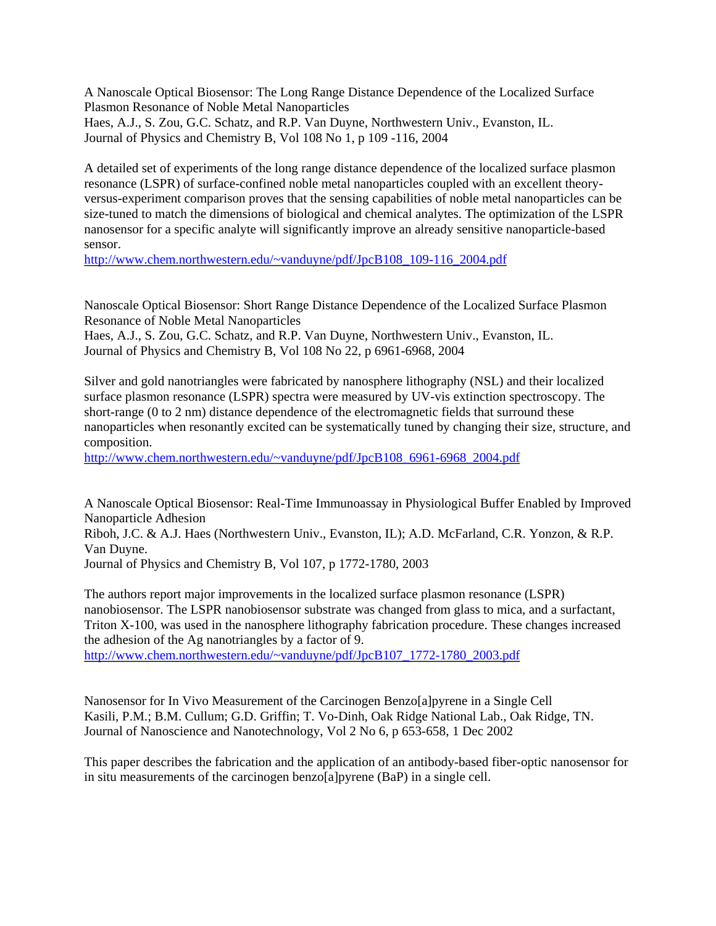A Nanoscale Optical Biosensor: The Long Range Distance Dependence of the Localized Surface Plasmon Resonance of Noble Metal Nanoparticles Haes, A.J., S. Zou, G.C. Schatz, and R.P. Van Duyne, Northwestern Univ., Evanston, IL. Journal of Physics and Chemistry B, Vol 108 No 1, p 109 -116, 2004

A detailed set of experiments of the long range distance dependence of the localized surface plasmon resonance (LSPR) of surface-confined noble metal nanoparticles coupled with an excellent theoryversus-experiment comparison proves that the sensing capabilities of noble metal nanoparticles can be size-tuned to match the dimensions of biological and chemical analytes. The optimization of the LSPR nanosensor for a specific analyte will significantly improve an already sensitive nanoparticle-based sensor.

[http://www.chem.northwestern.edu/~vanduyne/pdf/JpcB108\\_109-116\\_2004.pdf](http://www.chem.northwestern.edu/~vanduyne/pdf/JpcB108_109-116_2004.pdf) 

Nanoscale Optical Biosensor: Short Range Distance Dependence of the Localized Surface Plasmon Resonance of Noble Metal Nanoparticles

Haes, A.J., S. Zou, G.C. Schatz, and R.P. Van Duyne, Northwestern Univ., Evanston, IL. Journal of Physics and Chemistry B, Vol 108 No 22, p 6961-6968, 2004

Silver and gold nanotriangles were fabricated by nanosphere lithography (NSL) and their localized surface plasmon resonance (LSPR) spectra were measured by UV-vis extinction spectroscopy. The short-range (0 to 2 nm) distance dependence of the electromagnetic fields that surround these nanoparticles when resonantly excited can be systematically tuned by changing their size, structure, and composition.

[http://www.chem.northwestern.edu/~vanduyne/pdf/JpcB108\\_6961-6968\\_2004.pdf](http://www.chem.northwestern.edu/~vanduyne/pdf/JpcB108_6961-6968_2004.pdf) 

A Nanoscale Optical Biosensor: Real-Time Immunoassay in Physiological Buffer Enabled by Improved Nanoparticle Adhesion

Riboh, J.C. & A.J. Haes (Northwestern Univ., Evanston, IL); A.D. McFarland, C.R. Yonzon, & R.P. Van Duyne.

Journal of Physics and Chemistry B, Vol 107, p 1772-1780, 2003

The authors report major improvements in the localized surface plasmon resonance (LSPR) nanobiosensor. The LSPR nanobiosensor substrate was changed from glass to mica, and a surfactant, Triton X-100, was used in the nanosphere lithography fabrication procedure. These changes increased the adhesion of the Ag nanotriangles by a factor of 9. [http://www.chem.northwestern.edu/~vanduyne/pdf/JpcB107\\_1772-1780\\_2003.pdf](http://www.chem.northwestern.edu/~vanduyne/pdf/JpcB107_1772-1780_2003.pdf)

Nanosensor for In Vivo Measurement of the Carcinogen Benzo[a]pyrene in a Single Cell Kasili, P.M.; B.M. Cullum; G.D. Griffin; T. Vo-Dinh, Oak Ridge National Lab., Oak Ridge, TN. Journal of Nanoscience and Nanotechnology, Vol 2 No 6, p 653-658, 1 Dec 2002

This paper describes the fabrication and the application of an antibody-based fiber-optic nanosensor for in situ measurements of the carcinogen benzo[a]pyrene (BaP) in a single cell.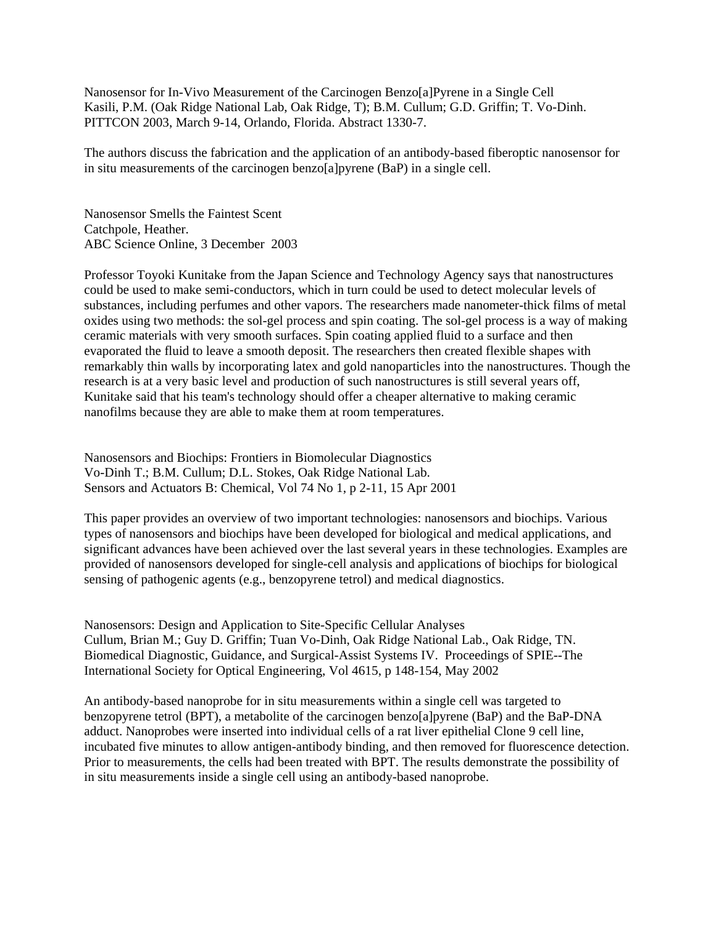Nanosensor for In-Vivo Measurement of the Carcinogen Benzo[a]Pyrene in a Single Cell Kasili, P.M. (Oak Ridge National Lab, Oak Ridge, T); B.M. Cullum; G.D. Griffin; T. Vo-Dinh. PITTCON 2003, March 9-14, Orlando, Florida. Abstract 1330-7.

The authors discuss the fabrication and the application of an antibody-based fiberoptic nanosensor for in situ measurements of the carcinogen benzo[a]pyrene (BaP) in a single cell.

Nanosensor Smells the Faintest Scent Catchpole, Heather. ABC Science Online, 3 December 2003

Professor Toyoki Kunitake from the Japan Science and Technology Agency says that nanostructures could be used to make semi-conductors, which in turn could be used to detect molecular levels of substances, including perfumes and other vapors. The researchers made nanometer-thick films of metal oxides using two methods: the sol-gel process and spin coating. The sol-gel process is a way of making ceramic materials with very smooth surfaces. Spin coating applied fluid to a surface and then evaporated the fluid to leave a smooth deposit. The researchers then created flexible shapes with remarkably thin walls by incorporating latex and gold nanoparticles into the nanostructures. Though the research is at a very basic level and production of such nanostructures is still several years off, Kunitake said that his team's technology should offer a cheaper alternative to making ceramic nanofilms because they are able to make them at room temperatures.

Nanosensors and Biochips: Frontiers in Biomolecular Diagnostics Vo-Dinh T.; B.M. Cullum; D.L. Stokes, Oak Ridge National Lab. Sensors and Actuators B: Chemical, Vol 74 No 1, p 2-11, 15 Apr 2001

This paper provides an overview of two important technologies: nanosensors and biochips. Various types of nanosensors and biochips have been developed for biological and medical applications, and significant advances have been achieved over the last several years in these technologies. Examples are provided of nanosensors developed for single-cell analysis and applications of biochips for biological sensing of pathogenic agents (e.g., benzopyrene tetrol) and medical diagnostics.

Nanosensors: Design and Application to Site-Specific Cellular Analyses Cullum, Brian M.; Guy D. Griffin; Tuan Vo-Dinh, Oak Ridge National Lab., Oak Ridge, TN. Biomedical Diagnostic, Guidance, and Surgical-Assist Systems IV. Proceedings of SPIE--The International Society for Optical Engineering, Vol 4615, p 148-154, May 2002

An antibody-based nanoprobe for in situ measurements within a single cell was targeted to benzopyrene tetrol (BPT), a metabolite of the carcinogen benzo[a]pyrene (BaP) and the BaP-DNA adduct. Nanoprobes were inserted into individual cells of a rat liver epithelial Clone 9 cell line, incubated five minutes to allow antigen-antibody binding, and then removed for fluorescence detection. Prior to measurements, the cells had been treated with BPT. The results demonstrate the possibility of in situ measurements inside a single cell using an antibody-based nanoprobe.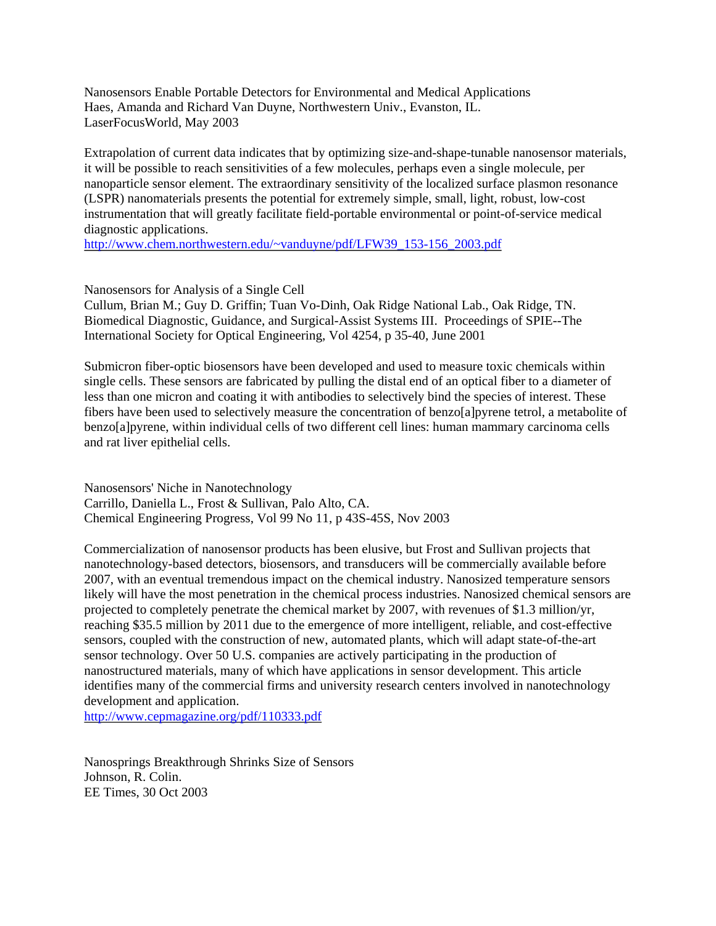Nanosensors Enable Portable Detectors for Environmental and Medical Applications Haes, Amanda and Richard Van Duyne, Northwestern Univ., Evanston, IL. LaserFocusWorld, May 2003

Extrapolation of current data indicates that by optimizing size-and-shape-tunable nanosensor materials, it will be possible to reach sensitivities of a few molecules, perhaps even a single molecule, per nanoparticle sensor element. The extraordinary sensitivity of the localized surface plasmon resonance (LSPR) nanomaterials presents the potential for extremely simple, small, light, robust, low-cost instrumentation that will greatly facilitate field-portable environmental or point-of-service medical diagnostic applications.

[http://www.chem.northwestern.edu/~vanduyne/pdf/LFW39\\_153-156\\_2003.pdf](http://www.chem.northwestern.edu/~vanduyne/pdf/LFW39_153-156_2003.pdf)

Nanosensors for Analysis of a Single Cell

Cullum, Brian M.; Guy D. Griffin; Tuan Vo-Dinh, Oak Ridge National Lab., Oak Ridge, TN. Biomedical Diagnostic, Guidance, and Surgical-Assist Systems III. Proceedings of SPIE--The International Society for Optical Engineering, Vol 4254, p 35-40, June 2001

Submicron fiber-optic biosensors have been developed and used to measure toxic chemicals within single cells. These sensors are fabricated by pulling the distal end of an optical fiber to a diameter of less than one micron and coating it with antibodies to selectively bind the species of interest. These fibers have been used to selectively measure the concentration of benzo[a]pyrene tetrol, a metabolite of benzo[a]pyrene, within individual cells of two different cell lines: human mammary carcinoma cells and rat liver epithelial cells.

Nanosensors' Niche in Nanotechnology Carrillo, Daniella L., Frost & Sullivan, Palo Alto, CA. Chemical Engineering Progress, Vol 99 No 11, p 43S-45S, Nov 2003

Commercialization of nanosensor products has been elusive, but Frost and Sullivan projects that nanotechnology-based detectors, biosensors, and transducers will be commercially available before 2007, with an eventual tremendous impact on the chemical industry. Nanosized temperature sensors likely will have the most penetration in the chemical process industries. Nanosized chemical sensors are projected to completely penetrate the chemical market by 2007, with revenues of \$1.3 million/yr, reaching \$35.5 million by 2011 due to the emergence of more intelligent, reliable, and cost-effective sensors, coupled with the construction of new, automated plants, which will adapt state-of-the-art sensor technology. Over 50 U.S. companies are actively participating in the production of nanostructured materials, many of which have applications in sensor development. This article identifies many of the commercial firms and university research centers involved in nanotechnology development and application.

<http://www.cepmagazine.org/pdf/110333.pdf>

Nanosprings Breakthrough Shrinks Size of Sensors Johnson, R. Colin. EE Times, 30 Oct 2003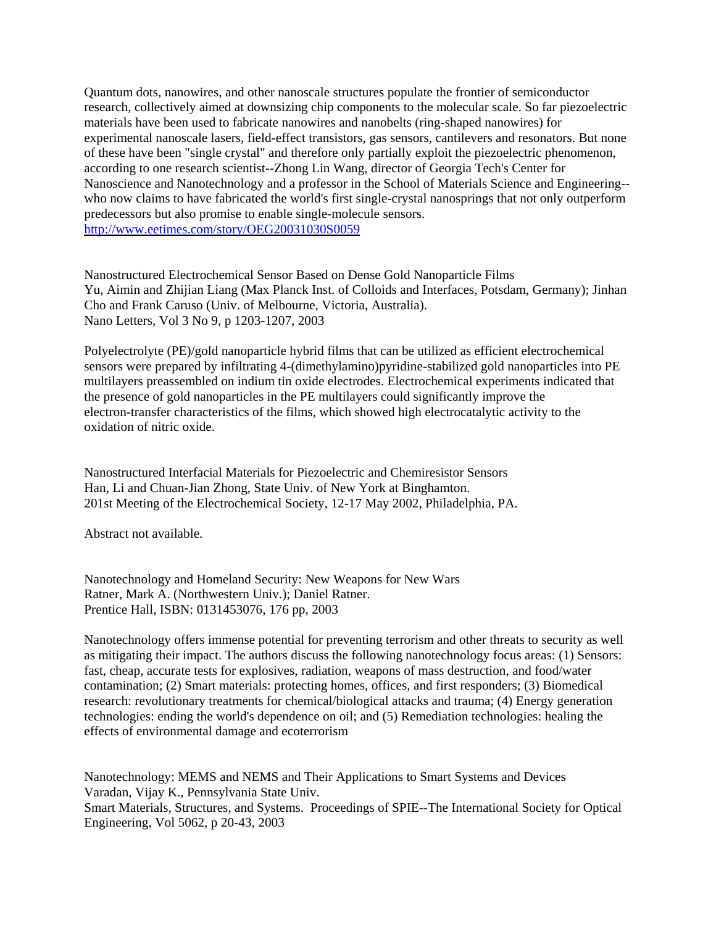Quantum dots, nanowires, and other nanoscale structures populate the frontier of semiconductor research, collectively aimed at downsizing chip components to the molecular scale. So far piezoelectric materials have been used to fabricate nanowires and nanobelts (ring-shaped nanowires) for experimental nanoscale lasers, field-effect transistors, gas sensors, cantilevers and resonators. But none of these have been "single crystal" and therefore only partially exploit the piezoelectric phenomenon, according to one research scientist--Zhong Lin Wang, director of Georgia Tech's Center for Nanoscience and Nanotechnology and a professor in the School of Materials Science and Engineering- who now claims to have fabricated the world's first single-crystal nanosprings that not only outperform predecessors but also promise to enable single-molecule sensors. <http://www.eetimes.com/story/OEG20031030S0059>

Nanostructured Electrochemical Sensor Based on Dense Gold Nanoparticle Films Yu, Aimin and Zhijian Liang (Max Planck Inst. of Colloids and Interfaces, Potsdam, Germany); Jinhan Cho and Frank Caruso (Univ. of Melbourne, Victoria, Australia). Nano Letters, Vol 3 No 9, p 1203-1207, 2003

Polyelectrolyte (PE)/gold nanoparticle hybrid films that can be utilized as efficient electrochemical sensors were prepared by infiltrating 4-(dimethylamino)pyridine-stabilized gold nanoparticles into PE multilayers preassembled on indium tin oxide electrodes. Electrochemical experiments indicated that the presence of gold nanoparticles in the PE multilayers could significantly improve the electron-transfer characteristics of the films, which showed high electrocatalytic activity to the oxidation of nitric oxide.

Nanostructured Interfacial Materials for Piezoelectric and Chemiresistor Sensors Han, Li and Chuan-Jian Zhong, State Univ. of New York at Binghamton. 201st Meeting of the Electrochemical Society, 12-17 May 2002, Philadelphia, PA.

Abstract not available.

Nanotechnology and Homeland Security: New Weapons for New Wars Ratner, Mark A. (Northwestern Univ.); Daniel Ratner. Prentice Hall, ISBN: 0131453076, 176 pp, 2003

Nanotechnology offers immense potential for preventing terrorism and other threats to security as well as mitigating their impact. The authors discuss the following nanotechnology focus areas: (1) Sensors: fast, cheap, accurate tests for explosives, radiation, weapons of mass destruction, and food/water contamination; (2) Smart materials: protecting homes, offices, and first responders; (3) Biomedical research: revolutionary treatments for chemical/biological attacks and trauma; (4) Energy generation technologies: ending the world's dependence on oil; and (5) Remediation technologies: healing the effects of environmental damage and ecoterrorism

Nanotechnology: MEMS and NEMS and Their Applications to Smart Systems and Devices Varadan, Vijay K., Pennsylvania State Univ. Smart Materials, Structures, and Systems. Proceedings of SPIE--The International Society for Optical Engineering, Vol 5062, p 20-43, 2003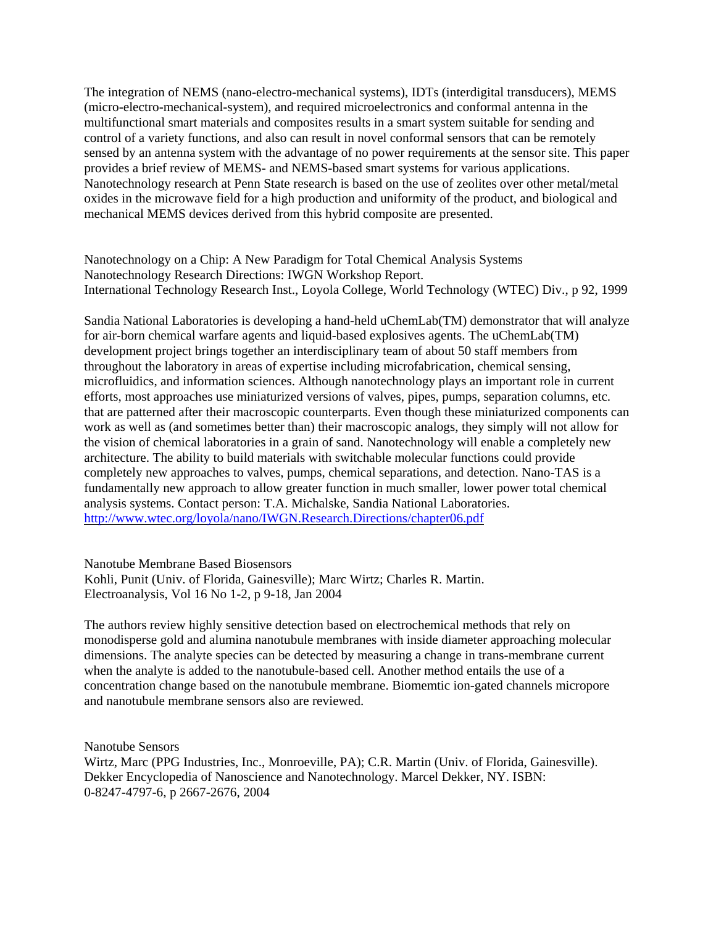The integration of NEMS (nano-electro-mechanical systems), IDTs (interdigital transducers), MEMS (micro-electro-mechanical-system), and required microelectronics and conformal antenna in the multifunctional smart materials and composites results in a smart system suitable for sending and control of a variety functions, and also can result in novel conformal sensors that can be remotely sensed by an antenna system with the advantage of no power requirements at the sensor site. This paper provides a brief review of MEMS- and NEMS-based smart systems for various applications. Nanotechnology research at Penn State research is based on the use of zeolites over other metal/metal oxides in the microwave field for a high production and uniformity of the product, and biological and mechanical MEMS devices derived from this hybrid composite are presented.

Nanotechnology on a Chip: A New Paradigm for Total Chemical Analysis Systems Nanotechnology Research Directions: IWGN Workshop Report. International Technology Research Inst., Loyola College, World Technology (WTEC) Div., p 92, 1999

Sandia National Laboratories is developing a hand-held uChemLab(TM) demonstrator that will analyze for air-born chemical warfare agents and liquid-based explosives agents. The uChemLab(TM) development project brings together an interdisciplinary team of about 50 staff members from throughout the laboratory in areas of expertise including microfabrication, chemical sensing, microfluidics, and information sciences. Although nanotechnology plays an important role in current efforts, most approaches use miniaturized versions of valves, pipes, pumps, separation columns, etc. that are patterned after their macroscopic counterparts. Even though these miniaturized components can work as well as (and sometimes better than) their macroscopic analogs, they simply will not allow for the vision of chemical laboratories in a grain of sand. Nanotechnology will enable a completely new architecture. The ability to build materials with switchable molecular functions could provide completely new approaches to valves, pumps, chemical separations, and detection. Nano-TAS is a fundamentally new approach to allow greater function in much smaller, lower power total chemical analysis systems. Contact person: T.A. Michalske, Sandia National Laboratories. <http://www.wtec.org/loyola/nano/IWGN.Research.Directions/chapter06.pdf>

Nanotube Membrane Based Biosensors

Kohli, Punit (Univ. of Florida, Gainesville); Marc Wirtz; Charles R. Martin. Electroanalysis, Vol 16 No 1-2, p 9-18, Jan 2004

The authors review highly sensitive detection based on electrochemical methods that rely on monodisperse gold and alumina nanotubule membranes with inside diameter approaching molecular dimensions. The analyte species can be detected by measuring a change in trans-membrane current when the analyte is added to the nanotubule-based cell. Another method entails the use of a concentration change based on the nanotubule membrane. Biomemtic ion-gated channels micropore and nanotubule membrane sensors also are reviewed.

Nanotube Sensors

Wirtz, Marc (PPG Industries, Inc., Monroeville, PA); C.R. Martin (Univ. of Florida, Gainesville). Dekker Encyclopedia of Nanoscience and Nanotechnology. Marcel Dekker, NY. ISBN: 0-8247-4797-6, p 2667-2676, 2004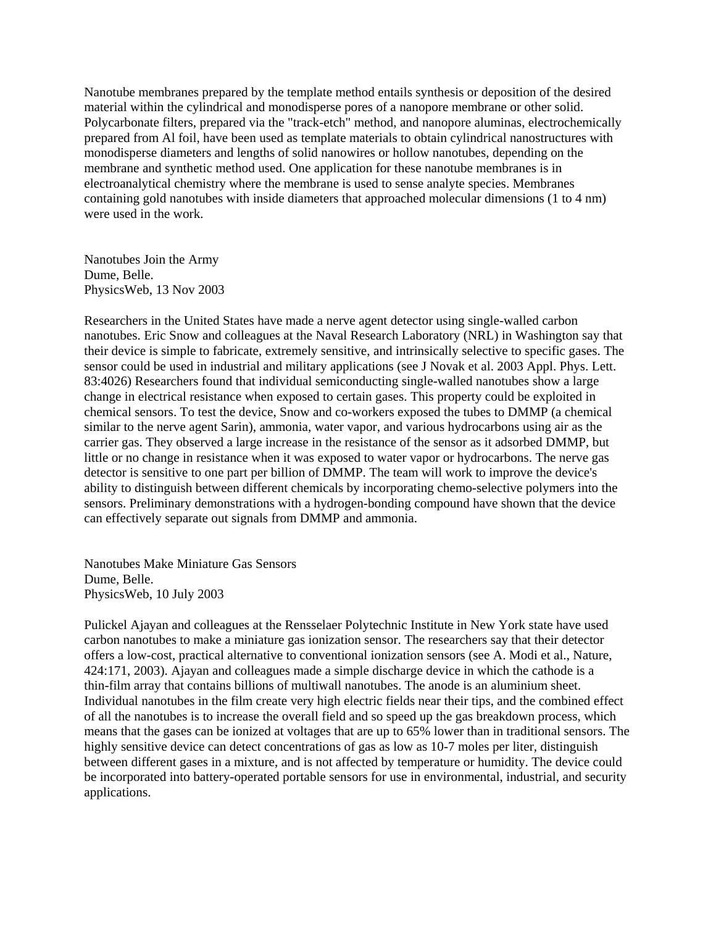Nanotube membranes prepared by the template method entails synthesis or deposition of the desired material within the cylindrical and monodisperse pores of a nanopore membrane or other solid. Polycarbonate filters, prepared via the "track-etch" method, and nanopore aluminas, electrochemically prepared from Al foil, have been used as template materials to obtain cylindrical nanostructures with monodisperse diameters and lengths of solid nanowires or hollow nanotubes, depending on the membrane and synthetic method used. One application for these nanotube membranes is in electroanalytical chemistry where the membrane is used to sense analyte species. Membranes containing gold nanotubes with inside diameters that approached molecular dimensions (1 to 4 nm) were used in the work.

Nanotubes Join the Army Dume, Belle. PhysicsWeb, 13 Nov 2003

Researchers in the United States have made a nerve agent detector using single-walled carbon nanotubes. Eric Snow and colleagues at the Naval Research Laboratory (NRL) in Washington say that their device is simple to fabricate, extremely sensitive, and intrinsically selective to specific gases. The sensor could be used in industrial and military applications (see J Novak et al. 2003 Appl. Phys. Lett. 83:4026) Researchers found that individual semiconducting single-walled nanotubes show a large change in electrical resistance when exposed to certain gases. This property could be exploited in chemical sensors. To test the device, Snow and co-workers exposed the tubes to DMMP (a chemical similar to the nerve agent Sarin), ammonia, water vapor, and various hydrocarbons using air as the carrier gas. They observed a large increase in the resistance of the sensor as it adsorbed DMMP, but little or no change in resistance when it was exposed to water vapor or hydrocarbons. The nerve gas detector is sensitive to one part per billion of DMMP. The team will work to improve the device's ability to distinguish between different chemicals by incorporating chemo-selective polymers into the sensors. Preliminary demonstrations with a hydrogen-bonding compound have shown that the device can effectively separate out signals from DMMP and ammonia.

Nanotubes Make Miniature Gas Sensors Dume, Belle. PhysicsWeb, 10 July 2003

Pulickel Ajayan and colleagues at the Rensselaer Polytechnic Institute in New York state have used carbon nanotubes to make a miniature gas ionization sensor. The researchers say that their detector offers a low-cost, practical alternative to conventional ionization sensors (see A. Modi et al., Nature, 424:171, 2003). Ajayan and colleagues made a simple discharge device in which the cathode is a thin-film array that contains billions of multiwall nanotubes. The anode is an aluminium sheet. Individual nanotubes in the film create very high electric fields near their tips, and the combined effect of all the nanotubes is to increase the overall field and so speed up the gas breakdown process, which means that the gases can be ionized at voltages that are up to 65% lower than in traditional sensors. The highly sensitive device can detect concentrations of gas as low as 10-7 moles per liter, distinguish between different gases in a mixture, and is not affected by temperature or humidity. The device could be incorporated into battery-operated portable sensors for use in environmental, industrial, and security applications.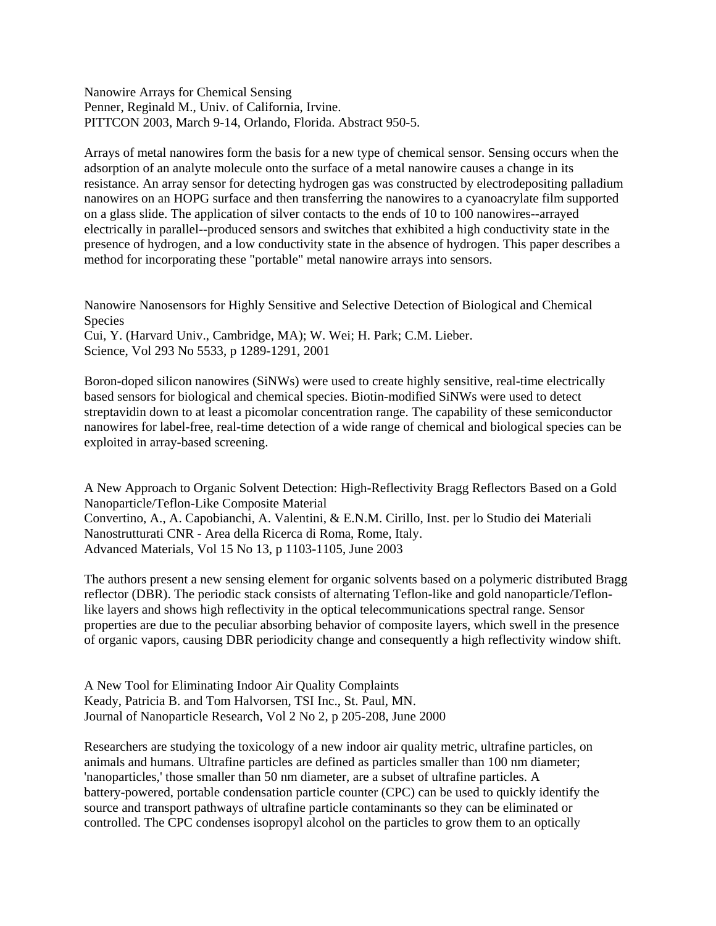Nanowire Arrays for Chemical Sensing Penner, Reginald M., Univ. of California, Irvine. PITTCON 2003, March 9-14, Orlando, Florida. Abstract 950-5.

Arrays of metal nanowires form the basis for a new type of chemical sensor. Sensing occurs when the adsorption of an analyte molecule onto the surface of a metal nanowire causes a change in its resistance. An array sensor for detecting hydrogen gas was constructed by electrodepositing palladium nanowires on an HOPG surface and then transferring the nanowires to a cyanoacrylate film supported on a glass slide. The application of silver contacts to the ends of 10 to 100 nanowires--arrayed electrically in parallel--produced sensors and switches that exhibited a high conductivity state in the presence of hydrogen, and a low conductivity state in the absence of hydrogen. This paper describes a method for incorporating these "portable" metal nanowire arrays into sensors.

Nanowire Nanosensors for Highly Sensitive and Selective Detection of Biological and Chemical Species Cui, Y. (Harvard Univ., Cambridge, MA); W. Wei; H. Park; C.M. Lieber. Science, Vol 293 No 5533, p 1289-1291, 2001

Boron-doped silicon nanowires (SiNWs) were used to create highly sensitive, real-time electrically based sensors for biological and chemical species. Biotin-modified SiNWs were used to detect streptavidin down to at least a picomolar concentration range. The capability of these semiconductor nanowires for label-free, real-time detection of a wide range of chemical and biological species can be exploited in array-based screening.

A New Approach to Organic Solvent Detection: High-Reflectivity Bragg Reflectors Based on a Gold Nanoparticle/Teflon-Like Composite Material Convertino, A., A. Capobianchi, A. Valentini, & E.N.M. Cirillo, Inst. per lo Studio dei Materiali Nanostrutturati CNR - Area della Ricerca di Roma, Rome, Italy. Advanced Materials, Vol 15 No 13, p 1103-1105, June 2003

The authors present a new sensing element for organic solvents based on a polymeric distributed Bragg reflector (DBR). The periodic stack consists of alternating Teflon-like and gold nanoparticle/Teflonlike layers and shows high reflectivity in the optical telecommunications spectral range. Sensor properties are due to the peculiar absorbing behavior of composite layers, which swell in the presence of organic vapors, causing DBR periodicity change and consequently a high reflectivity window shift.

A New Tool for Eliminating Indoor Air Quality Complaints Keady, Patricia B. and Tom Halvorsen, TSI Inc., St. Paul, MN. Journal of Nanoparticle Research, Vol 2 No 2, p 205-208, June 2000

Researchers are studying the toxicology of a new indoor air quality metric, ultrafine particles, on animals and humans. Ultrafine particles are defined as particles smaller than 100 nm diameter; 'nanoparticles,' those smaller than 50 nm diameter, are a subset of ultrafine particles. A battery-powered, portable condensation particle counter (CPC) can be used to quickly identify the source and transport pathways of ultrafine particle contaminants so they can be eliminated or controlled. The CPC condenses isopropyl alcohol on the particles to grow them to an optically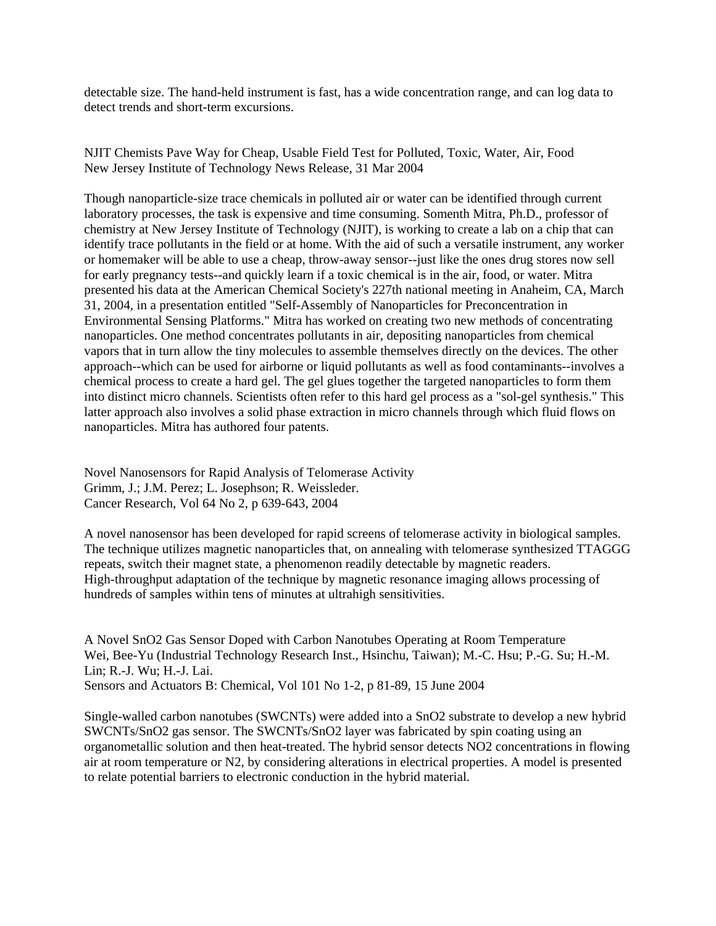detectable size. The hand-held instrument is fast, has a wide concentration range, and can log data to detect trends and short-term excursions.

NJIT Chemists Pave Way for Cheap, Usable Field Test for Polluted, Toxic, Water, Air, Food New Jersey Institute of Technology News Release, 31 Mar 2004

Though nanoparticle-size trace chemicals in polluted air or water can be identified through current laboratory processes, the task is expensive and time consuming. Somenth Mitra, Ph.D., professor of chemistry at New Jersey Institute of Technology (NJIT), is working to create a lab on a chip that can identify trace pollutants in the field or at home. With the aid of such a versatile instrument, any worker or homemaker will be able to use a cheap, throw-away sensor--just like the ones drug stores now sell for early pregnancy tests--and quickly learn if a toxic chemical is in the air, food, or water. Mitra presented his data at the American Chemical Society's 227th national meeting in Anaheim, CA, March 31, 2004, in a presentation entitled "Self-Assembly of Nanoparticles for Preconcentration in Environmental Sensing Platforms." Mitra has worked on creating two new methods of concentrating nanoparticles. One method concentrates pollutants in air, depositing nanoparticles from chemical vapors that in turn allow the tiny molecules to assemble themselves directly on the devices. The other approach--which can be used for airborne or liquid pollutants as well as food contaminants--involves a chemical process to create a hard gel. The gel glues together the targeted nanoparticles to form them into distinct micro channels. Scientists often refer to this hard gel process as a "sol-gel synthesis." This latter approach also involves a solid phase extraction in micro channels through which fluid flows on nanoparticles. Mitra has authored four patents.

Novel Nanosensors for Rapid Analysis of Telomerase Activity Grimm, J.; J.M. Perez; L. Josephson; R. Weissleder. Cancer Research, Vol 64 No 2, p 639-643, 2004

A novel nanosensor has been developed for rapid screens of telomerase activity in biological samples. The technique utilizes magnetic nanoparticles that, on annealing with telomerase synthesized TTAGGG repeats, switch their magnet state, a phenomenon readily detectable by magnetic readers. High-throughput adaptation of the technique by magnetic resonance imaging allows processing of hundreds of samples within tens of minutes at ultrahigh sensitivities.

A Novel SnO2 Gas Sensor Doped with Carbon Nanotubes Operating at Room Temperature Wei, Bee-Yu (Industrial Technology Research Inst., Hsinchu, Taiwan); M.-C. Hsu; P.-G. Su; H.-M. Lin; R.-J. Wu; H.-J. Lai. Sensors and Actuators B: Chemical, Vol 101 No 1-2, p 81-89, 15 June 2004

Single-walled carbon nanotubes (SWCNTs) were added into a SnO2 substrate to develop a new hybrid SWCNTs/SnO2 gas sensor. The SWCNTs/SnO2 layer was fabricated by spin coating using an organometallic solution and then heat-treated. The hybrid sensor detects NO2 concentrations in flowing air at room temperature or N2, by considering alterations in electrical properties. A model is presented to relate potential barriers to electronic conduction in the hybrid material.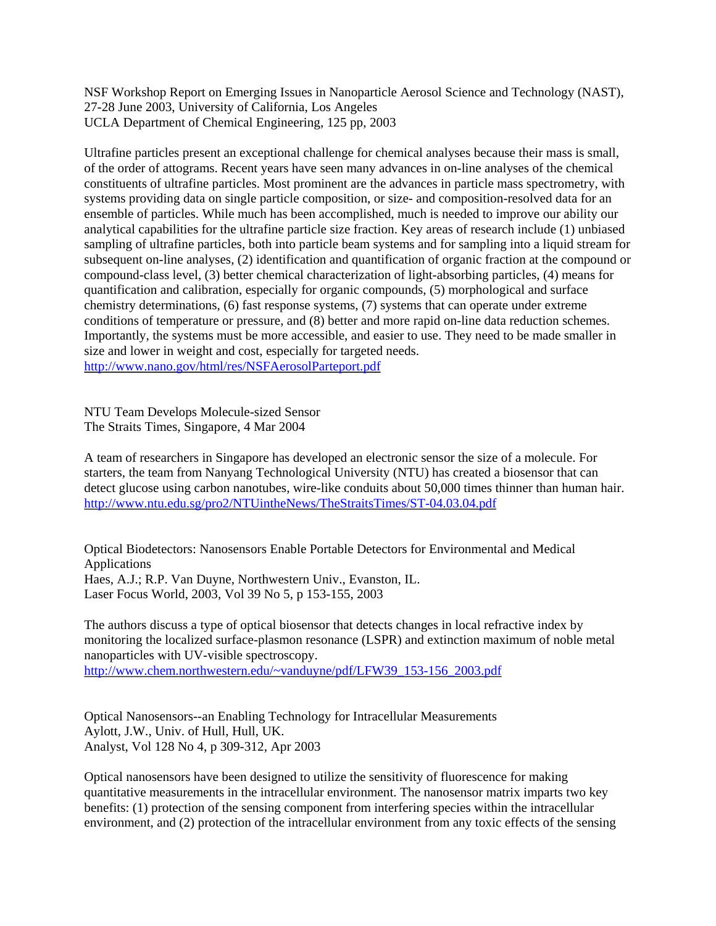NSF Workshop Report on Emerging Issues in Nanoparticle Aerosol Science and Technology (NAST), 27-28 June 2003, University of California, Los Angeles UCLA Department of Chemical Engineering, 125 pp, 2003

Ultrafine particles present an exceptional challenge for chemical analyses because their mass is small, of the order of attograms. Recent years have seen many advances in on-line analyses of the chemical constituents of ultrafine particles. Most prominent are the advances in particle mass spectrometry, with systems providing data on single particle composition, or size- and composition-resolved data for an ensemble of particles. While much has been accomplished, much is needed to improve our ability our analytical capabilities for the ultrafine particle size fraction. Key areas of research include (1) unbiased sampling of ultrafine particles, both into particle beam systems and for sampling into a liquid stream for subsequent on-line analyses, (2) identification and quantification of organic fraction at the compound or compound-class level, (3) better chemical characterization of light-absorbing particles, (4) means for quantification and calibration, especially for organic compounds, (5) morphological and surface chemistry determinations, (6) fast response systems, (7) systems that can operate under extreme conditions of temperature or pressure, and (8) better and more rapid on-line data reduction schemes. Importantly, the systems must be more accessible, and easier to use. They need to be made smaller in size and lower in weight and cost, especially for targeted needs. <http://www.nano.gov/html/res/NSFAerosolParteport.pdf>

NTU Team Develops Molecule-sized Sensor The Straits Times, Singapore, 4 Mar 2004

A team of researchers in Singapore has developed an electronic sensor the size of a molecule. For starters, the team from Nanyang Technological University (NTU) has created a biosensor that can detect glucose using carbon nanotubes, wire-like conduits about 50,000 times thinner than human hair. <http://www.ntu.edu.sg/pro2/NTUintheNews/TheStraitsTimes/ST-04.03.04.pdf>

Optical Biodetectors: Nanosensors Enable Portable Detectors for Environmental and Medical Applications Haes, A.J.; R.P. Van Duyne, Northwestern Univ., Evanston, IL. Laser Focus World, 2003, Vol 39 No 5, p 153-155, 2003

The authors discuss a type of optical biosensor that detects changes in local refractive index by monitoring the localized surface-plasmon resonance (LSPR) and extinction maximum of noble metal nanoparticles with UV-visible spectroscopy.

[http://www.chem.northwestern.edu/~vanduyne/pdf/LFW39\\_153-156\\_2003.pdf](http://www.chem.northwestern.edu/~vanduyne/pdf/LFW39_153-156_2003.pdf)

Optical Nanosensors--an Enabling Technology for Intracellular Measurements Aylott, J.W., Univ. of Hull, Hull, UK. Analyst, Vol 128 No 4, p 309-312, Apr 2003

Optical nanosensors have been designed to utilize the sensitivity of fluorescence for making quantitative measurements in the intracellular environment. The nanosensor matrix imparts two key benefits: (1) protection of the sensing component from interfering species within the intracellular environment, and (2) protection of the intracellular environment from any toxic effects of the sensing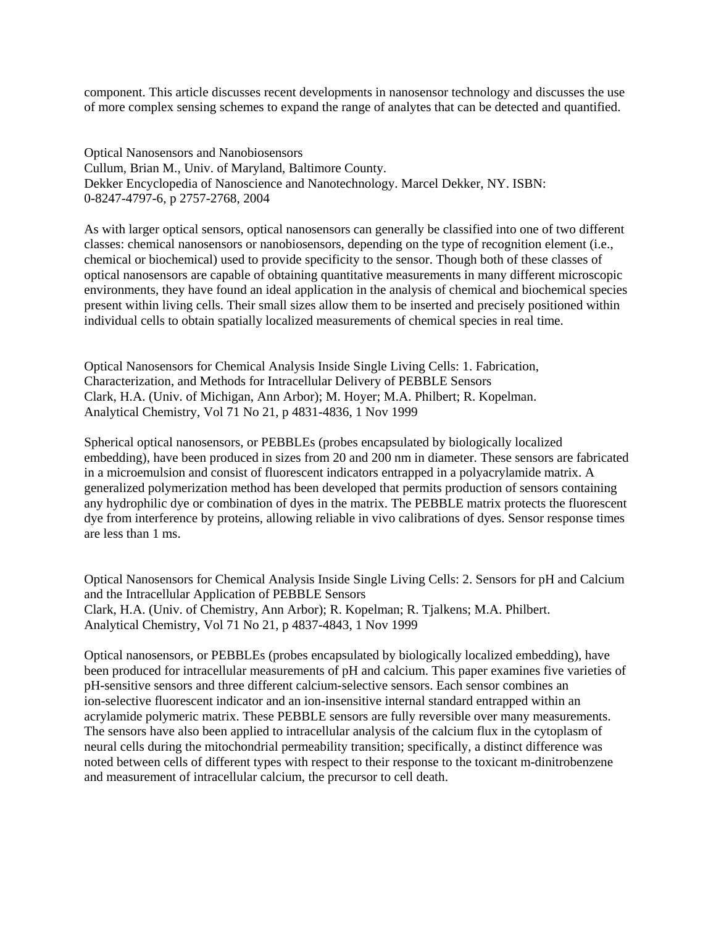component. This article discusses recent developments in nanosensor technology and discusses the use of more complex sensing schemes to expand the range of analytes that can be detected and quantified.

Optical Nanosensors and Nanobiosensors Cullum, Brian M., Univ. of Maryland, Baltimore County. Dekker Encyclopedia of Nanoscience and Nanotechnology. Marcel Dekker, NY. ISBN: 0-8247-4797-6, p 2757-2768, 2004

As with larger optical sensors, optical nanosensors can generally be classified into one of two different classes: chemical nanosensors or nanobiosensors, depending on the type of recognition element (i.e., chemical or biochemical) used to provide specificity to the sensor. Though both of these classes of optical nanosensors are capable of obtaining quantitative measurements in many different microscopic environments, they have found an ideal application in the analysis of chemical and biochemical species present within living cells. Their small sizes allow them to be inserted and precisely positioned within individual cells to obtain spatially localized measurements of chemical species in real time.

Optical Nanosensors for Chemical Analysis Inside Single Living Cells: 1. Fabrication, Characterization, and Methods for Intracellular Delivery of PEBBLE Sensors Clark, H.A. (Univ. of Michigan, Ann Arbor); M. Hoyer; M.A. Philbert; R. Kopelman. Analytical Chemistry, Vol 71 No 21, p 4831-4836, 1 Nov 1999

Spherical optical nanosensors, or PEBBLEs (probes encapsulated by biologically localized embedding), have been produced in sizes from 20 and 200 nm in diameter. These sensors are fabricated in a microemulsion and consist of fluorescent indicators entrapped in a polyacrylamide matrix. A generalized polymerization method has been developed that permits production of sensors containing any hydrophilic dye or combination of dyes in the matrix. The PEBBLE matrix protects the fluorescent dye from interference by proteins, allowing reliable in vivo calibrations of dyes. Sensor response times are less than 1 ms.

Optical Nanosensors for Chemical Analysis Inside Single Living Cells: 2. Sensors for pH and Calcium and the Intracellular Application of PEBBLE Sensors Clark, H.A. (Univ. of Chemistry, Ann Arbor); R. Kopelman; R. Tjalkens; M.A. Philbert. Analytical Chemistry, Vol 71 No 21, p 4837-4843, 1 Nov 1999

Optical nanosensors, or PEBBLEs (probes encapsulated by biologically localized embedding), have been produced for intracellular measurements of pH and calcium. This paper examines five varieties of pH-sensitive sensors and three different calcium-selective sensors. Each sensor combines an ion-selective fluorescent indicator and an ion-insensitive internal standard entrapped within an acrylamide polymeric matrix. These PEBBLE sensors are fully reversible over many measurements. The sensors have also been applied to intracellular analysis of the calcium flux in the cytoplasm of neural cells during the mitochondrial permeability transition; specifically, a distinct difference was noted between cells of different types with respect to their response to the toxicant m-dinitrobenzene and measurement of intracellular calcium, the precursor to cell death.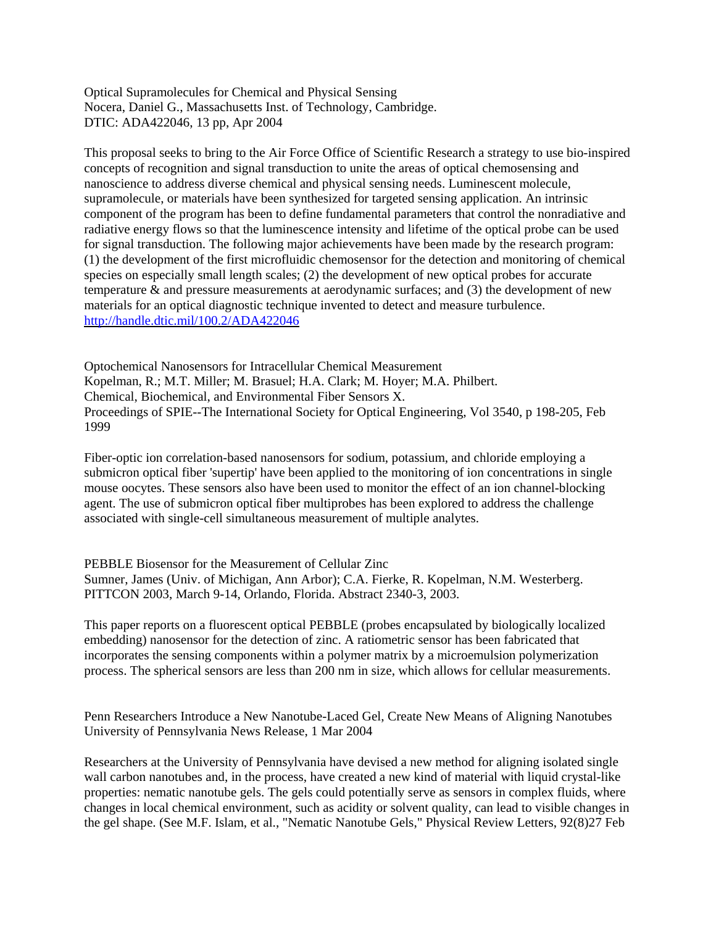Optical Supramolecules for Chemical and Physical Sensing Nocera, Daniel G., Massachusetts Inst. of Technology, Cambridge. DTIC: ADA422046, 13 pp, Apr 2004

This proposal seeks to bring to the Air Force Office of Scientific Research a strategy to use bio-inspired concepts of recognition and signal transduction to unite the areas of optical chemosensing and nanoscience to address diverse chemical and physical sensing needs. Luminescent molecule, supramolecule, or materials have been synthesized for targeted sensing application. An intrinsic component of the program has been to define fundamental parameters that control the nonradiative and radiative energy flows so that the luminescence intensity and lifetime of the optical probe can be used for signal transduction. The following major achievements have been made by the research program: (1) the development of the first microfluidic chemosensor for the detection and monitoring of chemical species on especially small length scales; (2) the development of new optical probes for accurate temperature & and pressure measurements at aerodynamic surfaces; and (3) the development of new materials for an optical diagnostic technique invented to detect and measure turbulence. <http://handle.dtic.mil/100.2/ADA422046>

1999 Optochemical Nanosensors for Intracellular Chemical Measurement Kopelman, R.; M.T. Miller; M. Brasuel; H.A. Clark; M. Hoyer; M.A. Philbert. Chemical, Biochemical, and Environmental Fiber Sensors X. Proceedings of SPIE--The International Society for Optical Engineering, Vol 3540, p 198-205, Feb

Fiber-optic ion correlation-based nanosensors for sodium, potassium, and chloride employing a submicron optical fiber 'supertip' have been applied to the monitoring of ion concentrations in single mouse oocytes. These sensors also have been used to monitor the effect of an ion channel-blocking agent. The use of submicron optical fiber multiprobes has been explored to address the challenge associated with single-cell simultaneous measurement of multiple analytes.

PEBBLE Biosensor for the Measurement of Cellular Zinc Sumner, James (Univ. of Michigan, Ann Arbor); C.A. Fierke, R. Kopelman, N.M. Westerberg. PITTCON 2003, March 9-14, Orlando, Florida. Abstract 2340-3, 2003.

This paper reports on a fluorescent optical PEBBLE (probes encapsulated by biologically localized embedding) nanosensor for the detection of zinc. A ratiometric sensor has been fabricated that incorporates the sensing components within a polymer matrix by a microemulsion polymerization process. The spherical sensors are less than 200 nm in size, which allows for cellular measurements.

Penn Researchers Introduce a New Nanotube-Laced Gel, Create New Means of Aligning Nanotubes University of Pennsylvania News Release, 1 Mar 2004

Researchers at the University of Pennsylvania have devised a new method for aligning isolated single wall carbon nanotubes and, in the process, have created a new kind of material with liquid crystal-like properties: nematic nanotube gels. The gels could potentially serve as sensors in complex fluids, where changes in local chemical environment, such as acidity or solvent quality, can lead to visible changes in the gel shape. (See M.F. Islam, et al., "Nematic Nanotube Gels," Physical Review Letters, 92(8)27 Feb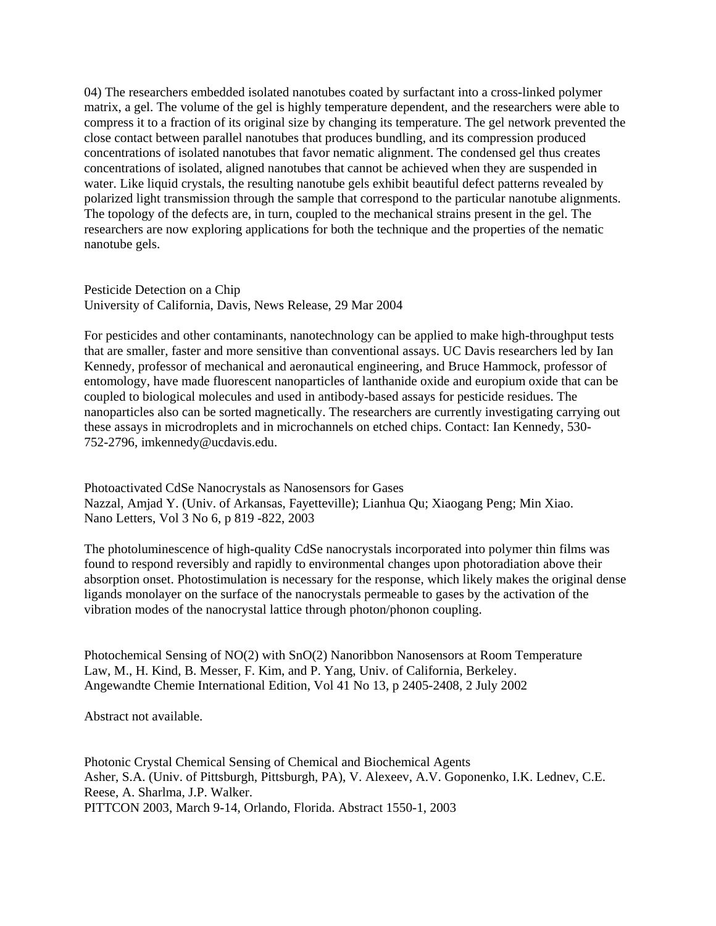04) The researchers embedded isolated nanotubes coated by surfactant into a cross-linked polymer matrix, a gel. The volume of the gel is highly temperature dependent, and the researchers were able to compress it to a fraction of its original size by changing its temperature. The gel network prevented the close contact between parallel nanotubes that produces bundling, and its compression produced concentrations of isolated nanotubes that favor nematic alignment. The condensed gel thus creates concentrations of isolated, aligned nanotubes that cannot be achieved when they are suspended in water. Like liquid crystals, the resulting nanotube gels exhibit beautiful defect patterns revealed by polarized light transmission through the sample that correspond to the particular nanotube alignments. The topology of the defects are, in turn, coupled to the mechanical strains present in the gel. The researchers are now exploring applications for both the technique and the properties of the nematic nanotube gels.

Pesticide Detection on a Chip University of California, Davis, News Release, 29 Mar 2004

For pesticides and other contaminants, nanotechnology can be applied to make high-throughput tests that are smaller, faster and more sensitive than conventional assays. UC Davis researchers led by Ian Kennedy, professor of mechanical and aeronautical engineering, and Bruce Hammock, professor of entomology, have made fluorescent nanoparticles of lanthanide oxide and europium oxide that can be coupled to biological molecules and used in antibody-based assays for pesticide residues. The nanoparticles also can be sorted magnetically. The researchers are currently investigating carrying out these assays in microdroplets and in microchannels on etched chips. Contact: Ian Kennedy, 530- 752-2796, imkennedy@ucdavis.edu.

Photoactivated CdSe Nanocrystals as Nanosensors for Gases Nazzal, Amjad Y. (Univ. of Arkansas, Fayetteville); Lianhua Qu; Xiaogang Peng; Min Xiao. Nano Letters, Vol 3 No 6, p 819 -822, 2003

The photoluminescence of high-quality CdSe nanocrystals incorporated into polymer thin films was found to respond reversibly and rapidly to environmental changes upon photoradiation above their absorption onset. Photostimulation is necessary for the response, which likely makes the original dense ligands monolayer on the surface of the nanocrystals permeable to gases by the activation of the vibration modes of the nanocrystal lattice through photon/phonon coupling.

Photochemical Sensing of NO(2) with SnO(2) Nanoribbon Nanosensors at Room Temperature Law, M., H. Kind, B. Messer, F. Kim, and P. Yang, Univ. of California, Berkeley. Angewandte Chemie International Edition, Vol 41 No 13, p 2405-2408, 2 July 2002

Abstract not available.

Photonic Crystal Chemical Sensing of Chemical and Biochemical Agents Asher, S.A. (Univ. of Pittsburgh, Pittsburgh, PA), V. Alexeev, A.V. Goponenko, I.K. Lednev, C.E. Reese, A. Sharlma, J.P. Walker. PITTCON 2003, March 9-14, Orlando, Florida. Abstract 1550-1, 2003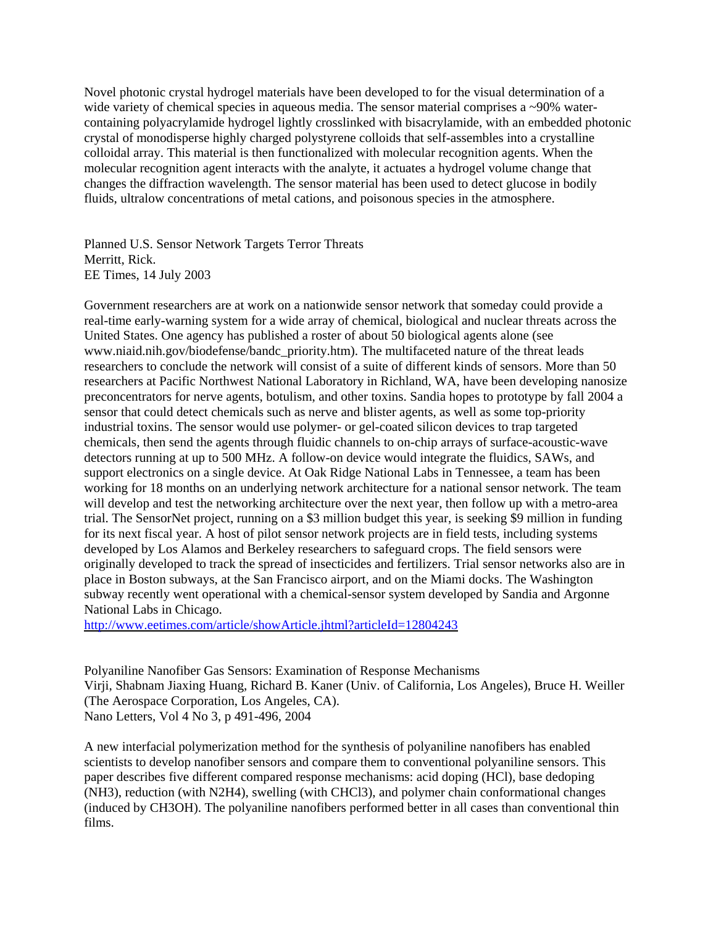Novel photonic crystal hydrogel materials have been developed to for the visual determination of a wide variety of chemical species in aqueous media. The sensor material comprises a  $\sim$ 90% watercontaining polyacrylamide hydrogel lightly crosslinked with bisacrylamide, with an embedded photonic crystal of monodisperse highly charged polystyrene colloids that self-assembles into a crystalline colloidal array. This material is then functionalized with molecular recognition agents. When the molecular recognition agent interacts with the analyte, it actuates a hydrogel volume change that changes the diffraction wavelength. The sensor material has been used to detect glucose in bodily fluids, ultralow concentrations of metal cations, and poisonous species in the atmosphere.

Planned U.S. Sensor Network Targets Terror Threats Merritt, Rick. EE Times, 14 July 2003

Government researchers are at work on a nationwide sensor network that someday could provide a real-time early-warning system for a wide array of chemical, biological and nuclear threats across the United States. One agency has published a roster of about 50 biological agents alone (see www.niaid.nih.gov/biodefense/bandc\_priority.htm). The multifaceted nature of the threat leads researchers to conclude the network will consist of a suite of different kinds of sensors. More than 50 researchers at Pacific Northwest National Laboratory in Richland, WA, have been developing nanosize preconcentrators for nerve agents, botulism, and other toxins. Sandia hopes to prototype by fall 2004 a sensor that could detect chemicals such as nerve and blister agents, as well as some top-priority industrial toxins. The sensor would use polymer- or gel-coated silicon devices to trap targeted chemicals, then send the agents through fluidic channels to on-chip arrays of surface-acoustic-wave detectors running at up to 500 MHz. A follow-on device would integrate the fluidics, SAWs, and support electronics on a single device. At Oak Ridge National Labs in Tennessee, a team has been working for 18 months on an underlying network architecture for a national sensor network. The team will develop and test the networking architecture over the next year, then follow up with a metro-area trial. The SensorNet project, running on a \$3 million budget this year, is seeking \$9 million in funding for its next fiscal year. A host of pilot sensor network projects are in field tests, including systems developed by Los Alamos and Berkeley researchers to safeguard crops. The field sensors were originally developed to track the spread of insecticides and fertilizers. Trial sensor networks also are in place in Boston subways, at the San Francisco airport, and on the Miami docks. The Washington subway recently went operational with a chemical-sensor system developed by Sandia and Argonne National Labs in Chicago.

<http://www.eetimes.com/article/showArticle.jhtml?articleId=12804243>

Polyaniline Nanofiber Gas Sensors: Examination of Response Mechanisms Virji, Shabnam Jiaxing Huang, Richard B. Kaner (Univ. of California, Los Angeles), Bruce H. Weiller (The Aerospace Corporation, Los Angeles, CA). Nano Letters, Vol 4 No 3, p 491-496, 2004

A new interfacial polymerization method for the synthesis of polyaniline nanofibers has enabled scientists to develop nanofiber sensors and compare them to conventional polyaniline sensors. This paper describes five different compared response mechanisms: acid doping (HCl), base dedoping (NH3), reduction (with N2H4), swelling (with CHCl3), and polymer chain conformational changes (induced by CH3OH). The polyaniline nanofibers performed better in all cases than conventional thin films.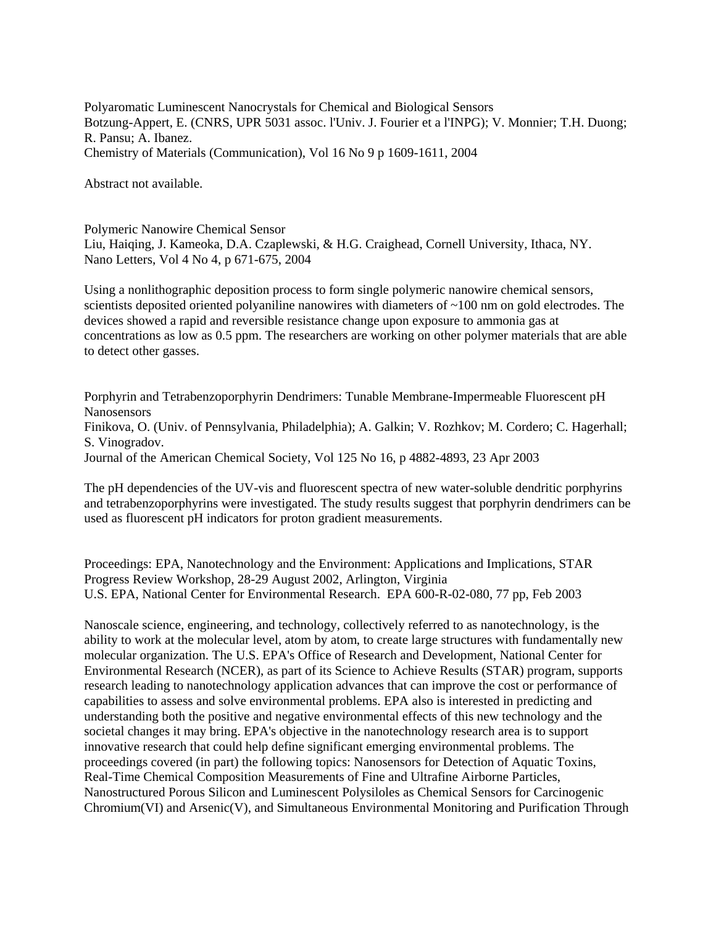Polyaromatic Luminescent Nanocrystals for Chemical and Biological Sensors Botzung-Appert, E. (CNRS, UPR 5031 assoc. l'Univ. J. Fourier et a l'INPG); V. Monnier; T.H. Duong; R. Pansu; A. Ibanez. Chemistry of Materials (Communication), Vol 16 No 9 p 1609-1611, 2004

Abstract not available.

Polymeric Nanowire Chemical Sensor

Liu, Haiqing, J. Kameoka, D.A. Czaplewski, & H.G. Craighead, Cornell University, Ithaca, NY. Nano Letters, Vol 4 No 4, p 671-675, 2004

Using a nonlithographic deposition process to form single polymeric nanowire chemical sensors, scientists deposited oriented polyaniline nanowires with diameters of ~100 nm on gold electrodes. The devices showed a rapid and reversible resistance change upon exposure to ammonia gas at concentrations as low as 0.5 ppm. The researchers are working on other polymer materials that are able to detect other gasses.

Porphyrin and Tetrabenzoporphyrin Dendrimers: Tunable Membrane-Impermeable Fluorescent pH Nanosensors Finikova, O. (Univ. of Pennsylvania, Philadelphia); A. Galkin; V. Rozhkov; M. Cordero; C. Hagerhall; S. Vinogradov. Journal of the American Chemical Society, Vol 125 No 16, p 4882-4893, 23 Apr 2003

The pH dependencies of the UV-vis and fluorescent spectra of new water-soluble dendritic porphyrins and tetrabenzoporphyrins were investigated. The study results suggest that porphyrin dendrimers can be used as fluorescent pH indicators for proton gradient measurements.

Proceedings: EPA, Nanotechnology and the Environment: Applications and Implications, STAR Progress Review Workshop, 28-29 August 2002, Arlington, Virginia U.S. EPA, National Center for Environmental Research. EPA 600-R-02-080, 77 pp, Feb 2003

Nanoscale science, engineering, and technology, collectively referred to as nanotechnology, is the ability to work at the molecular level, atom by atom, to create large structures with fundamentally new molecular organization. The U.S. EPA's Office of Research and Development, National Center for Environmental Research (NCER), as part of its Science to Achieve Results (STAR) program, supports research leading to nanotechnology application advances that can improve the cost or performance of capabilities to assess and solve environmental problems. EPA also is interested in predicting and understanding both the positive and negative environmental effects of this new technology and the societal changes it may bring. EPA's objective in the nanotechnology research area is to support innovative research that could help define significant emerging environmental problems. The proceedings covered (in part) the following topics: Nanosensors for Detection of Aquatic Toxins, Real-Time Chemical Composition Measurements of Fine and Ultrafine Airborne Particles, Nanostructured Porous Silicon and Luminescent Polysiloles as Chemical Sensors for Carcinogenic Chromium(VI) and Arsenic(V), and Simultaneous Environmental Monitoring and Purification Through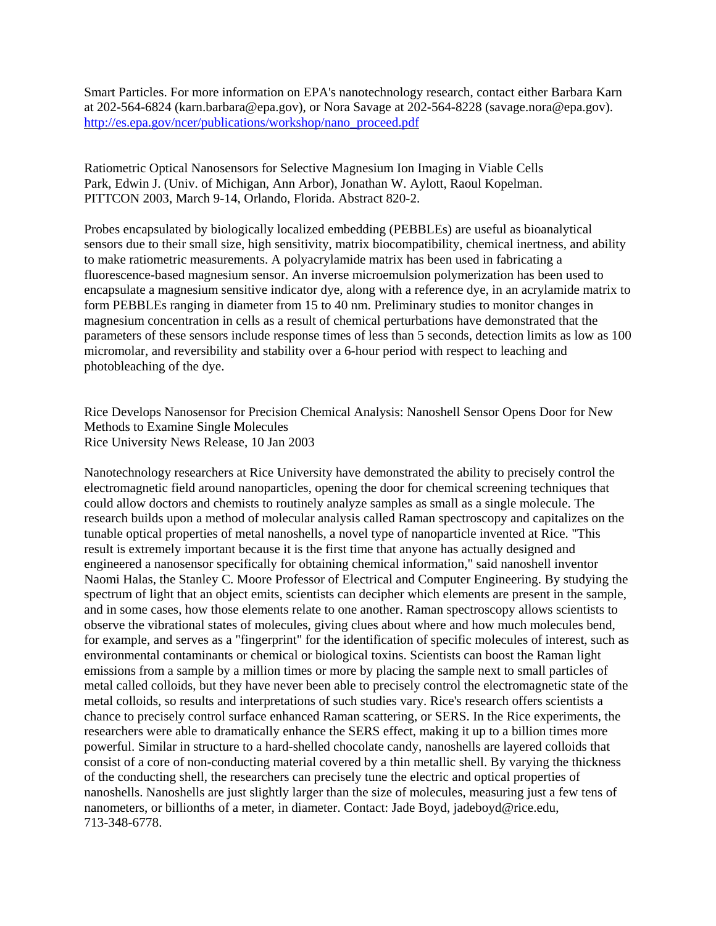Smart Particles. For more information on EPA's nanotechnology research, contact either Barbara Karn at 202-564-6824 (karn.barbara@epa.gov), or Nora Savage at 202-564-8228 (savage.nora@epa.gov). [http://es.epa.gov/ncer/publications/workshop/nano\\_proceed.pdf](http://es.epa.gov/ncer/publications/workshop/nano_proceed.pdf) 

Ratiometric Optical Nanosensors for Selective Magnesium Ion Imaging in Viable Cells Park, Edwin J. (Univ. of Michigan, Ann Arbor), Jonathan W. Aylott, Raoul Kopelman. PITTCON 2003, March 9-14, Orlando, Florida. Abstract 820-2.

Probes encapsulated by biologically localized embedding (PEBBLEs) are useful as bioanalytical sensors due to their small size, high sensitivity, matrix biocompatibility, chemical inertness, and ability to make ratiometric measurements. A polyacrylamide matrix has been used in fabricating a fluorescence-based magnesium sensor. An inverse microemulsion polymerization has been used to encapsulate a magnesium sensitive indicator dye, along with a reference dye, in an acrylamide matrix to form PEBBLEs ranging in diameter from 15 to 40 nm. Preliminary studies to monitor changes in magnesium concentration in cells as a result of chemical perturbations have demonstrated that the parameters of these sensors include response times of less than 5 seconds, detection limits as low as 100 micromolar, and reversibility and stability over a 6-hour period with respect to leaching and photobleaching of the dye.

Rice Develops Nanosensor for Precision Chemical Analysis: Nanoshell Sensor Opens Door for New Methods to Examine Single Molecules Rice University News Release, 10 Jan 2003

Nanotechnology researchers at Rice University have demonstrated the ability to precisely control the electromagnetic field around nanoparticles, opening the door for chemical screening techniques that could allow doctors and chemists to routinely analyze samples as small as a single molecule. The research builds upon a method of molecular analysis called Raman spectroscopy and capitalizes on the tunable optical properties of metal nanoshells, a novel type of nanoparticle invented at Rice. "This result is extremely important because it is the first time that anyone has actually designed and engineered a nanosensor specifically for obtaining chemical information," said nanoshell inventor Naomi Halas, the Stanley C. Moore Professor of Electrical and Computer Engineering. By studying the spectrum of light that an object emits, scientists can decipher which elements are present in the sample, and in some cases, how those elements relate to one another. Raman spectroscopy allows scientists to observe the vibrational states of molecules, giving clues about where and how much molecules bend, for example, and serves as a "fingerprint" for the identification of specific molecules of interest, such as environmental contaminants or chemical or biological toxins. Scientists can boost the Raman light emissions from a sample by a million times or more by placing the sample next to small particles of metal called colloids, but they have never been able to precisely control the electromagnetic state of the metal colloids, so results and interpretations of such studies vary. Rice's research offers scientists a chance to precisely control surface enhanced Raman scattering, or SERS. In the Rice experiments, the researchers were able to dramatically enhance the SERS effect, making it up to a billion times more powerful. Similar in structure to a hard-shelled chocolate candy, nanoshells are layered colloids that consist of a core of non-conducting material covered by a thin metallic shell. By varying the thickness of the conducting shell, the researchers can precisely tune the electric and optical properties of nanoshells. Nanoshells are just slightly larger than the size of molecules, measuring just a few tens of nanometers, or billionths of a meter, in diameter. Contact: Jade Boyd, jadeboyd@rice.edu, 713-348-6778.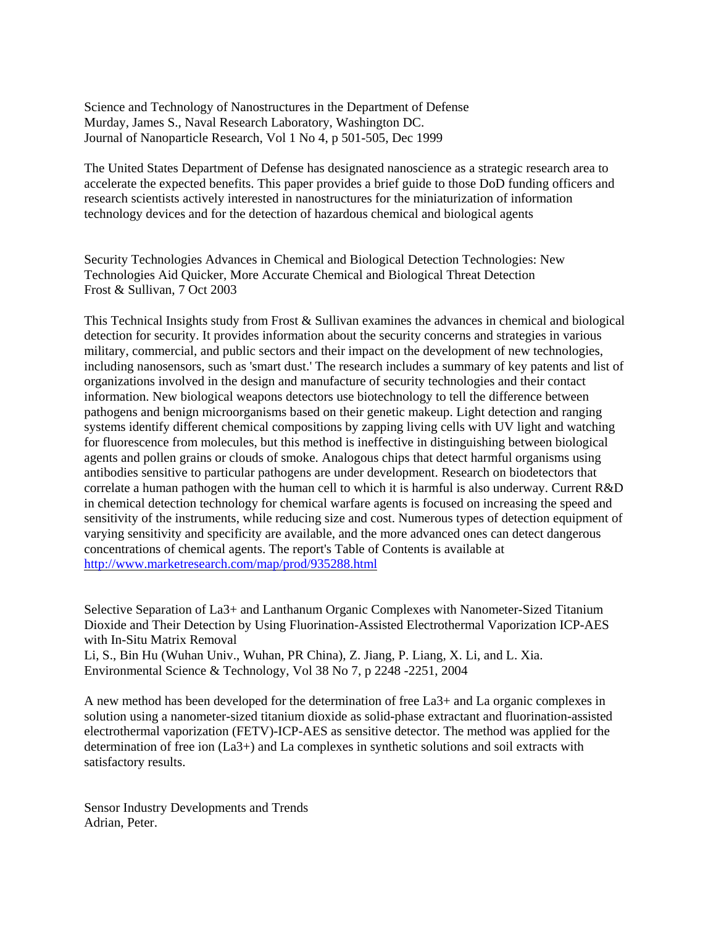Science and Technology of Nanostructures in the Department of Defense Murday, James S., Naval Research Laboratory, Washington DC. Journal of Nanoparticle Research, Vol 1 No 4, p 501-505, Dec 1999

The United States Department of Defense has designated nanoscience as a strategic research area to accelerate the expected benefits. This paper provides a brief guide to those DoD funding officers and research scientists actively interested in nanostructures for the miniaturization of information technology devices and for the detection of hazardous chemical and biological agents

Security Technologies Advances in Chemical and Biological Detection Technologies: New Technologies Aid Quicker, More Accurate Chemical and Biological Threat Detection Frost & Sullivan, 7 Oct 2003

This Technical Insights study from Frost & Sullivan examines the advances in chemical and biological detection for security. It provides information about the security concerns and strategies in various military, commercial, and public sectors and their impact on the development of new technologies, including nanosensors, such as 'smart dust.' The research includes a summary of key patents and list of organizations involved in the design and manufacture of security technologies and their contact information. New biological weapons detectors use biotechnology to tell the difference between pathogens and benign microorganisms based on their genetic makeup. Light detection and ranging systems identify different chemical compositions by zapping living cells with UV light and watching for fluorescence from molecules, but this method is ineffective in distinguishing between biological agents and pollen grains or clouds of smoke. Analogous chips that detect harmful organisms using antibodies sensitive to particular pathogens are under development. Research on biodetectors that correlate a human pathogen with the human cell to which it is harmful is also underway. Current R&D in chemical detection technology for chemical warfare agents is focused on increasing the speed and sensitivity of the instruments, while reducing size and cost. Numerous types of detection equipment of varying sensitivity and specificity are available, and the more advanced ones can detect dangerous concentrations of chemical agents. The report's Table of Contents is available at <http://www.marketresearch.com/map/prod/935288.html>

Selective Separation of La3+ and Lanthanum Organic Complexes with Nanometer-Sized Titanium Dioxide and Their Detection by Using Fluorination-Assisted Electrothermal Vaporization ICP-AES with In-Situ Matrix Removal

Li, S., Bin Hu (Wuhan Univ., Wuhan, PR China), Z. Jiang, P. Liang, X. Li, and L. Xia. Environmental Science & Technology, Vol 38 No 7, p 2248 -2251, 2004

A new method has been developed for the determination of free La3+ and La organic complexes in solution using a nanometer-sized titanium dioxide as solid-phase extractant and fluorination-assisted electrothermal vaporization (FETV)-ICP-AES as sensitive detector. The method was applied for the determination of free ion (La3+) and La complexes in synthetic solutions and soil extracts with satisfactory results.

Sensor Industry Developments and Trends Adrian, Peter.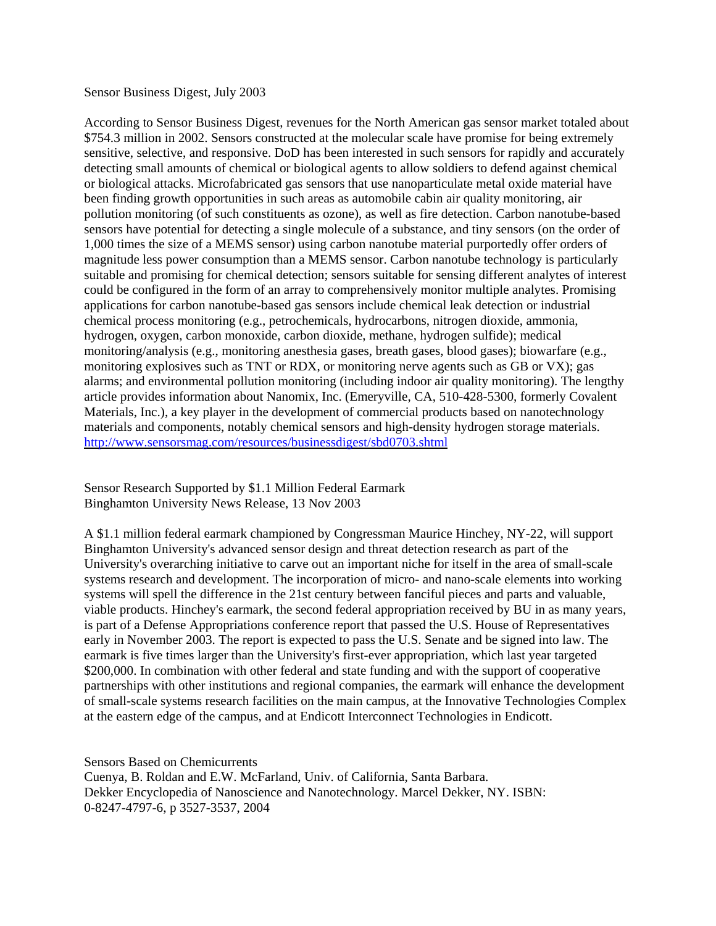## Sensor Business Digest, July 2003

According to Sensor Business Digest, revenues for the North American gas sensor market totaled about \$754.3 million in 2002. Sensors constructed at the molecular scale have promise for being extremely sensitive, selective, and responsive. DoD has been interested in such sensors for rapidly and accurately detecting small amounts of chemical or biological agents to allow soldiers to defend against chemical or biological attacks. Microfabricated gas sensors that use nanoparticulate metal oxide material have been finding growth opportunities in such areas as automobile cabin air quality monitoring, air pollution monitoring (of such constituents as ozone), as well as fire detection. Carbon nanotube-based sensors have potential for detecting a single molecule of a substance, and tiny sensors (on the order of 1,000 times the size of a MEMS sensor) using carbon nanotube material purportedly offer orders of magnitude less power consumption than a MEMS sensor. Carbon nanotube technology is particularly suitable and promising for chemical detection; sensors suitable for sensing different analytes of interest could be configured in the form of an array to comprehensively monitor multiple analytes. Promising applications for carbon nanotube-based gas sensors include chemical leak detection or industrial chemical process monitoring (e.g., petrochemicals, hydrocarbons, nitrogen dioxide, ammonia, hydrogen, oxygen, carbon monoxide, carbon dioxide, methane, hydrogen sulfide); medical monitoring/analysis (e.g., monitoring anesthesia gases, breath gases, blood gases); biowarfare (e.g., monitoring explosives such as TNT or RDX, or monitoring nerve agents such as GB or VX); gas alarms; and environmental pollution monitoring (including indoor air quality monitoring). The lengthy article provides information about Nanomix, Inc. (Emeryville, CA, 510-428-5300, formerly Covalent Materials, Inc.), a key player in the development of commercial products based on nanotechnology materials and components, notably chemical sensors and high-density hydrogen storage materials. <http://www.sensorsmag.com/resources/businessdigest/sbd0703.shtml>

Sensor Research Supported by \$1.1 Million Federal Earmark Binghamton University News Release, 13 Nov 2003

A \$1.1 million federal earmark championed by Congressman Maurice Hinchey, NY-22, will support Binghamton University's advanced sensor design and threat detection research as part of the University's overarching initiative to carve out an important niche for itself in the area of small-scale systems research and development. The incorporation of micro- and nano-scale elements into working systems will spell the difference in the 21st century between fanciful pieces and parts and valuable, viable products. Hinchey's earmark, the second federal appropriation received by BU in as many years, is part of a Defense Appropriations conference report that passed the U.S. House of Representatives early in November 2003. The report is expected to pass the U.S. Senate and be signed into law. The earmark is five times larger than the University's first-ever appropriation, which last year targeted \$200,000. In combination with other federal and state funding and with the support of cooperative partnerships with other institutions and regional companies, the earmark will enhance the development of small-scale systems research facilities on the main campus, at the Innovative Technologies Complex at the eastern edge of the campus, and at Endicott Interconnect Technologies in Endicott.

Sensors Based on Chemicurrents

Cuenya, B. Roldan and E.W. McFarland, Univ. of California, Santa Barbara. Dekker Encyclopedia of Nanoscience and Nanotechnology. Marcel Dekker, NY. ISBN: 0-8247-4797-6, p 3527-3537, 2004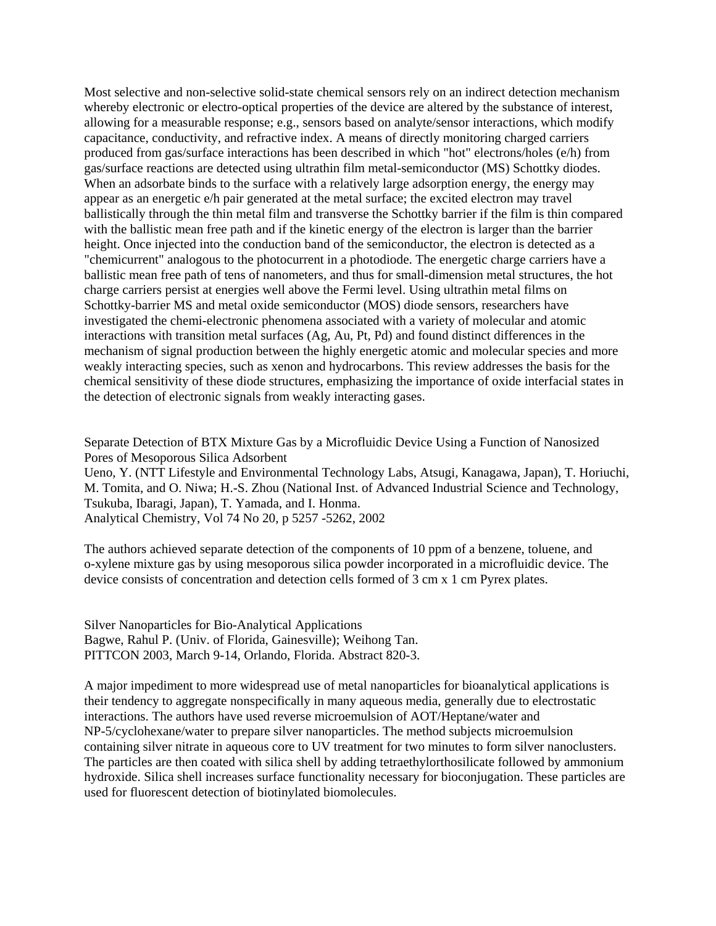Most selective and non-selective solid-state chemical sensors rely on an indirect detection mechanism whereby electronic or electro-optical properties of the device are altered by the substance of interest, allowing for a measurable response; e.g., sensors based on analyte/sensor interactions, which modify capacitance, conductivity, and refractive index. A means of directly monitoring charged carriers produced from gas/surface interactions has been described in which "hot" electrons/holes (e/h) from gas/surface reactions are detected using ultrathin film metal-semiconductor (MS) Schottky diodes. When an adsorbate binds to the surface with a relatively large adsorption energy, the energy may appear as an energetic e/h pair generated at the metal surface; the excited electron may travel ballistically through the thin metal film and transverse the Schottky barrier if the film is thin compared with the ballistic mean free path and if the kinetic energy of the electron is larger than the barrier height. Once injected into the conduction band of the semiconductor, the electron is detected as a "chemicurrent" analogous to the photocurrent in a photodiode. The energetic charge carriers have a ballistic mean free path of tens of nanometers, and thus for small-dimension metal structures, the hot charge carriers persist at energies well above the Fermi level. Using ultrathin metal films on Schottky-barrier MS and metal oxide semiconductor (MOS) diode sensors, researchers have investigated the chemi-electronic phenomena associated with a variety of molecular and atomic interactions with transition metal surfaces (Ag, Au, Pt, Pd) and found distinct differences in the mechanism of signal production between the highly energetic atomic and molecular species and more weakly interacting species, such as xenon and hydrocarbons. This review addresses the basis for the chemical sensitivity of these diode structures, emphasizing the importance of oxide interfacial states in the detection of electronic signals from weakly interacting gases.

Separate Detection of BTX Mixture Gas by a Microfluidic Device Using a Function of Nanosized Pores of Mesoporous Silica Adsorbent

Ueno, Y. (NTT Lifestyle and Environmental Technology Labs, Atsugi, Kanagawa, Japan), T. Horiuchi, M. Tomita, and O. Niwa; H.-S. Zhou (National Inst. of Advanced Industrial Science and Technology, Tsukuba, Ibaragi, Japan), T. Yamada, and I. Honma. Analytical Chemistry, Vol 74 No 20, p 5257 -5262, 2002

The authors achieved separate detection of the components of 10 ppm of a benzene, toluene, and o-xylene mixture gas by using mesoporous silica powder incorporated in a microfluidic device. The device consists of concentration and detection cells formed of 3 cm x 1 cm Pyrex plates.

Silver Nanoparticles for Bio-Analytical Applications Bagwe, Rahul P. (Univ. of Florida, Gainesville); Weihong Tan. PITTCON 2003, March 9-14, Orlando, Florida. Abstract 820-3.

A major impediment to more widespread use of metal nanoparticles for bioanalytical applications is their tendency to aggregate nonspecifically in many aqueous media, generally due to electrostatic interactions. The authors have used reverse microemulsion of AOT/Heptane/water and NP-5/cyclohexane/water to prepare silver nanoparticles. The method subjects microemulsion containing silver nitrate in aqueous core to UV treatment for two minutes to form silver nanoclusters. The particles are then coated with silica shell by adding tetraethylorthosilicate followed by ammonium hydroxide. Silica shell increases surface functionality necessary for bioconjugation. These particles are used for fluorescent detection of biotinylated biomolecules.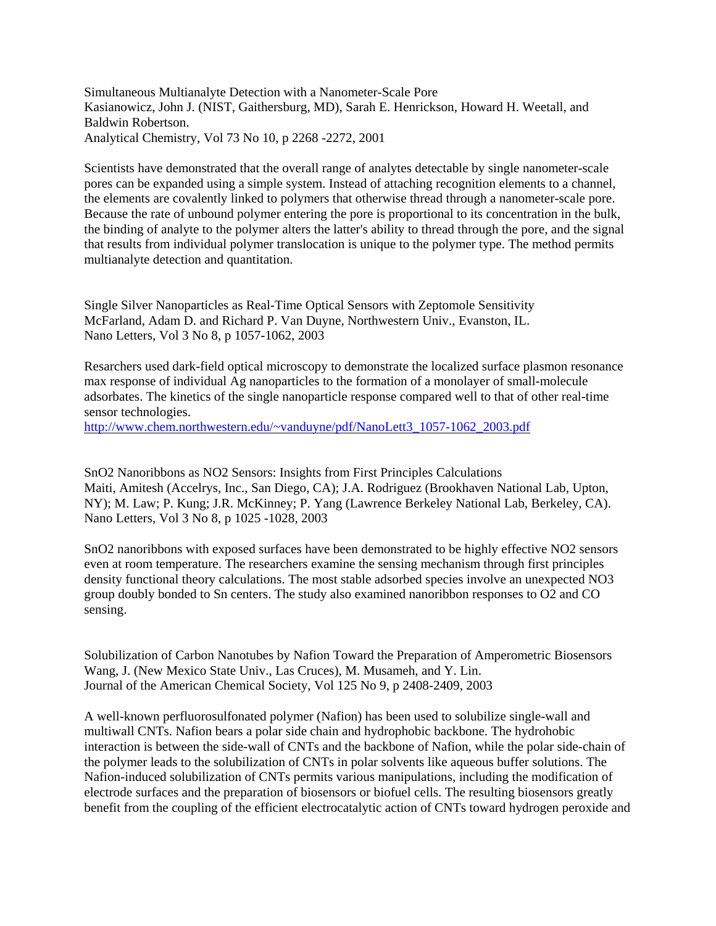Simultaneous Multianalyte Detection with a Nanometer-Scale Pore Kasianowicz, John J. (NIST, Gaithersburg, MD), Sarah E. Henrickson, Howard H. Weetall, and Baldwin Robertson. Analytical Chemistry, Vol 73 No 10, p 2268 -2272, 2001

Scientists have demonstrated that the overall range of analytes detectable by single nanometer-scale pores can be expanded using a simple system. Instead of attaching recognition elements to a channel, the elements are covalently linked to polymers that otherwise thread through a nanometer-scale pore. Because the rate of unbound polymer entering the pore is proportional to its concentration in the bulk, the binding of analyte to the polymer alters the latter's ability to thread through the pore, and the signal that results from individual polymer translocation is unique to the polymer type. The method permits multianalyte detection and quantitation.

Single Silver Nanoparticles as Real-Time Optical Sensors with Zeptomole Sensitivity McFarland, Adam D. and Richard P. Van Duyne, Northwestern Univ., Evanston, IL. Nano Letters, Vol 3 No 8, p 1057-1062, 2003

Resarchers used dark-field optical microscopy to demonstrate the localized surface plasmon resonance max response of individual Ag nanoparticles to the formation of a monolayer of small-molecule adsorbates. The kinetics of the single nanoparticle response compared well to that of other real-time sensor technologies.

[http://www.chem.northwestern.edu/~vanduyne/pdf/NanoLett3\\_1057-1062\\_2003.pdf](http://www.chem.northwestern.edu/~vanduyne/pdf/NanoLett3_1057-1062_2003.pdf) 

SnO2 Nanoribbons as NO2 Sensors: Insights from First Principles Calculations Maiti, Amitesh (Accelrys, Inc., San Diego, CA); J.A. Rodriguez (Brookhaven National Lab, Upton, NY); M. Law; P. Kung; J.R. McKinney; P. Yang (Lawrence Berkeley National Lab, Berkeley, CA). Nano Letters, Vol 3 No 8, p 1025 -1028, 2003

SnO2 nanoribbons with exposed surfaces have been demonstrated to be highly effective NO2 sensors even at room temperature. The researchers examine the sensing mechanism through first principles density functional theory calculations. The most stable adsorbed species involve an unexpected NO3 group doubly bonded to Sn centers. The study also examined nanoribbon responses to O2 and CO sensing.

Solubilization of Carbon Nanotubes by Nafion Toward the Preparation of Amperometric Biosensors Wang, J. (New Mexico State Univ., Las Cruces), M. Musameh, and Y. Lin. Journal of the American Chemical Society, Vol 125 No 9, p 2408-2409, 2003

A well-known perfluorosulfonated polymer (Nafion) has been used to solubilize single-wall and multiwall CNTs. Nafion bears a polar side chain and hydrophobic backbone. The hydrohobic interaction is between the side-wall of CNTs and the backbone of Nafion, while the polar side-chain of the polymer leads to the solubilization of CNTs in polar solvents like aqueous buffer solutions. The Nafion-induced solubilization of CNTs permits various manipulations, including the modification of electrode surfaces and the preparation of biosensors or biofuel cells. The resulting biosensors greatly benefit from the coupling of the efficient electrocatalytic action of CNTs toward hydrogen peroxide and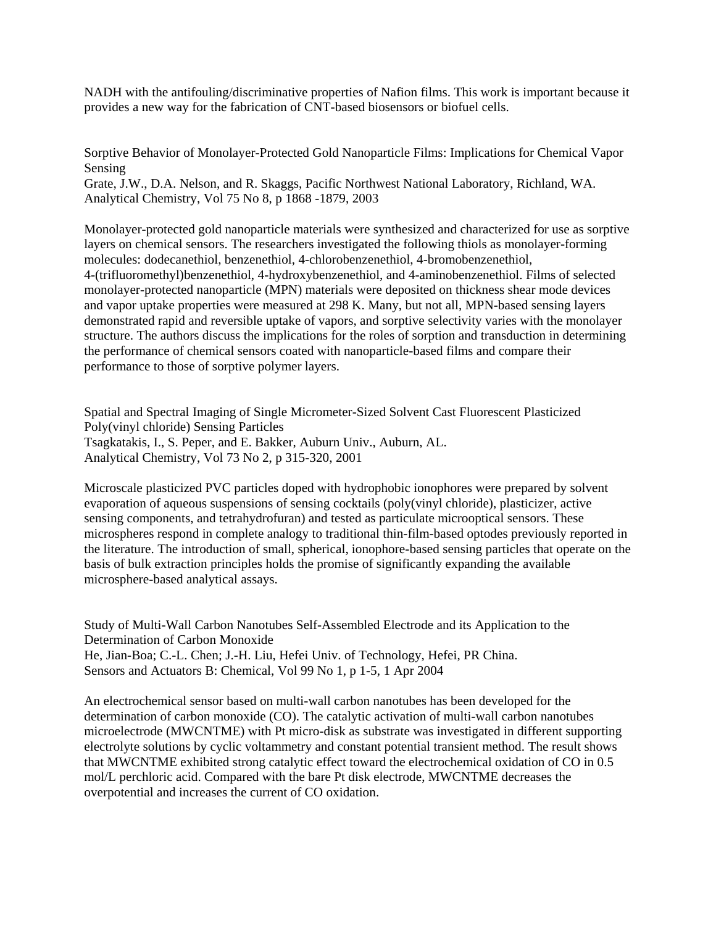NADH with the antifouling/discriminative properties of Nafion films. This work is important because it provides a new way for the fabrication of CNT-based biosensors or biofuel cells.

Sorptive Behavior of Monolayer-Protected Gold Nanoparticle Films: Implications for Chemical Vapor Sensing

Grate, J.W., D.A. Nelson, and R. Skaggs, Pacific Northwest National Laboratory, Richland, WA. Analytical Chemistry, Vol 75 No 8, p 1868 -1879, 2003

Monolayer-protected gold nanoparticle materials were synthesized and characterized for use as sorptive layers on chemical sensors. The researchers investigated the following thiols as monolayer-forming molecules: dodecanethiol, benzenethiol, 4-chlorobenzenethiol, 4-bromobenzenethiol, 4-(trifluoromethyl)benzenethiol, 4-hydroxybenzenethiol, and 4-aminobenzenethiol. Films of selected monolayer-protected nanoparticle (MPN) materials were deposited on thickness shear mode devices and vapor uptake properties were measured at 298 K. Many, but not all, MPN-based sensing layers demonstrated rapid and reversible uptake of vapors, and sorptive selectivity varies with the monolayer structure. The authors discuss the implications for the roles of sorption and transduction in determining the performance of chemical sensors coated with nanoparticle-based films and compare their performance to those of sorptive polymer layers.

Spatial and Spectral Imaging of Single Micrometer-Sized Solvent Cast Fluorescent Plasticized Poly(vinyl chloride) Sensing Particles Tsagkatakis, I., S. Peper, and E. Bakker, Auburn Univ., Auburn, AL. Analytical Chemistry, Vol 73 No 2, p 315-320, 2001

Microscale plasticized PVC particles doped with hydrophobic ionophores were prepared by solvent evaporation of aqueous suspensions of sensing cocktails (poly(vinyl chloride), plasticizer, active sensing components, and tetrahydrofuran) and tested as particulate microoptical sensors. These microspheres respond in complete analogy to traditional thin-film-based optodes previously reported in the literature. The introduction of small, spherical, ionophore-based sensing particles that operate on the basis of bulk extraction principles holds the promise of significantly expanding the available microsphere-based analytical assays.

Study of Multi-Wall Carbon Nanotubes Self-Assembled Electrode and its Application to the Determination of Carbon Monoxide He, Jian-Boa; C.-L. Chen; J.-H. Liu, Hefei Univ. of Technology, Hefei, PR China. Sensors and Actuators B: Chemical, Vol 99 No 1, p 1-5, 1 Apr 2004

An electrochemical sensor based on multi-wall carbon nanotubes has been developed for the determination of carbon monoxide (CO). The catalytic activation of multi-wall carbon nanotubes microelectrode (MWCNTME) with Pt micro-disk as substrate was investigated in different supporting electrolyte solutions by cyclic voltammetry and constant potential transient method. The result shows that MWCNTME exhibited strong catalytic effect toward the electrochemical oxidation of CO in 0.5 mol/L perchloric acid. Compared with the bare Pt disk electrode, MWCNTME decreases the overpotential and increases the current of CO oxidation.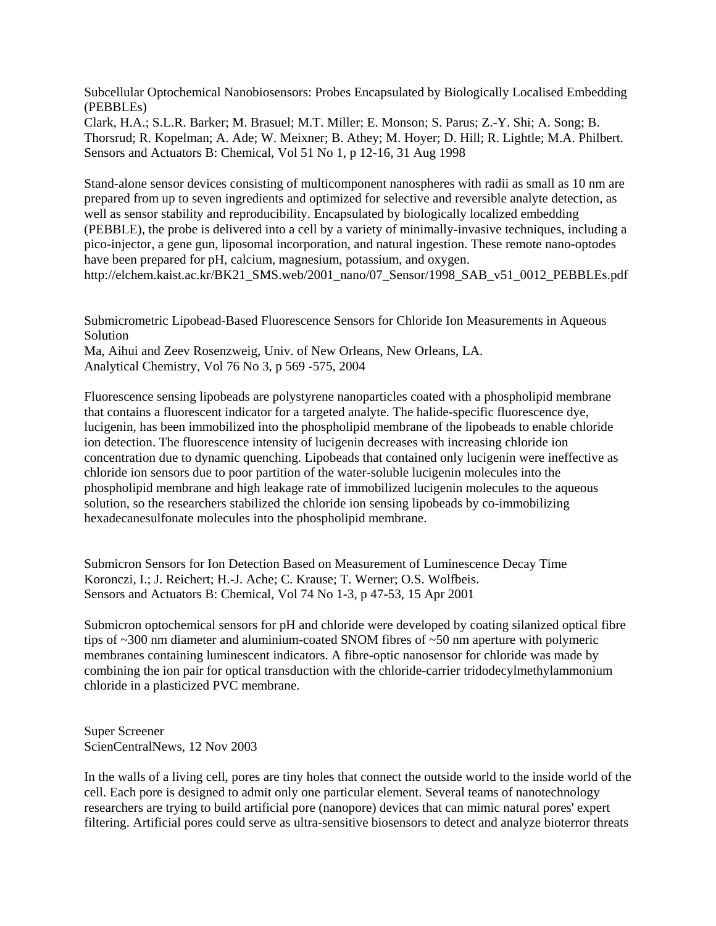Subcellular Optochemical Nanobiosensors: Probes Encapsulated by Biologically Localised Embedding (PEBBLEs)

Clark, H.A.; S.L.R. Barker; M. Brasuel; M.T. Miller; E. Monson; S. Parus; Z.-Y. Shi; A. Song; B. Thorsrud; R. Kopelman; A. Ade; W. Meixner; B. Athey; M. Hoyer; D. Hill; R. Lightle; M.A. Philbert. Sensors and Actuators B: Chemical, Vol 51 No 1, p 12-16, 31 Aug 1998

Stand-alone sensor devices consisting of multicomponent nanospheres with radii as small as 10 nm are prepared from up to seven ingredients and optimized for selective and reversible analyte detection, as well as sensor stability and reproducibility. Encapsulated by biologically localized embedding (PEBBLE), the probe is delivered into a cell by a variety of minimally-invasive techniques, including a pico-injector, a gene gun, liposomal incorporation, and natural ingestion. These remote nano-optodes have been prepared for pH, calcium, magnesium, potassium, and oxygen. [http://elchem.kaist.ac.kr/BK21\\_SMS.web/2001\\_nano/07\\_Sensor/1998\\_SAB\\_v51\\_0012\\_PEBBLEs.pdf](http://elchem.kaist.ac.kr/BK21_SMS.web/2001_nano/07_Sensor/1998_SAB_v51_0012_PEBBLEs.pdf)

Submicrometric Lipobead-Based Fluorescence Sensors for Chloride Ion Measurements in Aqueous Solution Ma, Aihui and Zeev Rosenzweig, Univ. of New Orleans, New Orleans, LA. Analytical Chemistry, Vol 76 No 3, p 569 -575, 2004

Fluorescence sensing lipobeads are polystyrene nanoparticles coated with a phospholipid membrane that contains a fluorescent indicator for a targeted analyte. The halide-specific fluorescence dye, lucigenin, has been immobilized into the phospholipid membrane of the lipobeads to enable chloride ion detection. The fluorescence intensity of lucigenin decreases with increasing chloride ion concentration due to dynamic quenching. Lipobeads that contained only lucigenin were ineffective as chloride ion sensors due to poor partition of the water-soluble lucigenin molecules into the phospholipid membrane and high leakage rate of immobilized lucigenin molecules to the aqueous solution, so the researchers stabilized the chloride ion sensing lipobeads by co-immobilizing hexadecanesulfonate molecules into the phospholipid membrane.

Submicron Sensors for Ion Detection Based on Measurement of Luminescence Decay Time Koronczi, I.; J. Reichert; H.-J. Ache; C. Krause; T. Werner; O.S. Wolfbeis. Sensors and Actuators B: Chemical, Vol 74 No 1-3, p 47-53, 15 Apr 2001

Submicron optochemical sensors for pH and chloride were developed by coating silanized optical fibre tips of ~300 nm diameter and aluminium-coated SNOM fibres of ~50 nm aperture with polymeric membranes containing luminescent indicators. A fibre-optic nanosensor for chloride was made by combining the ion pair for optical transduction with the chloride-carrier tridodecylmethylammonium chloride in a plasticized PVC membrane.

Super Screener ScienCentralNews, 12 Nov 2003

In the walls of a living cell, pores are tiny holes that connect the outside world to the inside world of the cell. Each pore is designed to admit only one particular element. Several teams of nanotechnology researchers are trying to build artificial pore (nanopore) devices that can mimic natural pores' expert filtering. Artificial pores could serve as ultra-sensitive biosensors to detect and analyze bioterror threats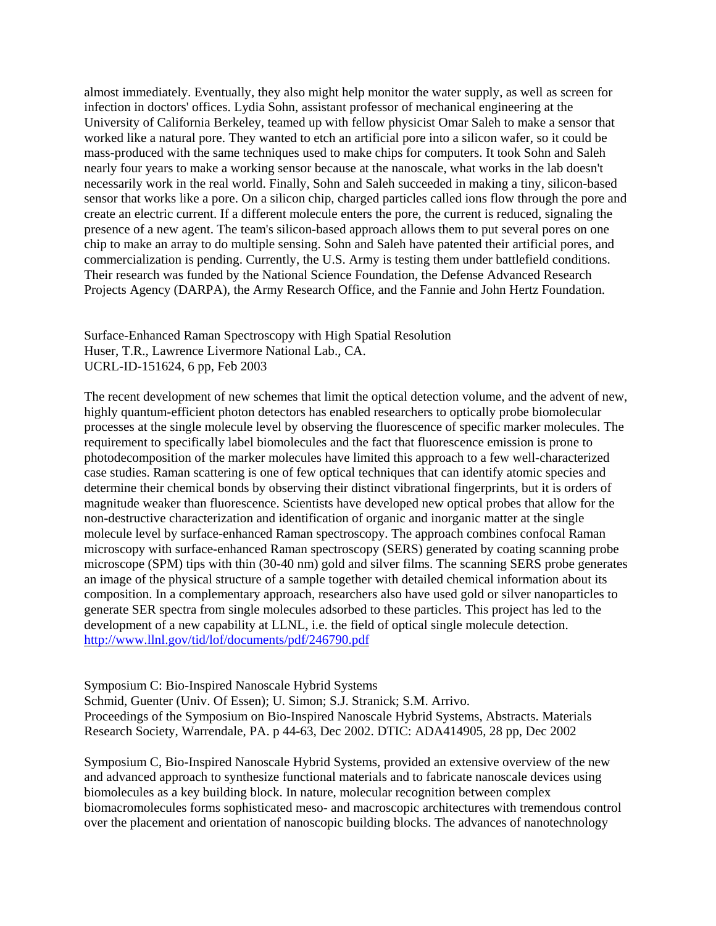almost immediately. Eventually, they also might help monitor the water supply, as well as screen for infection in doctors' offices. Lydia Sohn, assistant professor of mechanical engineering at the University of California Berkeley, teamed up with fellow physicist Omar Saleh to make a sensor that worked like a natural pore. They wanted to etch an artificial pore into a silicon wafer, so it could be mass-produced with the same techniques used to make chips for computers. It took Sohn and Saleh nearly four years to make a working sensor because at the nanoscale, what works in the lab doesn't necessarily work in the real world. Finally, Sohn and Saleh succeeded in making a tiny, silicon-based sensor that works like a pore. On a silicon chip, charged particles called ions flow through the pore and create an electric current. If a different molecule enters the pore, the current is reduced, signaling the presence of a new agent. The team's silicon-based approach allows them to put several pores on one chip to make an array to do multiple sensing. Sohn and Saleh have patented their artificial pores, and commercialization is pending. Currently, the U.S. Army is testing them under battlefield conditions. Their research was funded by the National Science Foundation, the Defense Advanced Research Projects Agency (DARPA), the Army Research Office, and the Fannie and John Hertz Foundation.

Surface-Enhanced Raman Spectroscopy with High Spatial Resolution Huser, T.R., Lawrence Livermore National Lab., CA. UCRL-ID-151624, 6 pp, Feb 2003

The recent development of new schemes that limit the optical detection volume, and the advent of new, highly quantum-efficient photon detectors has enabled researchers to optically probe biomolecular processes at the single molecule level by observing the fluorescence of specific marker molecules. The requirement to specifically label biomolecules and the fact that fluorescence emission is prone to photodecomposition of the marker molecules have limited this approach to a few well-characterized case studies. Raman scattering is one of few optical techniques that can identify atomic species and determine their chemical bonds by observing their distinct vibrational fingerprints, but it is orders of magnitude weaker than fluorescence. Scientists have developed new optical probes that allow for the non-destructive characterization and identification of organic and inorganic matter at the single molecule level by surface-enhanced Raman spectroscopy. The approach combines confocal Raman microscopy with surface-enhanced Raman spectroscopy (SERS) generated by coating scanning probe microscope (SPM) tips with thin (30-40 nm) gold and silver films. The scanning SERS probe generates an image of the physical structure of a sample together with detailed chemical information about its composition. In a complementary approach, researchers also have used gold or silver nanoparticles to generate SER spectra from single molecules adsorbed to these particles. This project has led to the development of a new capability at LLNL, i.e. the field of optical single molecule detection. <http://www.llnl.gov/tid/lof/documents/pdf/246790.pdf>

Symposium C: Bio-Inspired Nanoscale Hybrid Systems Schmid, Guenter (Univ. Of Essen); U. Simon; S.J. Stranick; S.M. Arrivo. Proceedings of the Symposium on Bio-Inspired Nanoscale Hybrid Systems, Abstracts. Materials Research Society, Warrendale, PA. p 44-63, Dec 2002. DTIC: ADA414905, 28 pp, Dec 2002

Symposium C, Bio-Inspired Nanoscale Hybrid Systems, provided an extensive overview of the new and advanced approach to synthesize functional materials and to fabricate nanoscale devices using biomolecules as a key building block. In nature, molecular recognition between complex biomacromolecules forms sophisticated meso- and macroscopic architectures with tremendous control over the placement and orientation of nanoscopic building blocks. The advances of nanotechnology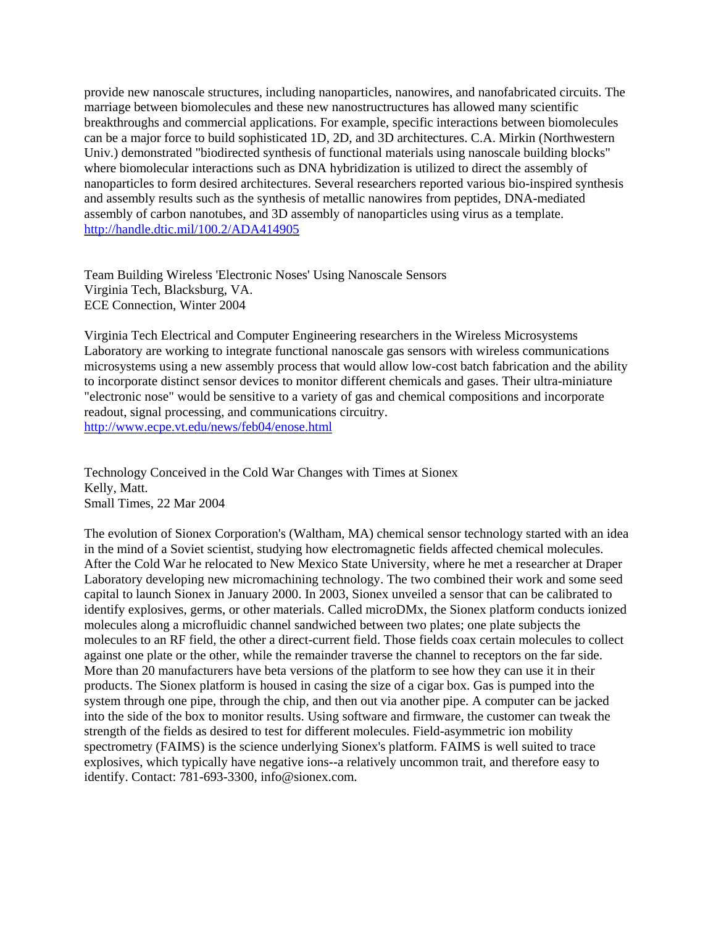provide new nanoscale structures, including nanoparticles, nanowires, and nanofabricated circuits. The marriage between biomolecules and these new nanostructructures has allowed many scientific breakthroughs and commercial applications. For example, specific interactions between biomolecules can be a major force to build sophisticated 1D, 2D, and 3D architectures. C.A. Mirkin (Northwestern Univ.) demonstrated "biodirected synthesis of functional materials using nanoscale building blocks" where biomolecular interactions such as DNA hybridization is utilized to direct the assembly of nanoparticles to form desired architectures. Several researchers reported various bio-inspired synthesis and assembly results such as the synthesis of metallic nanowires from peptides, DNA-mediated assembly of carbon nanotubes, and 3D assembly of nanoparticles using virus as a template. <http://handle.dtic.mil/100.2/ADA414905>

Team Building Wireless 'Electronic Noses' Using Nanoscale Sensors Virginia Tech, Blacksburg, VA. ECE Connection, Winter 2004

Virginia Tech Electrical and Computer Engineering researchers in the Wireless Microsystems Laboratory are working to integrate functional nanoscale gas sensors with wireless communications microsystems using a new assembly process that would allow low-cost batch fabrication and the ability to incorporate distinct sensor devices to monitor different chemicals and gases. Their ultra-miniature "electronic nose" would be sensitive to a variety of gas and chemical compositions and incorporate readout, signal processing, and communications circuitry. <http://www.ecpe.vt.edu/news/feb04/enose.html>

Technology Conceived in the Cold War Changes with Times at Sionex Kelly, Matt. Small Times, 22 Mar 2004

The evolution of Sionex Corporation's (Waltham, MA) chemical sensor technology started with an idea in the mind of a Soviet scientist, studying how electromagnetic fields affected chemical molecules. After the Cold War he relocated to New Mexico State University, where he met a researcher at Draper Laboratory developing new micromachining technology. The two combined their work and some seed capital to launch Sionex in January 2000. In 2003, Sionex unveiled a sensor that can be calibrated to identify explosives, germs, or other materials. Called microDMx, the Sionex platform conducts ionized molecules along a microfluidic channel sandwiched between two plates; one plate subjects the molecules to an RF field, the other a direct-current field. Those fields coax certain molecules to collect against one plate or the other, while the remainder traverse the channel to receptors on the far side. More than 20 manufacturers have beta versions of the platform to see how they can use it in their products. The Sionex platform is housed in casing the size of a cigar box. Gas is pumped into the system through one pipe, through the chip, and then out via another pipe. A computer can be jacked into the side of the box to monitor results. Using software and firmware, the customer can tweak the strength of the fields as desired to test for different molecules. Field-asymmetric ion mobility spectrometry (FAIMS) is the science underlying Sionex's platform. FAIMS is well suited to trace explosives, which typically have negative ions--a relatively uncommon trait, and therefore easy to identify. Contact: 781-693-3300, info@sionex.com.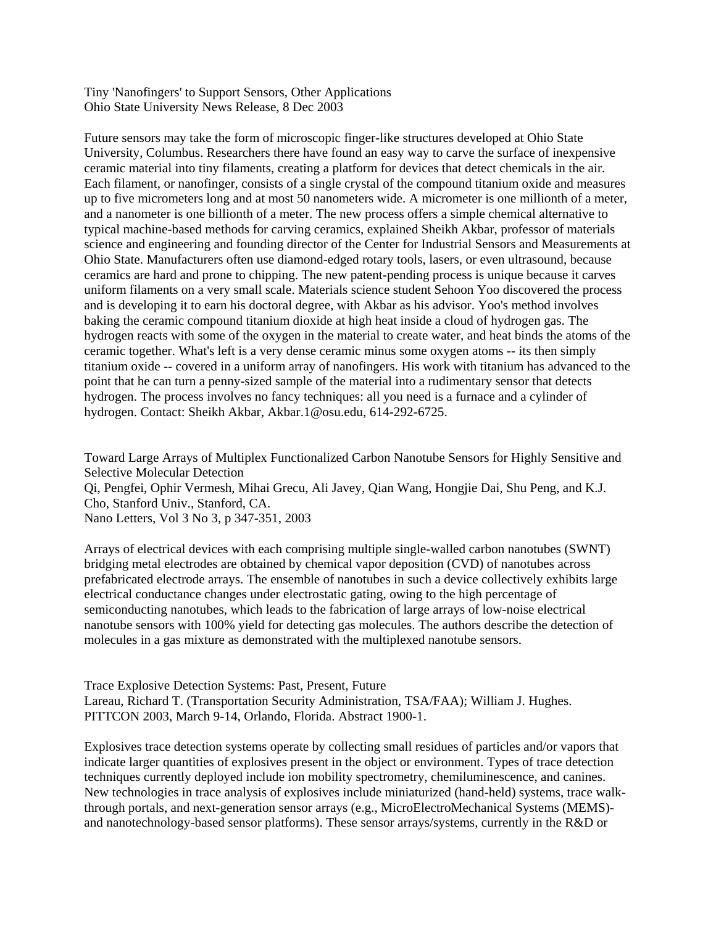Tiny 'Nanofingers' to Support Sensors, Other Applications Ohio State University News Release, 8 Dec 2003

Future sensors may take the form of microscopic finger-like structures developed at Ohio State University, Columbus. Researchers there have found an easy way to carve the surface of inexpensive ceramic material into tiny filaments, creating a platform for devices that detect chemicals in the air. Each filament, or nanofinger, consists of a single crystal of the compound titanium oxide and measures up to five micrometers long and at most 50 nanometers wide. A micrometer is one millionth of a meter, and a nanometer is one billionth of a meter. The new process offers a simple chemical alternative to typical machine-based methods for carving ceramics, explained Sheikh Akbar, professor of materials science and engineering and founding director of the Center for Industrial Sensors and Measurements at Ohio State. Manufacturers often use diamond-edged rotary tools, lasers, or even ultrasound, because ceramics are hard and prone to chipping. The new patent-pending process is unique because it carves uniform filaments on a very small scale. Materials science student Sehoon Yoo discovered the process and is developing it to earn his doctoral degree, with Akbar as his advisor. Yoo's method involves baking the ceramic compound titanium dioxide at high heat inside a cloud of hydrogen gas. The hydrogen reacts with some of the oxygen in the material to create water, and heat binds the atoms of the ceramic together. What's left is a very dense ceramic minus some oxygen atoms -- its then simply titanium oxide -- covered in a uniform array of nanofingers. His work with titanium has advanced to the point that he can turn a penny-sized sample of the material into a rudimentary sensor that detects hydrogen. The process involves no fancy techniques: all you need is a furnace and a cylinder of hydrogen. Contact: Sheikh Akbar, Akbar.1@osu.edu, 614-292-6725.

Toward Large Arrays of Multiplex Functionalized Carbon Nanotube Sensors for Highly Sensitive and Selective Molecular Detection Qi, Pengfei, Ophir Vermesh, Mihai Grecu, Ali Javey, Qian Wang, Hongjie Dai, Shu Peng, and K.J. Cho, Stanford Univ., Stanford, CA. Nano Letters, Vol 3 No 3, p 347-351, 2003

Arrays of electrical devices with each comprising multiple single-walled carbon nanotubes (SWNT) bridging metal electrodes are obtained by chemical vapor deposition (CVD) of nanotubes across prefabricated electrode arrays. The ensemble of nanotubes in such a device collectively exhibits large electrical conductance changes under electrostatic gating, owing to the high percentage of semiconducting nanotubes, which leads to the fabrication of large arrays of low-noise electrical nanotube sensors with 100% yield for detecting gas molecules. The authors describe the detection of molecules in a gas mixture as demonstrated with the multiplexed nanotube sensors.

Trace Explosive Detection Systems: Past, Present, Future Lareau, Richard T. (Transportation Security Administration, TSA/FAA); William J. Hughes. PITTCON 2003, March 9-14, Orlando, Florida. Abstract 1900-1.

Explosives trace detection systems operate by collecting small residues of particles and/or vapors that indicate larger quantities of explosives present in the object or environment. Types of trace detection techniques currently deployed include ion mobility spectrometry, chemiluminescence, and canines. New technologies in trace analysis of explosives include miniaturized (hand-held) systems, trace walkthrough portals, and next-generation sensor arrays (e.g., MicroElectroMechanical Systems (MEMS) and nanotechnology-based sensor platforms). These sensor arrays/systems, currently in the R&D or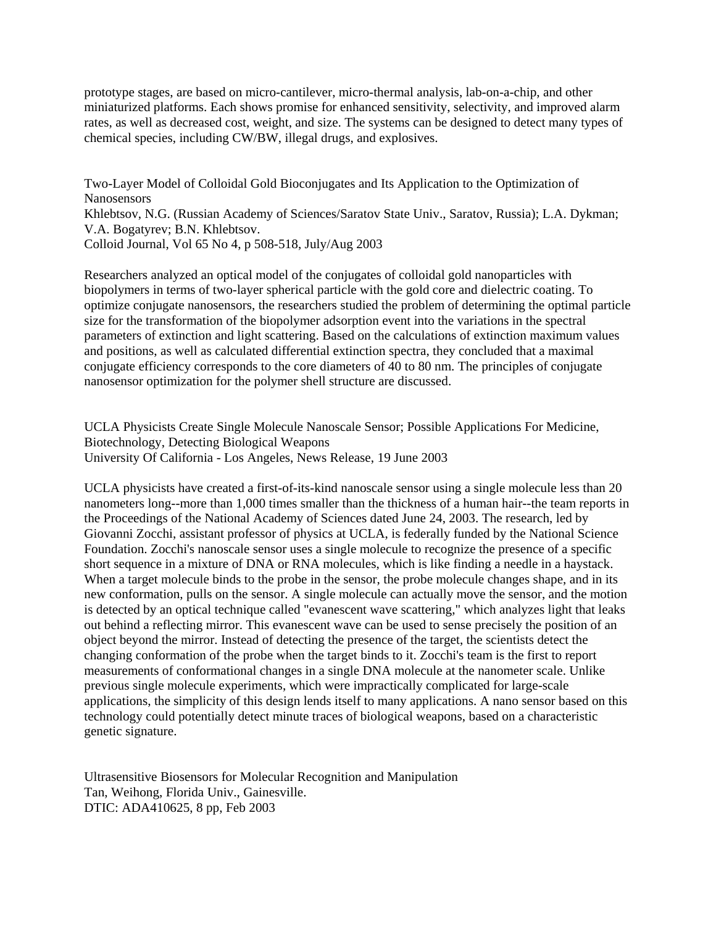prototype stages, are based on micro-cantilever, micro-thermal analysis, lab-on-a-chip, and other miniaturized platforms. Each shows promise for enhanced sensitivity, selectivity, and improved alarm rates, as well as decreased cost, weight, and size. The systems can be designed to detect many types of chemical species, including CW/BW, illegal drugs, and explosives.

Two-Layer Model of Colloidal Gold Bioconjugates and Its Application to the Optimization of Nanosensors Khlebtsov, N.G. (Russian Academy of Sciences/Saratov State Univ., Saratov, Russia); L.A. Dykman; V.A. Bogatyrev; B.N. Khlebtsov. Colloid Journal, Vol 65 No 4, p 508-518, July/Aug 2003

Researchers analyzed an optical model of the conjugates of colloidal gold nanoparticles with biopolymers in terms of two-layer spherical particle with the gold core and dielectric coating. To optimize conjugate nanosensors, the researchers studied the problem of determining the optimal particle size for the transformation of the biopolymer adsorption event into the variations in the spectral parameters of extinction and light scattering. Based on the calculations of extinction maximum values and positions, as well as calculated differential extinction spectra, they concluded that a maximal conjugate efficiency corresponds to the core diameters of 40 to 80 nm. The principles of conjugate nanosensor optimization for the polymer shell structure are discussed.

UCLA Physicists Create Single Molecule Nanoscale Sensor; Possible Applications For Medicine, Biotechnology, Detecting Biological Weapons University Of California - Los Angeles, News Release, 19 June 2003

UCLA physicists have created a first-of-its-kind nanoscale sensor using a single molecule less than 20 nanometers long--more than 1,000 times smaller than the thickness of a human hair--the team reports in the Proceedings of the National Academy of Sciences dated June 24, 2003. The research, led by Giovanni Zocchi, assistant professor of physics at UCLA, is federally funded by the National Science Foundation. Zocchi's nanoscale sensor uses a single molecule to recognize the presence of a specific short sequence in a mixture of DNA or RNA molecules, which is like finding a needle in a haystack. When a target molecule binds to the probe in the sensor, the probe molecule changes shape, and in its new conformation, pulls on the sensor. A single molecule can actually move the sensor, and the motion is detected by an optical technique called "evanescent wave scattering," which analyzes light that leaks out behind a reflecting mirror. This evanescent wave can be used to sense precisely the position of an object beyond the mirror. Instead of detecting the presence of the target, the scientists detect the changing conformation of the probe when the target binds to it. Zocchi's team is the first to report measurements of conformational changes in a single DNA molecule at the nanometer scale. Unlike previous single molecule experiments, which were impractically complicated for large-scale applications, the simplicity of this design lends itself to many applications. A nano sensor based on this technology could potentially detect minute traces of biological weapons, based on a characteristic genetic signature.

Ultrasensitive Biosensors for Molecular Recognition and Manipulation Tan, Weihong, Florida Univ., Gainesville. DTIC: ADA410625, 8 pp, Feb 2003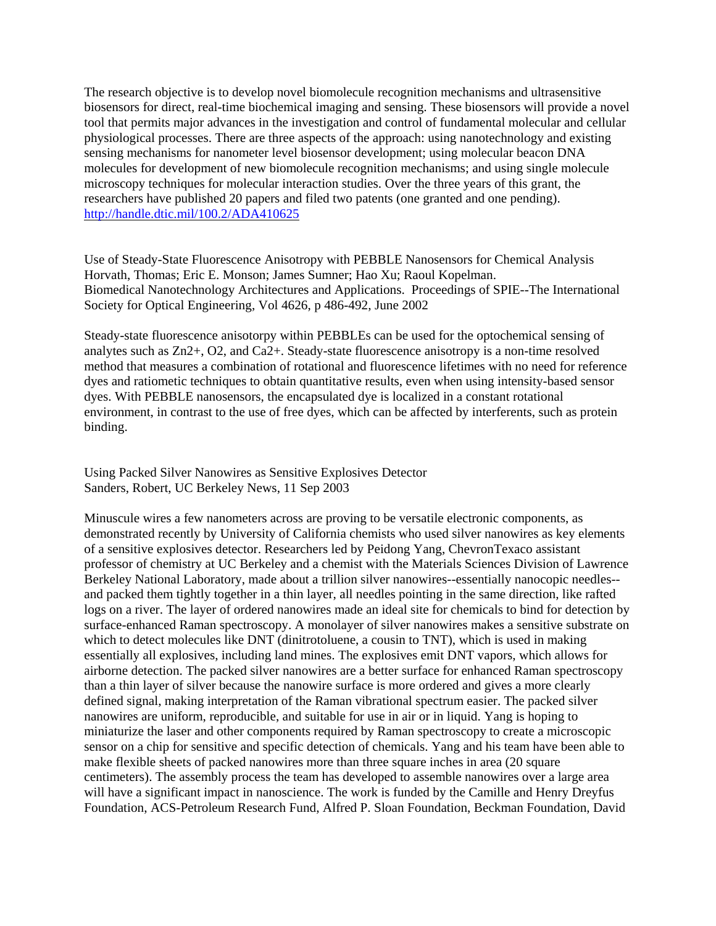The research objective is to develop novel biomolecule recognition mechanisms and ultrasensitive biosensors for direct, real-time biochemical imaging and sensing. These biosensors will provide a novel tool that permits major advances in the investigation and control of fundamental molecular and cellular physiological processes. There are three aspects of the approach: using nanotechnology and existing sensing mechanisms for nanometer level biosensor development; using molecular beacon DNA molecules for development of new biomolecule recognition mechanisms; and using single molecule microscopy techniques for molecular interaction studies. Over the three years of this grant, the researchers have published 20 papers and filed two patents (one granted and one pending). <http://handle.dtic.mil/100.2/ADA410625>

Use of Steady-State Fluorescence Anisotropy with PEBBLE Nanosensors for Chemical Analysis Horvath, Thomas; Eric E. Monson; James Sumner; Hao Xu; Raoul Kopelman. Biomedical Nanotechnology Architectures and Applications. Proceedings of SPIE--The International Society for Optical Engineering, Vol 4626, p 486-492, June 2002

Steady-state fluorescence anisotorpy within PEBBLEs can be used for the optochemical sensing of analytes such as Zn2+, O2, and Ca2+. Steady-state fluorescence anisotropy is a non-time resolved method that measures a combination of rotational and fluorescence lifetimes with no need for reference dyes and ratiometic techniques to obtain quantitative results, even when using intensity-based sensor dyes. With PEBBLE nanosensors, the encapsulated dye is localized in a constant rotational environment, in contrast to the use of free dyes, which can be affected by interferents, such as protein binding.

Using Packed Silver Nanowires as Sensitive Explosives Detector Sanders, Robert, UC Berkeley News, 11 Sep 2003

Minuscule wires a few nanometers across are proving to be versatile electronic components, as demonstrated recently by University of California chemists who used silver nanowires as key elements of a sensitive explosives detector. Researchers led by Peidong Yang, ChevronTexaco assistant professor of chemistry at UC Berkeley and a chemist with the Materials Sciences Division of Lawrence Berkeley National Laboratory, made about a trillion silver nanowires--essentially nanocopic needles- and packed them tightly together in a thin layer, all needles pointing in the same direction, like rafted logs on a river. The layer of ordered nanowires made an ideal site for chemicals to bind for detection by surface-enhanced Raman spectroscopy. A monolayer of silver nanowires makes a sensitive substrate on which to detect molecules like DNT (dinitrotoluene, a cousin to TNT), which is used in making essentially all explosives, including land mines. The explosives emit DNT vapors, which allows for airborne detection. The packed silver nanowires are a better surface for enhanced Raman spectroscopy than a thin layer of silver because the nanowire surface is more ordered and gives a more clearly defined signal, making interpretation of the Raman vibrational spectrum easier. The packed silver nanowires are uniform, reproducible, and suitable for use in air or in liquid. Yang is hoping to miniaturize the laser and other components required by Raman spectroscopy to create a microscopic sensor on a chip for sensitive and specific detection of chemicals. Yang and his team have been able to make flexible sheets of packed nanowires more than three square inches in area (20 square centimeters). The assembly process the team has developed to assemble nanowires over a large area will have a significant impact in nanoscience. The work is funded by the Camille and Henry Dreyfus Foundation, ACS-Petroleum Research Fund, Alfred P. Sloan Foundation, Beckman Foundation, David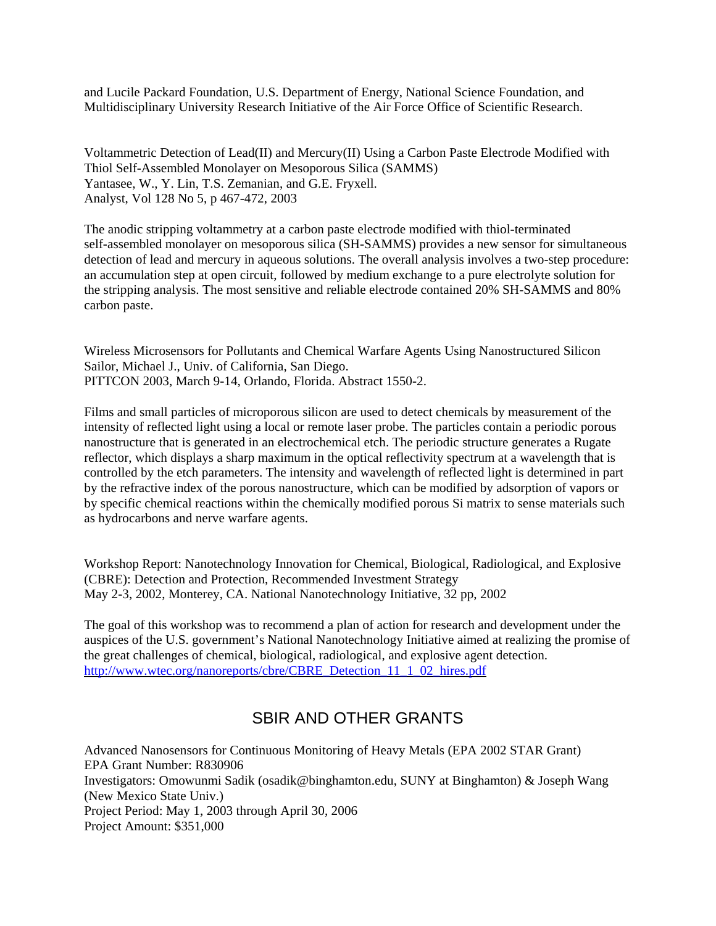and Lucile Packard Foundation, U.S. Department of Energy, National Science Foundation, and Multidisciplinary University Research Initiative of the Air Force Office of Scientific Research.

Voltammetric Detection of Lead(II) and Mercury(II) Using a Carbon Paste Electrode Modified with Thiol Self-Assembled Monolayer on Mesoporous Silica (SAMMS) Yantasee, W., Y. Lin, T.S. Zemanian, and G.E. Fryxell. Analyst, Vol 128 No 5, p 467-472, 2003

The anodic stripping voltammetry at a carbon paste electrode modified with thiol-terminated self-assembled monolayer on mesoporous silica (SH-SAMMS) provides a new sensor for simultaneous detection of lead and mercury in aqueous solutions. The overall analysis involves a two-step procedure: an accumulation step at open circuit, followed by medium exchange to a pure electrolyte solution for the stripping analysis. The most sensitive and reliable electrode contained 20% SH-SAMMS and 80% carbon paste.

Wireless Microsensors for Pollutants and Chemical Warfare Agents Using Nanostructured Silicon Sailor, Michael J., Univ. of California, San Diego. PITTCON 2003, March 9-14, Orlando, Florida. Abstract 1550-2.

Films and small particles of microporous silicon are used to detect chemicals by measurement of the intensity of reflected light using a local or remote laser probe. The particles contain a periodic porous nanostructure that is generated in an electrochemical etch. The periodic structure generates a Rugate reflector, which displays a sharp maximum in the optical reflectivity spectrum at a wavelength that is controlled by the etch parameters. The intensity and wavelength of reflected light is determined in part by the refractive index of the porous nanostructure, which can be modified by adsorption of vapors or by specific chemical reactions within the chemically modified porous Si matrix to sense materials such as hydrocarbons and nerve warfare agents.

Workshop Report: Nanotechnology Innovation for Chemical, Biological, Radiological, and Explosive (CBRE): Detection and Protection, Recommended Investment Strategy May 2-3, 2002, Monterey, CA. National Nanotechnology Initiative, 32 pp, 2002

The goal of this workshop was to recommend a plan of action for research and development under the auspices of the U.S. government's National Nanotechnology Initiative aimed at realizing the promise of the great challenges of chemical, biological, radiological, and explosive agent detection. [http://www.wtec.org/nanoreports/cbre/CBRE\\_Detection\\_11\\_1\\_02\\_hires.pdf](http://www.wtec.org/nanoreports/cbre/CBRE_Detection_11_1_02_hires.pdf)

## SBIR AND OTHER GRANTS

Advanced Nanosensors for Continuous Monitoring of Heavy Metals (EPA 2002 STAR Grant) EPA Grant Number: R830906 Investigators: Omowunmi Sadik (osadik@binghamton.edu, SUNY at Binghamton) & Joseph Wang (New Mexico State Univ.) Project Period: May 1, 2003 through April 30, 2006 Project Amount: \$351,000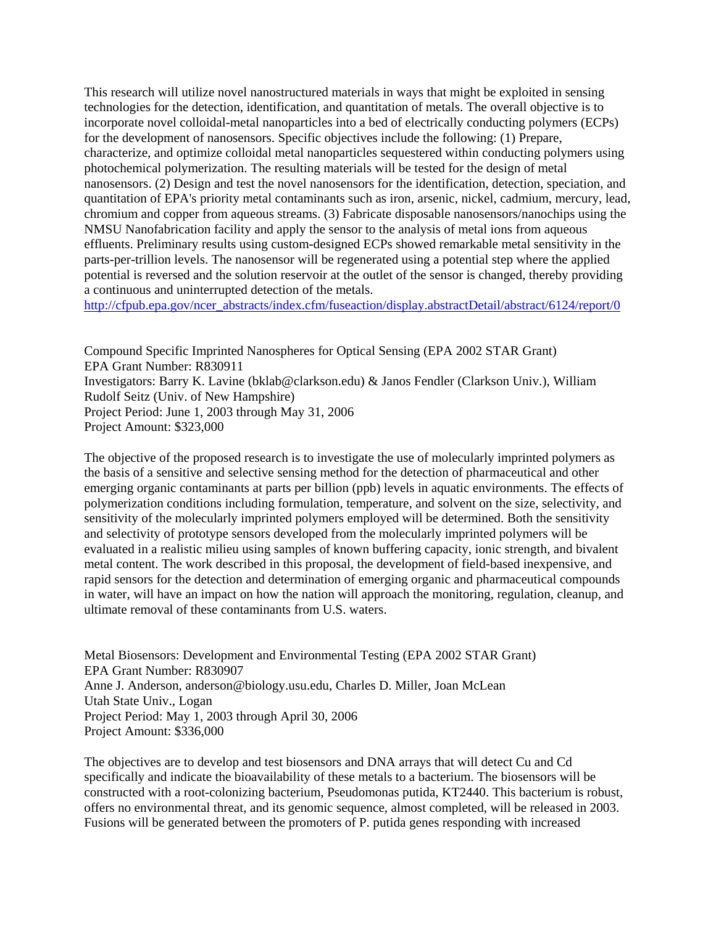This research will utilize novel nanostructured materials in ways that might be exploited in sensing technologies for the detection, identification, and quantitation of metals. The overall objective is to incorporate novel colloidal-metal nanoparticles into a bed of electrically conducting polymers (ECPs) for the development of nanosensors. Specific objectives include the following: (1) Prepare, characterize, and optimize colloidal metal nanoparticles sequestered within conducting polymers using photochemical polymerization. The resulting materials will be tested for the design of metal nanosensors. (2) Design and test the novel nanosensors for the identification, detection, speciation, and quantitation of EPA's priority metal contaminants such as iron, arsenic, nickel, cadmium, mercury, lead, chromium and copper from aqueous streams. (3) Fabricate disposable nanosensors/nanochips using the NMSU Nanofabrication facility and apply the sensor to the analysis of metal ions from aqueous effluents. Preliminary results using custom-designed ECPs showed remarkable metal sensitivity in the parts-per-trillion levels. The nanosensor will be regenerated using a potential step where the applied potential is reversed and the solution reservoir at the outlet of the sensor is changed, thereby providing a continuous and uninterrupted detection of the metals.

[http://cfpub.epa.gov/ncer\\_abstracts/index.cfm/fuseaction/display.abstractDetail/abstract/6124/report/0](http://cfpub.epa.gov/ncer_abstracts/index.cfm/fuseaction/display.abstractDetail/abstract/6124/report/0) 

Compound Specific Imprinted Nanospheres for Optical Sensing (EPA 2002 STAR Grant) EPA Grant Number: R830911 Investigators: Barry K. Lavine (bklab@clarkson.edu) & Janos Fendler (Clarkson Univ.), William Rudolf Seitz (Univ. of New Hampshire) Project Period: June 1, 2003 through May 31, 2006 Project Amount: \$323,000

The objective of the proposed research is to investigate the use of molecularly imprinted polymers as the basis of a sensitive and selective sensing method for the detection of pharmaceutical and other emerging organic contaminants at parts per billion (ppb) levels in aquatic environments. The effects of polymerization conditions including formulation, temperature, and solvent on the size, selectivity, and sensitivity of the molecularly imprinted polymers employed will be determined. Both the sensitivity and selectivity of prototype sensors developed from the molecularly imprinted polymers will be evaluated in a realistic milieu using samples of known buffering capacity, ionic strength, and bivalent metal content. The work described in this proposal, the development of field-based inexpensive, and rapid sensors for the detection and determination of emerging organic and pharmaceutical compounds in water, will have an impact on how the nation will approach the monitoring, regulation, cleanup, and ultimate removal of these contaminants from U.S. waters.

Metal Biosensors: Development and Environmental Testing (EPA 2002 STAR Grant) EPA Grant Number: R830907 Anne J. Anderson, anderson@biology.usu.edu, Charles D. Miller, Joan McLean Utah State Univ., Logan Project Period: May 1, 2003 through April 30, 2006 Project Amount: \$336,000

The objectives are to develop and test biosensors and DNA arrays that will detect Cu and Cd specifically and indicate the bioavailability of these metals to a bacterium. The biosensors will be constructed with a root-colonizing bacterium, Pseudomonas putida, KT2440. This bacterium is robust, offers no environmental threat, and its genomic sequence, almost completed, will be released in 2003. Fusions will be generated between the promoters of P. putida genes responding with increased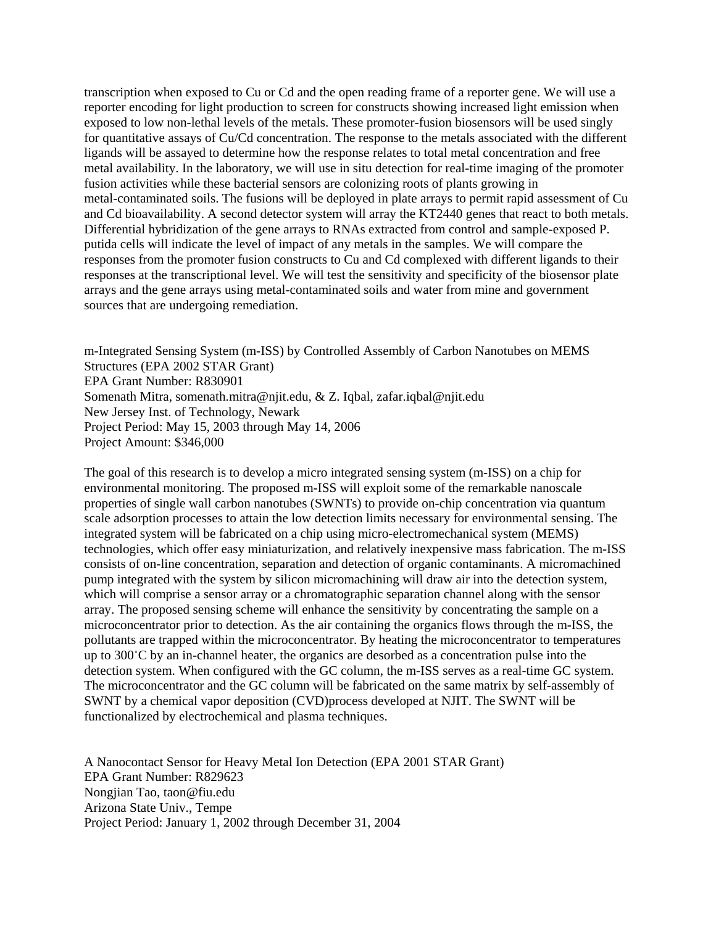transcription when exposed to Cu or Cd and the open reading frame of a reporter gene. We will use a reporter encoding for light production to screen for constructs showing increased light emission when exposed to low non-lethal levels of the metals. These promoter-fusion biosensors will be used singly for quantitative assays of Cu/Cd concentration. The response to the metals associated with the different ligands will be assayed to determine how the response relates to total metal concentration and free metal availability. In the laboratory, we will use in situ detection for real-time imaging of the promoter fusion activities while these bacterial sensors are colonizing roots of plants growing in metal-contaminated soils. The fusions will be deployed in plate arrays to permit rapid assessment of Cu and Cd bioavailability. A second detector system will array the KT2440 genes that react to both metals. Differential hybridization of the gene arrays to RNAs extracted from control and sample-exposed P. putida cells will indicate the level of impact of any metals in the samples. We will compare the responses from the promoter fusion constructs to Cu and Cd complexed with different ligands to their responses at the transcriptional level. We will test the sensitivity and specificity of the biosensor plate arrays and the gene arrays using metal-contaminated soils and water from mine and government sources that are undergoing remediation.

m-Integrated Sensing System (m-ISS) by Controlled Assembly of Carbon Nanotubes on MEMS Structures (EPA 2002 STAR Grant) EPA Grant Number: R830901 Somenath Mitra, somenath.mitra@njit.edu, & Z. Iqbal, zafar.iqbal@njit.edu New Jersey Inst. of Technology, Newark Project Period: May 15, 2003 through May 14, 2006 Project Amount: \$346,000

The goal of this research is to develop a micro integrated sensing system (m-ISS) on a chip for environmental monitoring. The proposed m-ISS will exploit some of the remarkable nanoscale properties of single wall carbon nanotubes (SWNTs) to provide on-chip concentration via quantum scale adsorption processes to attain the low detection limits necessary for environmental sensing. The integrated system will be fabricated on a chip using micro-electromechanical system (MEMS) technologies, which offer easy miniaturization, and relatively inexpensive mass fabrication. The m-ISS consists of on-line concentration, separation and detection of organic contaminants. A micromachined pump integrated with the system by silicon micromachining will draw air into the detection system, which will comprise a sensor array or a chromatographic separation channel along with the sensor array. The proposed sensing scheme will enhance the sensitivity by concentrating the sample on a microconcentrator prior to detection. As the air containing the organics flows through the m-ISS, the pollutants are trapped within the microconcentrator. By heating the microconcentrator to temperatures up to  $300^{\circ}$ C by an in-channel heater, the organics are desorbed as a concentration pulse into the detection system. When configured with the GC column, the m-ISS serves as a real-time GC system. The microconcentrator and the GC column will be fabricated on the same matrix by self-assembly of SWNT by a chemical vapor deposition (CVD)process developed at NJIT. The SWNT will be functionalized by electrochemical and plasma techniques.

A Nanocontact Sensor for Heavy Metal Ion Detection (EPA 2001 STAR Grant) EPA Grant Number: R829623 Nongjian Tao, taon@fiu.edu Arizona State Univ., Tempe Project Period: January 1, 2002 through December 31, 2004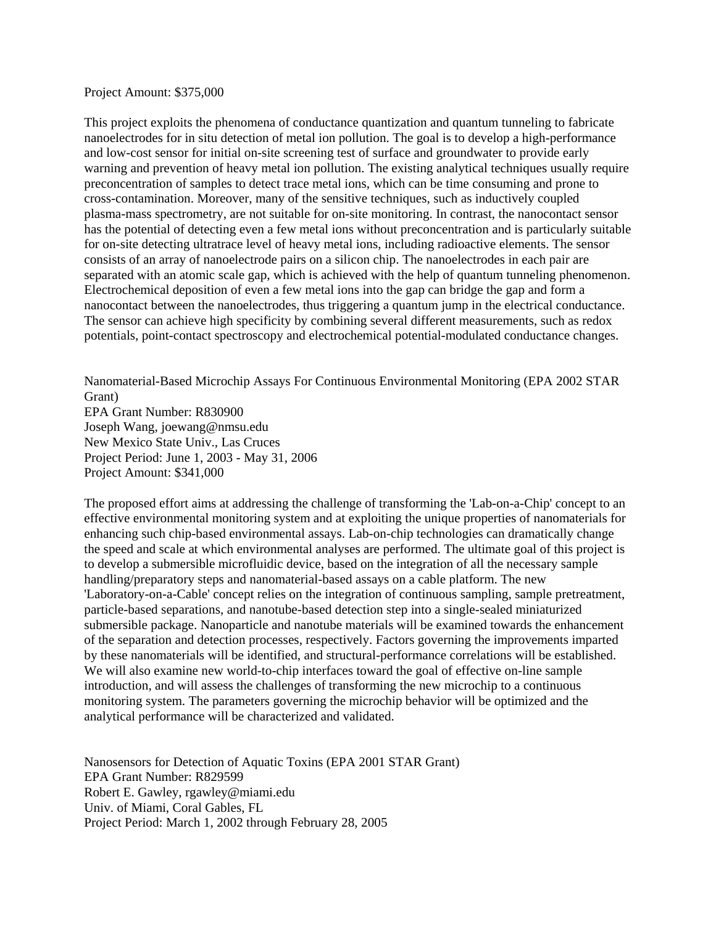## Project Amount: \$375,000

This project exploits the phenomena of conductance quantization and quantum tunneling to fabricate nanoelectrodes for in situ detection of metal ion pollution. The goal is to develop a high-performance and low-cost sensor for initial on-site screening test of surface and groundwater to provide early warning and prevention of heavy metal ion pollution. The existing analytical techniques usually require preconcentration of samples to detect trace metal ions, which can be time consuming and prone to cross-contamination. Moreover, many of the sensitive techniques, such as inductively coupled plasma-mass spectrometry, are not suitable for on-site monitoring. In contrast, the nanocontact sensor has the potential of detecting even a few metal ions without preconcentration and is particularly suitable for on-site detecting ultratrace level of heavy metal ions, including radioactive elements. The sensor consists of an array of nanoelectrode pairs on a silicon chip. The nanoelectrodes in each pair are separated with an atomic scale gap, which is achieved with the help of quantum tunneling phenomenon. Electrochemical deposition of even a few metal ions into the gap can bridge the gap and form a nanocontact between the nanoelectrodes, thus triggering a quantum jump in the electrical conductance. The sensor can achieve high specificity by combining several different measurements, such as redox potentials, point-contact spectroscopy and electrochemical potential-modulated conductance changes.

Nanomaterial-Based Microchip Assays For Continuous Environmental Monitoring (EPA 2002 STAR Grant) EPA Grant Number: R830900 Joseph Wang, joewang@nmsu.edu New Mexico State Univ., Las Cruces Project Period: June 1, 2003 - May 31, 2006 Project Amount: \$341,000

The proposed effort aims at addressing the challenge of transforming the 'Lab-on-a-Chip' concept to an effective environmental monitoring system and at exploiting the unique properties of nanomaterials for enhancing such chip-based environmental assays. Lab-on-chip technologies can dramatically change the speed and scale at which environmental analyses are performed. The ultimate goal of this project is to develop a submersible microfluidic device, based on the integration of all the necessary sample handling/preparatory steps and nanomaterial-based assays on a cable platform. The new 'Laboratory-on-a-Cable' concept relies on the integration of continuous sampling, sample pretreatment, particle-based separations, and nanotube-based detection step into a single-sealed miniaturized submersible package. Nanoparticle and nanotube materials will be examined towards the enhancement of the separation and detection processes, respectively. Factors governing the improvements imparted by these nanomaterials will be identified, and structural-performance correlations will be established. We will also examine new world-to-chip interfaces toward the goal of effective on-line sample introduction, and will assess the challenges of transforming the new microchip to a continuous monitoring system. The parameters governing the microchip behavior will be optimized and the analytical performance will be characterized and validated.

Nanosensors for Detection of Aquatic Toxins (EPA 2001 STAR Grant) EPA Grant Number: R829599 Robert E. Gawley, rgawley@miami.edu Univ. of Miami, Coral Gables, FL Project Period: March 1, 2002 through February 28, 2005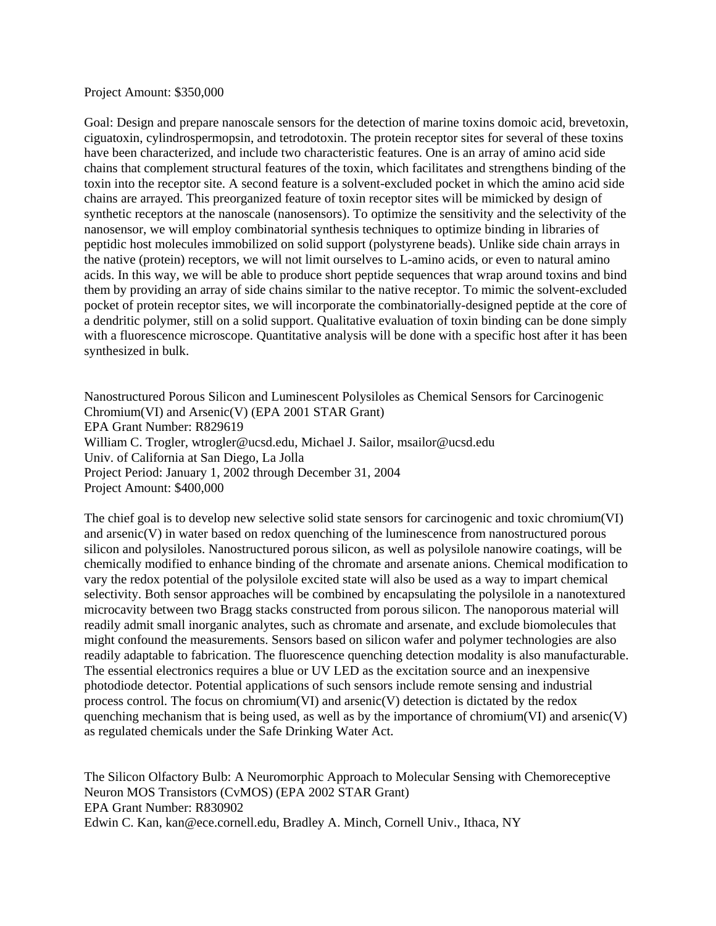Project Amount: \$350,000

Goal: Design and prepare nanoscale sensors for the detection of marine toxins domoic acid, brevetoxin, ciguatoxin, cylindrospermopsin, and tetrodotoxin. The protein receptor sites for several of these toxins have been characterized, and include two characteristic features. One is an array of amino acid side chains that complement structural features of the toxin, which facilitates and strengthens binding of the toxin into the receptor site. A second feature is a solvent-excluded pocket in which the amino acid side chains are arrayed. This preorganized feature of toxin receptor sites will be mimicked by design of synthetic receptors at the nanoscale (nanosensors). To optimize the sensitivity and the selectivity of the nanosensor, we will employ combinatorial synthesis techniques to optimize binding in libraries of peptidic host molecules immobilized on solid support (polystyrene beads). Unlike side chain arrays in the native (protein) receptors, we will not limit ourselves to L-amino acids, or even to natural amino acids. In this way, we will be able to produce short peptide sequences that wrap around toxins and bind them by providing an array of side chains similar to the native receptor. To mimic the solvent-excluded pocket of protein receptor sites, we will incorporate the combinatorially-designed peptide at the core of a dendritic polymer, still on a solid support. Qualitative evaluation of toxin binding can be done simply with a fluorescence microscope. Quantitative analysis will be done with a specific host after it has been synthesized in bulk.

Nanostructured Porous Silicon and Luminescent Polysiloles as Chemical Sensors for Carcinogenic Chromium(VI) and Arsenic(V) (EPA 2001 STAR Grant) EPA Grant Number: R829619 William C. Trogler, wtrogler@ucsd.edu, Michael J. Sailor, msailor@ucsd.edu Univ. of California at San Diego, La Jolla Project Period: January 1, 2002 through December 31, 2004 Project Amount: \$400,000

The chief goal is to develop new selective solid state sensors for carcinogenic and toxic chromium(VI) and arsenic(V) in water based on redox quenching of the luminescence from nanostructured porous silicon and polysiloles. Nanostructured porous silicon, as well as polysilole nanowire coatings, will be chemically modified to enhance binding of the chromate and arsenate anions. Chemical modification to vary the redox potential of the polysilole excited state will also be used as a way to impart chemical selectivity. Both sensor approaches will be combined by encapsulating the polysilole in a nanotextured microcavity between two Bragg stacks constructed from porous silicon. The nanoporous material will readily admit small inorganic analytes, such as chromate and arsenate, and exclude biomolecules that might confound the measurements. Sensors based on silicon wafer and polymer technologies are also readily adaptable to fabrication. The fluorescence quenching detection modality is also manufacturable. The essential electronics requires a blue or UV LED as the excitation source and an inexpensive photodiode detector. Potential applications of such sensors include remote sensing and industrial process control. The focus on chromium(VI) and arsenic(V) detection is dictated by the redox quenching mechanism that is being used, as well as by the importance of chromium(VI) and arsenic(V) as regulated chemicals under the Safe Drinking Water Act.

The Silicon Olfactory Bulb: A Neuromorphic Approach to Molecular Sensing with Chemoreceptive Neuron MOS Transistors (CvMOS) (EPA 2002 STAR Grant) EPA Grant Number: R830902 Edwin C. Kan, kan@ece.cornell.edu, Bradley A. Minch, Cornell Univ., Ithaca, NY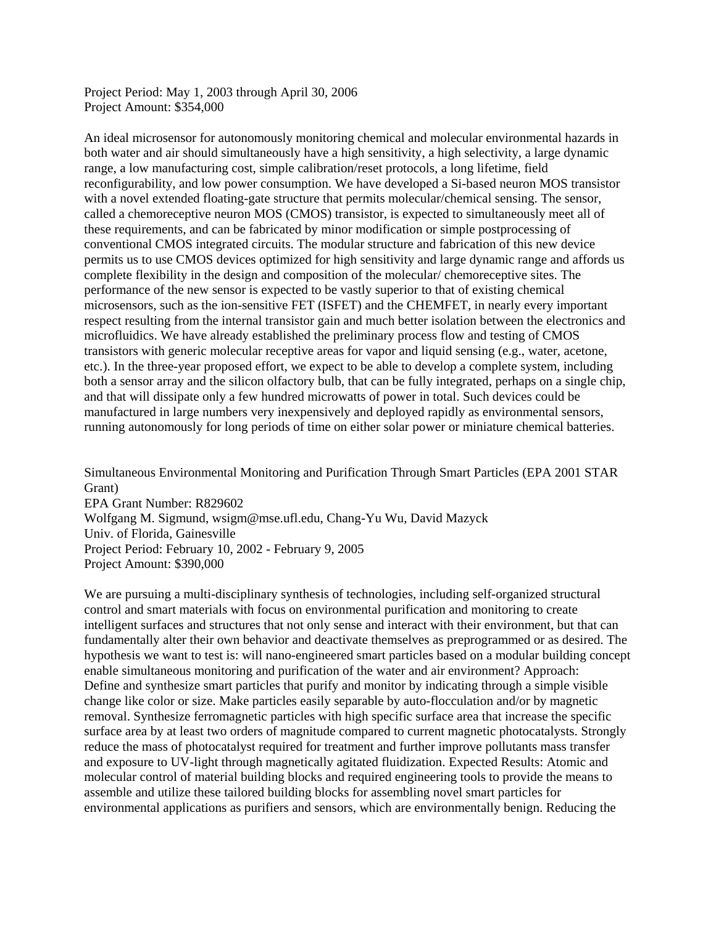Project Period: May 1, 2003 through April 30, 2006 Project Amount: \$354,000

An ideal microsensor for autonomously monitoring chemical and molecular environmental hazards in both water and air should simultaneously have a high sensitivity, a high selectivity, a large dynamic range, a low manufacturing cost, simple calibration/reset protocols, a long lifetime, field reconfigurability, and low power consumption. We have developed a Si-based neuron MOS transistor with a novel extended floating-gate structure that permits molecular/chemical sensing. The sensor, called a chemoreceptive neuron MOS (CMOS) transistor, is expected to simultaneously meet all of these requirements, and can be fabricated by minor modification or simple postprocessing of conventional CMOS integrated circuits. The modular structure and fabrication of this new device permits us to use CMOS devices optimized for high sensitivity and large dynamic range and affords us complete flexibility in the design and composition of the molecular/ chemoreceptive sites. The performance of the new sensor is expected to be vastly superior to that of existing chemical microsensors, such as the ion-sensitive FET (ISFET) and the CHEMFET, in nearly every important respect resulting from the internal transistor gain and much better isolation between the electronics and microfluidics. We have already established the preliminary process flow and testing of CMOS transistors with generic molecular receptive areas for vapor and liquid sensing (e.g., water, acetone, etc.). In the three-year proposed effort, we expect to be able to develop a complete system, including both a sensor array and the silicon olfactory bulb, that can be fully integrated, perhaps on a single chip, and that will dissipate only a few hundred microwatts of power in total. Such devices could be manufactured in large numbers very inexpensively and deployed rapidly as environmental sensors, running autonomously for long periods of time on either solar power or miniature chemical batteries.

Simultaneous Environmental Monitoring and Purification Through Smart Particles (EPA 2001 STAR Grant) EPA Grant Number: R829602 Wolfgang M. Sigmund, wsigm@mse.ufl.edu, Chang-Yu Wu, David Mazyck Univ. of Florida, Gainesville Project Period: February 10, 2002 - February 9, 2005 Project Amount: \$390,000

We are pursuing a multi-disciplinary synthesis of technologies, including self-organized structural control and smart materials with focus on environmental purification and monitoring to create intelligent surfaces and structures that not only sense and interact with their environment, but that can fundamentally alter their own behavior and deactivate themselves as preprogrammed or as desired. The hypothesis we want to test is: will nano-engineered smart particles based on a modular building concept enable simultaneous monitoring and purification of the water and air environment? Approach: Define and synthesize smart particles that purify and monitor by indicating through a simple visible change like color or size. Make particles easily separable by auto-flocculation and/or by magnetic removal. Synthesize ferromagnetic particles with high specific surface area that increase the specific surface area by at least two orders of magnitude compared to current magnetic photocatalysts. Strongly reduce the mass of photocatalyst required for treatment and further improve pollutants mass transfer and exposure to UV-light through magnetically agitated fluidization. Expected Results: Atomic and molecular control of material building blocks and required engineering tools to provide the means to assemble and utilize these tailored building blocks for assembling novel smart particles for environmental applications as purifiers and sensors, which are environmentally benign. Reducing the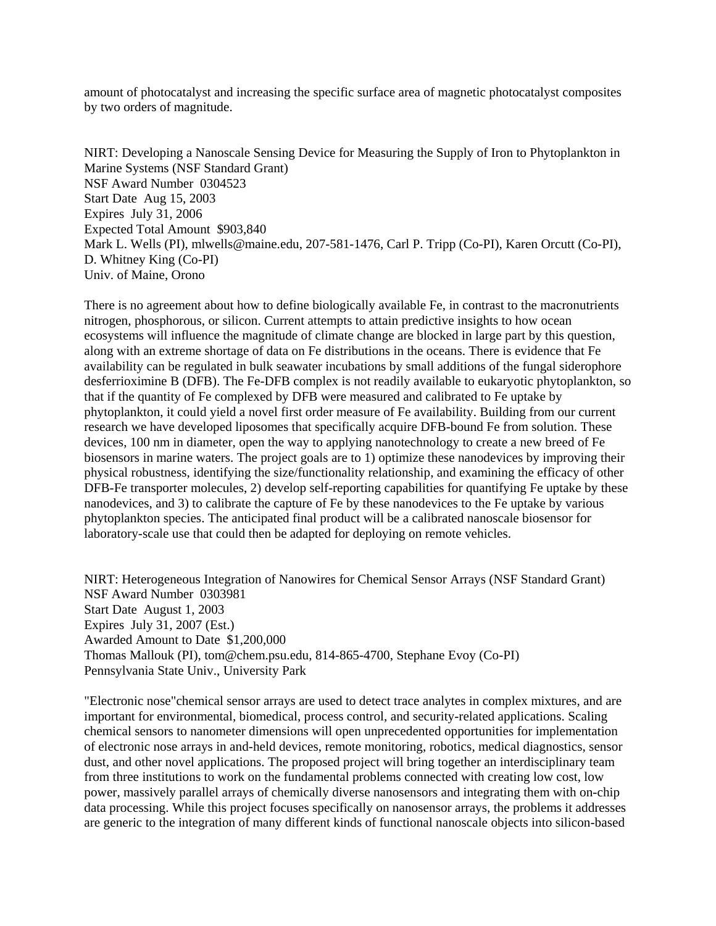amount of photocatalyst and increasing the specific surface area of magnetic photocatalyst composites by two orders of magnitude.

NIRT: Developing a Nanoscale Sensing Device for Measuring the Supply of Iron to Phytoplankton in Marine Systems (NSF Standard Grant) NSF Award Number 0304523 Start Date Aug 15, 2003 Expires July 31, 2006 Expected Total Amount \$903,840 Mark L. Wells (PI), mlwells@maine.edu, 207-581-1476, Carl P. Tripp (Co-PI), Karen Orcutt (Co-PI), D. Whitney King (Co-PI) Univ. of Maine, Orono

There is no agreement about how to define biologically available Fe, in contrast to the macronutrients nitrogen, phosphorous, or silicon. Current attempts to attain predictive insights to how ocean ecosystems will influence the magnitude of climate change are blocked in large part by this question, along with an extreme shortage of data on Fe distributions in the oceans. There is evidence that Fe availability can be regulated in bulk seawater incubations by small additions of the fungal siderophore desferrioximine B (DFB). The Fe-DFB complex is not readily available to eukaryotic phytoplankton, so that if the quantity of Fe complexed by DFB were measured and calibrated to Fe uptake by phytoplankton, it could yield a novel first order measure of Fe availability. Building from our current research we have developed liposomes that specifically acquire DFB-bound Fe from solution. These devices, 100 nm in diameter, open the way to applying nanotechnology to create a new breed of Fe biosensors in marine waters. The project goals are to 1) optimize these nanodevices by improving their physical robustness, identifying the size/functionality relationship, and examining the efficacy of other DFB-Fe transporter molecules, 2) develop self-reporting capabilities for quantifying Fe uptake by these nanodevices, and 3) to calibrate the capture of Fe by these nanodevices to the Fe uptake by various phytoplankton species. The anticipated final product will be a calibrated nanoscale biosensor for laboratory-scale use that could then be adapted for deploying on remote vehicles.

NIRT: Heterogeneous Integration of Nanowires for Chemical Sensor Arrays (NSF Standard Grant) NSF Award Number 0303981 Start Date August 1, 2003 Expires July 31, 2007 (Est.) Awarded Amount to Date \$1,200,000 Thomas Mallouk (PI), tom@chem.psu.edu, 814-865-4700, Stephane Evoy (Co-PI) Pennsylvania State Univ., University Park

"Electronic nose"chemical sensor arrays are used to detect trace analytes in complex mixtures, and are important for environmental, biomedical, process control, and security-related applications. Scaling chemical sensors to nanometer dimensions will open unprecedented opportunities for implementation of electronic nose arrays in and-held devices, remote monitoring, robotics, medical diagnostics, sensor dust, and other novel applications. The proposed project will bring together an interdisciplinary team from three institutions to work on the fundamental problems connected with creating low cost, low power, massively parallel arrays of chemically diverse nanosensors and integrating them with on-chip data processing. While this project focuses specifically on nanosensor arrays, the problems it addresses are generic to the integration of many different kinds of functional nanoscale objects into silicon-based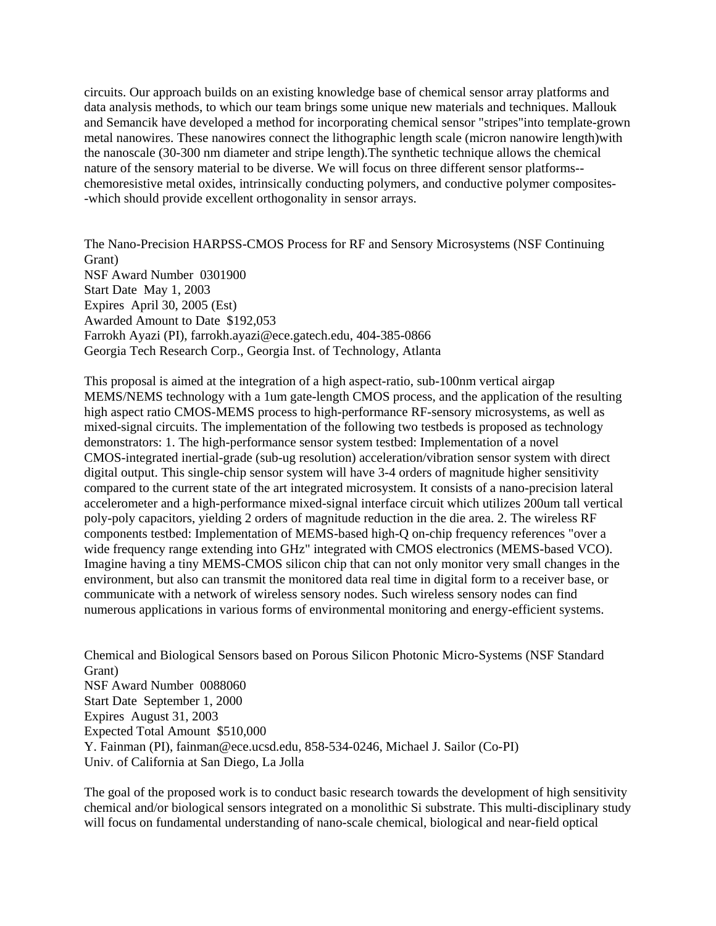circuits. Our approach builds on an existing knowledge base of chemical sensor array platforms and data analysis methods, to which our team brings some unique new materials and techniques. Mallouk and Semancik have developed a method for incorporating chemical sensor "stripes"into template-grown metal nanowires. These nanowires connect the lithographic length scale (micron nanowire length)with the nanoscale (30-300 nm diameter and stripe length).The synthetic technique allows the chemical nature of the sensory material to be diverse. We will focus on three different sensor platforms- chemoresistive metal oxides, intrinsically conducting polymers, and conductive polymer composites- -which should provide excellent orthogonality in sensor arrays.

The Nano-Precision HARPSS-CMOS Process for RF and Sensory Microsystems (NSF Continuing Grant) NSF Award Number 0301900 Start Date May 1, 2003 Expires April 30, 2005 (Est) Awarded Amount to Date \$192,053 Farrokh Ayazi (PI), farrokh.ayazi@ece.gatech.edu, 404-385-0866 Georgia Tech Research Corp., Georgia Inst. of Technology, Atlanta

This proposal is aimed at the integration of a high aspect-ratio, sub-100nm vertical airgap MEMS/NEMS technology with a 1um gate-length CMOS process, and the application of the resulting high aspect ratio CMOS-MEMS process to high-performance RF-sensory microsystems, as well as mixed-signal circuits. The implementation of the following two testbeds is proposed as technology demonstrators: 1. The high-performance sensor system testbed: Implementation of a novel CMOS-integrated inertial-grade (sub-ug resolution) acceleration/vibration sensor system with direct digital output. This single-chip sensor system will have 3-4 orders of magnitude higher sensitivity compared to the current state of the art integrated microsystem. It consists of a nano-precision lateral accelerometer and a high-performance mixed-signal interface circuit which utilizes 200um tall vertical poly-poly capacitors, yielding 2 orders of magnitude reduction in the die area. 2. The wireless RF components testbed: Implementation of MEMS-based high-Q on-chip frequency references "over a wide frequency range extending into GHz" integrated with CMOS electronics (MEMS-based VCO). Imagine having a tiny MEMS-CMOS silicon chip that can not only monitor very small changes in the environment, but also can transmit the monitored data real time in digital form to a receiver base, or communicate with a network of wireless sensory nodes. Such wireless sensory nodes can find numerous applications in various forms of environmental monitoring and energy-efficient systems.

Chemical and Biological Sensors based on Porous Silicon Photonic Micro-Systems (NSF Standard Grant) NSF Award Number 0088060 Start Date September 1, 2000 Expires August 31, 2003 Expected Total Amount \$510,000 Y. Fainman (PI), fainman@ece.ucsd.edu, 858-534-0246, Michael J. Sailor (Co-PI) Univ. of California at San Diego, La Jolla

The goal of the proposed work is to conduct basic research towards the development of high sensitivity chemical and/or biological sensors integrated on a monolithic Si substrate. This multi-disciplinary study will focus on fundamental understanding of nano-scale chemical, biological and near-field optical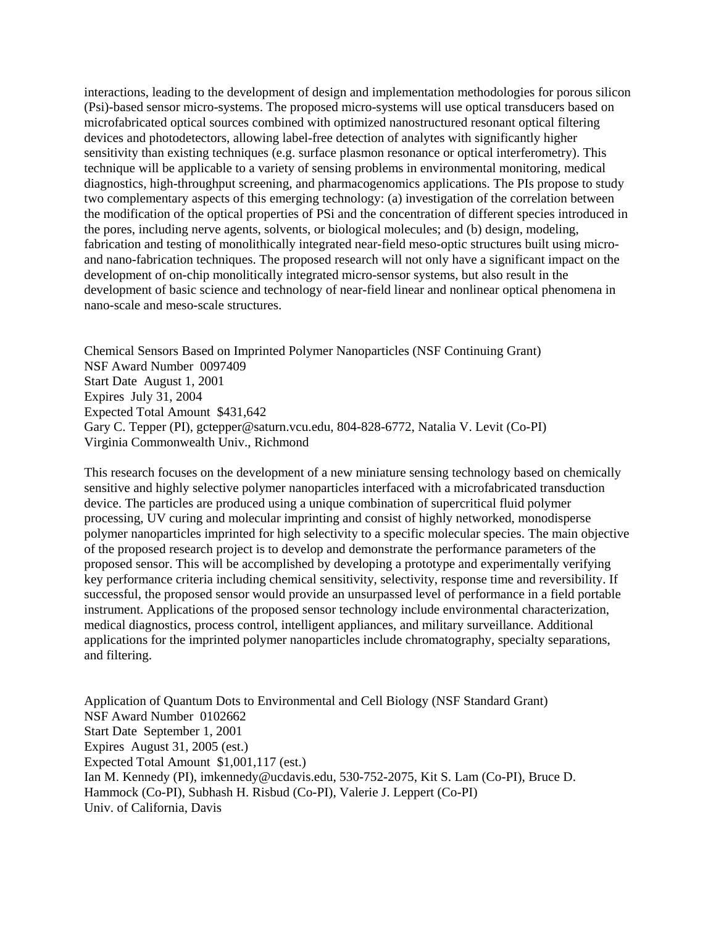interactions, leading to the development of design and implementation methodologies for porous silicon (Psi)-based sensor micro-systems. The proposed micro-systems will use optical transducers based on microfabricated optical sources combined with optimized nanostructured resonant optical filtering devices and photodetectors, allowing label-free detection of analytes with significantly higher sensitivity than existing techniques (e.g. surface plasmon resonance or optical interferometry). This technique will be applicable to a variety of sensing problems in environmental monitoring, medical diagnostics, high-throughput screening, and pharmacogenomics applications. The PIs propose to study two complementary aspects of this emerging technology: (a) investigation of the correlation between the modification of the optical properties of PSi and the concentration of different species introduced in the pores, including nerve agents, solvents, or biological molecules; and (b) design, modeling, fabrication and testing of monolithically integrated near-field meso-optic structures built using microand nano-fabrication techniques. The proposed research will not only have a significant impact on the development of on-chip monolitically integrated micro-sensor systems, but also result in the development of basic science and technology of near-field linear and nonlinear optical phenomena in nano-scale and meso-scale structures.

Chemical Sensors Based on Imprinted Polymer Nanoparticles (NSF Continuing Grant) NSF Award Number 0097409 Start Date August 1, 2001 Expires July 31, 2004 Expected Total Amount \$431,642 Gary C. Tepper (PI), gctepper@saturn.vcu.edu, 804-828-6772, Natalia V. Levit (Co-PI) Virginia Commonwealth Univ., Richmond

This research focuses on the development of a new miniature sensing technology based on chemically sensitive and highly selective polymer nanoparticles interfaced with a microfabricated transduction device. The particles are produced using a unique combination of supercritical fluid polymer processing, UV curing and molecular imprinting and consist of highly networked, monodisperse polymer nanoparticles imprinted for high selectivity to a specific molecular species. The main objective of the proposed research project is to develop and demonstrate the performance parameters of the proposed sensor. This will be accomplished by developing a prototype and experimentally verifying key performance criteria including chemical sensitivity, selectivity, response time and reversibility. If successful, the proposed sensor would provide an unsurpassed level of performance in a field portable instrument. Applications of the proposed sensor technology include environmental characterization, medical diagnostics, process control, intelligent appliances, and military surveillance. Additional applications for the imprinted polymer nanoparticles include chromatography, specialty separations, and filtering.

Application of Quantum Dots to Environmental and Cell Biology (NSF Standard Grant) NSF Award Number 0102662 Start Date September 1, 2001 Expires August 31, 2005 (est.) Expected Total Amount \$1,001,117 (est.) Ian M. Kennedy (PI), imkennedy@ucdavis.edu, 530-752-2075, Kit S. Lam (Co-PI), Bruce D. Hammock (Co-PI), Subhash H. Risbud (Co-PI), Valerie J. Leppert (Co-PI) Univ. of California, Davis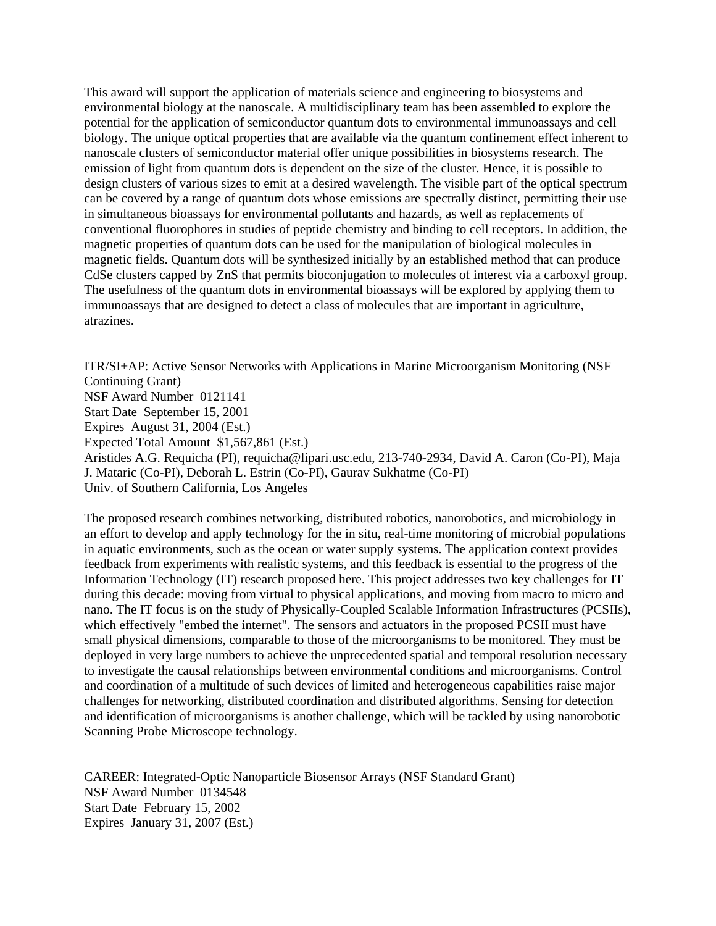This award will support the application of materials science and engineering to biosystems and environmental biology at the nanoscale. A multidisciplinary team has been assembled to explore the potential for the application of semiconductor quantum dots to environmental immunoassays and cell biology. The unique optical properties that are available via the quantum confinement effect inherent to nanoscale clusters of semiconductor material offer unique possibilities in biosystems research. The emission of light from quantum dots is dependent on the size of the cluster. Hence, it is possible to design clusters of various sizes to emit at a desired wavelength. The visible part of the optical spectrum can be covered by a range of quantum dots whose emissions are spectrally distinct, permitting their use in simultaneous bioassays for environmental pollutants and hazards, as well as replacements of conventional fluorophores in studies of peptide chemistry and binding to cell receptors. In addition, the magnetic properties of quantum dots can be used for the manipulation of biological molecules in magnetic fields. Quantum dots will be synthesized initially by an established method that can produce CdSe clusters capped by ZnS that permits bioconjugation to molecules of interest via a carboxyl group. The usefulness of the quantum dots in environmental bioassays will be explored by applying them to immunoassays that are designed to detect a class of molecules that are important in agriculture, atrazines.

ITR/SI+AP: Active Sensor Networks with Applications in Marine Microorganism Monitoring (NSF Continuing Grant) NSF Award Number 0121141 Start Date September 15, 2001 Expires August 31, 2004 (Est.) Expected Total Amount \$1,567,861 (Est.) Aristides A.G. Requicha (PI), requicha@lipari.usc.edu, 213-740-2934, David A. Caron (Co-PI), Maja J. Mataric (Co-PI), Deborah L. Estrin (Co-PI), Gaurav Sukhatme (Co-PI) Univ. of Southern California, Los Angeles

The proposed research combines networking, distributed robotics, nanorobotics, and microbiology in an effort to develop and apply technology for the in situ, real-time monitoring of microbial populations in aquatic environments, such as the ocean or water supply systems. The application context provides feedback from experiments with realistic systems, and this feedback is essential to the progress of the Information Technology (IT) research proposed here. This project addresses two key challenges for IT during this decade: moving from virtual to physical applications, and moving from macro to micro and nano. The IT focus is on the study of Physically-Coupled Scalable Information Infrastructures (PCSIIs), which effectively "embed the internet". The sensors and actuators in the proposed PCSII must have small physical dimensions, comparable to those of the microorganisms to be monitored. They must be deployed in very large numbers to achieve the unprecedented spatial and temporal resolution necessary to investigate the causal relationships between environmental conditions and microorganisms. Control and coordination of a multitude of such devices of limited and heterogeneous capabilities raise major challenges for networking, distributed coordination and distributed algorithms. Sensing for detection and identification of microorganisms is another challenge, which will be tackled by using nanorobotic Scanning Probe Microscope technology.

CAREER: Integrated-Optic Nanoparticle Biosensor Arrays (NSF Standard Grant) NSF Award Number 0134548 Start Date February 15, 2002 Expires January 31, 2007 (Est.)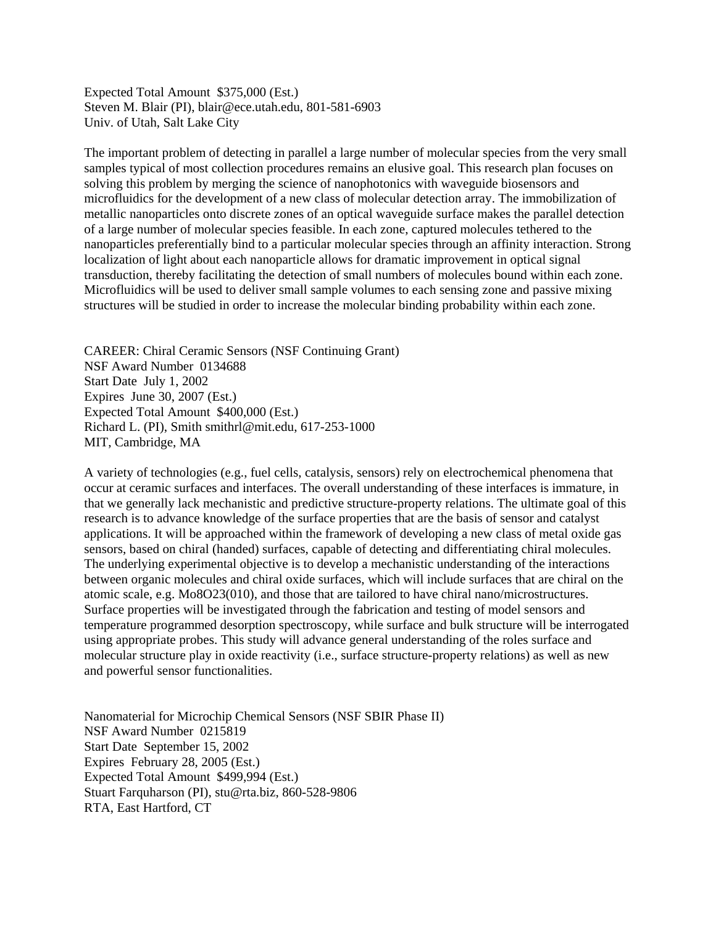Expected Total Amount \$375,000 (Est.) Steven M. Blair (PI), blair@ece.utah.edu, 801-581-6903 Univ. of Utah, Salt Lake City

The important problem of detecting in parallel a large number of molecular species from the very small samples typical of most collection procedures remains an elusive goal. This research plan focuses on solving this problem by merging the science of nanophotonics with waveguide biosensors and microfluidics for the development of a new class of molecular detection array. The immobilization of metallic nanoparticles onto discrete zones of an optical waveguide surface makes the parallel detection of a large number of molecular species feasible. In each zone, captured molecules tethered to the nanoparticles preferentially bind to a particular molecular species through an affinity interaction. Strong localization of light about each nanoparticle allows for dramatic improvement in optical signal transduction, thereby facilitating the detection of small numbers of molecules bound within each zone. Microfluidics will be used to deliver small sample volumes to each sensing zone and passive mixing structures will be studied in order to increase the molecular binding probability within each zone.

CAREER: Chiral Ceramic Sensors (NSF Continuing Grant) NSF Award Number 0134688 Start Date July 1, 2002 Expires June 30, 2007 (Est.) Expected Total Amount \$400,000 (Est.) Richard L. (PI), Smith smithrl@mit.edu, 617-253-1000 MIT, Cambridge, MA

A variety of technologies (e.g., fuel cells, catalysis, sensors) rely on electrochemical phenomena that occur at ceramic surfaces and interfaces. The overall understanding of these interfaces is immature, in that we generally lack mechanistic and predictive structure-property relations. The ultimate goal of this research is to advance knowledge of the surface properties that are the basis of sensor and catalyst applications. It will be approached within the framework of developing a new class of metal oxide gas sensors, based on chiral (handed) surfaces, capable of detecting and differentiating chiral molecules. The underlying experimental objective is to develop a mechanistic understanding of the interactions between organic molecules and chiral oxide surfaces, which will include surfaces that are chiral on the atomic scale, e.g. Mo8O23(010), and those that are tailored to have chiral nano/microstructures. Surface properties will be investigated through the fabrication and testing of model sensors and temperature programmed desorption spectroscopy, while surface and bulk structure will be interrogated using appropriate probes. This study will advance general understanding of the roles surface and molecular structure play in oxide reactivity (i.e., surface structure-property relations) as well as new and powerful sensor functionalities.

Nanomaterial for Microchip Chemical Sensors (NSF SBIR Phase II) NSF Award Number 0215819 Start Date September 15, 2002 Expires February 28, 2005 (Est.) Expected Total Amount \$499,994 (Est.) Stuart Farquharson (PI), stu@rta.biz, 860-528-9806 RTA, East Hartford, CT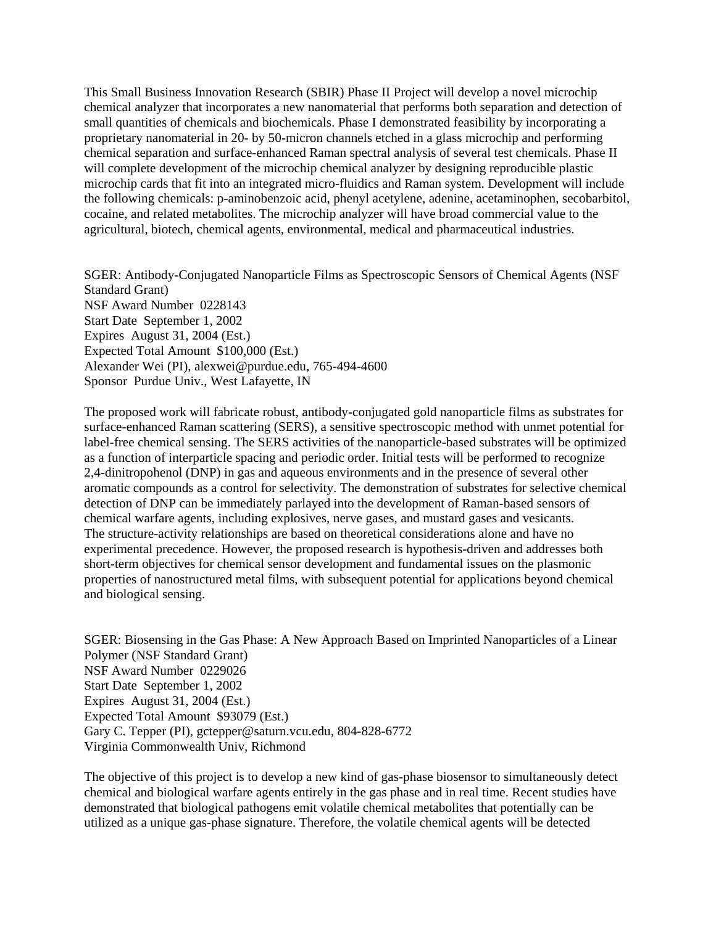This Small Business Innovation Research (SBIR) Phase II Project will develop a novel microchip chemical analyzer that incorporates a new nanomaterial that performs both separation and detection of small quantities of chemicals and biochemicals. Phase I demonstrated feasibility by incorporating a proprietary nanomaterial in 20- by 50-micron channels etched in a glass microchip and performing chemical separation and surface-enhanced Raman spectral analysis of several test chemicals. Phase II will complete development of the microchip chemical analyzer by designing reproducible plastic microchip cards that fit into an integrated micro-fluidics and Raman system. Development will include the following chemicals: p-aminobenzoic acid, phenyl acetylene, adenine, acetaminophen, secobarbitol, cocaine, and related metabolites. The microchip analyzer will have broad commercial value to the agricultural, biotech, chemical agents, environmental, medical and pharmaceutical industries.

SGER: Antibody-Conjugated Nanoparticle Films as Spectroscopic Sensors of Chemical Agents (NSF Standard Grant) NSF Award Number 0228143 Start Date September 1, 2002 Expires August 31, 2004 (Est.) Expected Total Amount \$100,000 (Est.) Alexander Wei (PI), alexwei@purdue.edu, 765-494-4600 Sponsor Purdue Univ., West Lafayette, IN

The proposed work will fabricate robust, antibody-conjugated gold nanoparticle films as substrates for surface-enhanced Raman scattering (SERS), a sensitive spectroscopic method with unmet potential for label-free chemical sensing. The SERS activities of the nanoparticle-based substrates will be optimized as a function of interparticle spacing and periodic order. Initial tests will be performed to recognize 2,4-dinitropohenol (DNP) in gas and aqueous environments and in the presence of several other aromatic compounds as a control for selectivity. The demonstration of substrates for selective chemical detection of DNP can be immediately parlayed into the development of Raman-based sensors of chemical warfare agents, including explosives, nerve gases, and mustard gases and vesicants. The structure-activity relationships are based on theoretical considerations alone and have no experimental precedence. However, the proposed research is hypothesis-driven and addresses both short-term objectives for chemical sensor development and fundamental issues on the plasmonic properties of nanostructured metal films, with subsequent potential for applications beyond chemical and biological sensing.

SGER: Biosensing in the Gas Phase: A New Approach Based on Imprinted Nanoparticles of a Linear Polymer (NSF Standard Grant) NSF Award Number 0229026 Start Date September 1, 2002 Expires August 31, 2004 (Est.) Expected Total Amount \$93079 (Est.) Gary C. Tepper (PI), gctepper@saturn.vcu.edu, 804-828-6772 Virginia Commonwealth Univ, Richmond

The objective of this project is to develop a new kind of gas-phase biosensor to simultaneously detect chemical and biological warfare agents entirely in the gas phase and in real time. Recent studies have demonstrated that biological pathogens emit volatile chemical metabolites that potentially can be utilized as a unique gas-phase signature. Therefore, the volatile chemical agents will be detected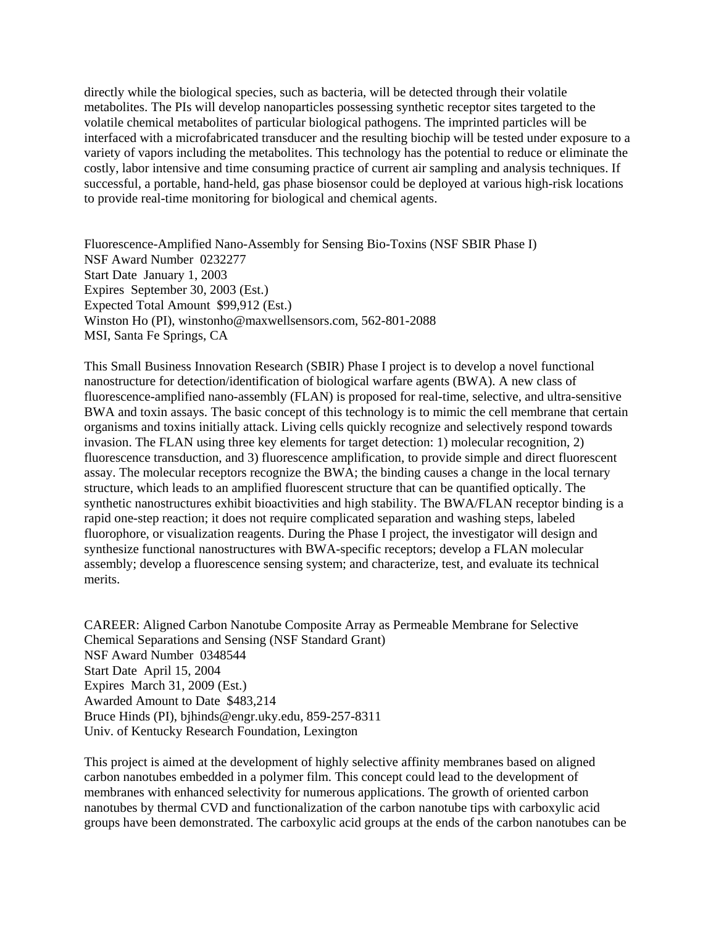directly while the biological species, such as bacteria, will be detected through their volatile metabolites. The PIs will develop nanoparticles possessing synthetic receptor sites targeted to the volatile chemical metabolites of particular biological pathogens. The imprinted particles will be interfaced with a microfabricated transducer and the resulting biochip will be tested under exposure to a variety of vapors including the metabolites. This technology has the potential to reduce or eliminate the costly, labor intensive and time consuming practice of current air sampling and analysis techniques. If successful, a portable, hand-held, gas phase biosensor could be deployed at various high-risk locations to provide real-time monitoring for biological and chemical agents.

Fluorescence-Amplified Nano-Assembly for Sensing Bio-Toxins (NSF SBIR Phase I) NSF Award Number 0232277 Start Date January 1, 2003 Expires September 30, 2003 (Est.) Expected Total Amount \$99,912 (Est.) Winston Ho (PI), winstonho@maxwellsensors.com, 562-801-2088 MSI, Santa Fe Springs, CA

This Small Business Innovation Research (SBIR) Phase I project is to develop a novel functional nanostructure for detection/identification of biological warfare agents (BWA). A new class of fluorescence-amplified nano-assembly (FLAN) is proposed for real-time, selective, and ultra-sensitive BWA and toxin assays. The basic concept of this technology is to mimic the cell membrane that certain organisms and toxins initially attack. Living cells quickly recognize and selectively respond towards invasion. The FLAN using three key elements for target detection: 1) molecular recognition, 2) fluorescence transduction, and 3) fluorescence amplification, to provide simple and direct fluorescent assay. The molecular receptors recognize the BWA; the binding causes a change in the local ternary structure, which leads to an amplified fluorescent structure that can be quantified optically. The synthetic nanostructures exhibit bioactivities and high stability. The BWA/FLAN receptor binding is a rapid one-step reaction; it does not require complicated separation and washing steps, labeled fluorophore, or visualization reagents. During the Phase I project, the investigator will design and synthesize functional nanostructures with BWA-specific receptors; develop a FLAN molecular assembly; develop a fluorescence sensing system; and characterize, test, and evaluate its technical merits.

CAREER: Aligned Carbon Nanotube Composite Array as Permeable Membrane for Selective Chemical Separations and Sensing (NSF Standard Grant) NSF Award Number 0348544 Start Date April 15, 2004 Expires March 31, 2009 (Est.) Awarded Amount to Date \$483,214 Bruce Hinds (PI), bjhinds@engr.uky.edu, 859-257-8311 Univ. of Kentucky Research Foundation, Lexington

This project is aimed at the development of highly selective affinity membranes based on aligned carbon nanotubes embedded in a polymer film. This concept could lead to the development of membranes with enhanced selectivity for numerous applications. The growth of oriented carbon nanotubes by thermal CVD and functionalization of the carbon nanotube tips with carboxylic acid groups have been demonstrated. The carboxylic acid groups at the ends of the carbon nanotubes can be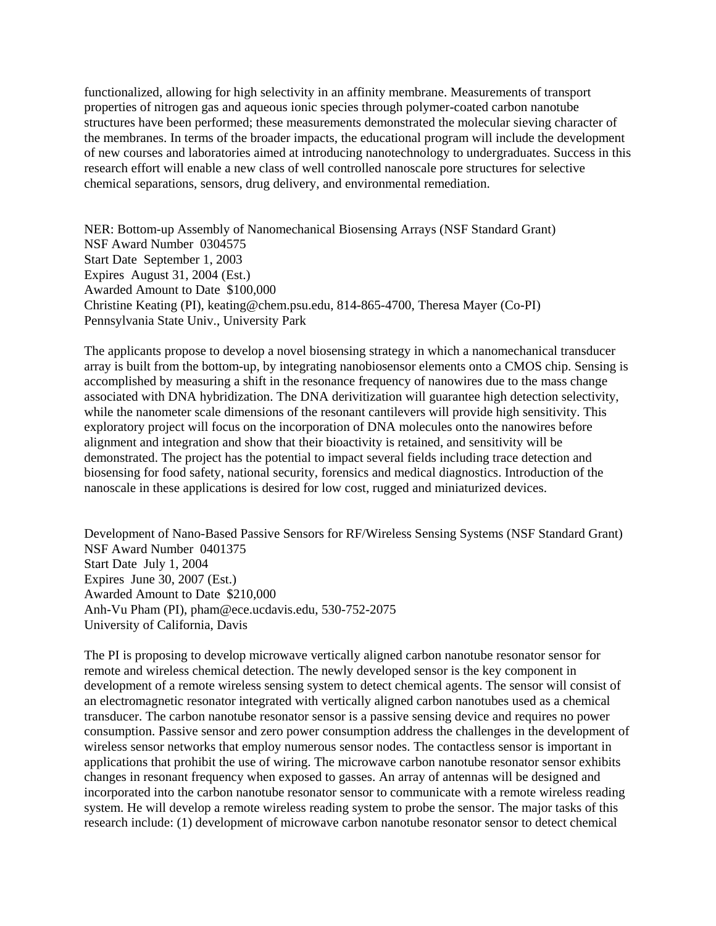functionalized, allowing for high selectivity in an affinity membrane. Measurements of transport properties of nitrogen gas and aqueous ionic species through polymer-coated carbon nanotube structures have been performed; these measurements demonstrated the molecular sieving character of the membranes. In terms of the broader impacts, the educational program will include the development of new courses and laboratories aimed at introducing nanotechnology to undergraduates. Success in this research effort will enable a new class of well controlled nanoscale pore structures for selective chemical separations, sensors, drug delivery, and environmental remediation.

NER: Bottom-up Assembly of Nanomechanical Biosensing Arrays (NSF Standard Grant) NSF Award Number 0304575 Start Date September 1, 2003 Expires August 31, 2004 (Est.) Awarded Amount to Date \$100,000 Christine Keating (PI), keating@chem.psu.edu, 814-865-4700, Theresa Mayer (Co-PI) Pennsylvania State Univ., University Park

The applicants propose to develop a novel biosensing strategy in which a nanomechanical transducer array is built from the bottom-up, by integrating nanobiosensor elements onto a CMOS chip. Sensing is accomplished by measuring a shift in the resonance frequency of nanowires due to the mass change associated with DNA hybridization. The DNA derivitization will guarantee high detection selectivity, while the nanometer scale dimensions of the resonant cantilevers will provide high sensitivity. This exploratory project will focus on the incorporation of DNA molecules onto the nanowires before alignment and integration and show that their bioactivity is retained, and sensitivity will be demonstrated. The project has the potential to impact several fields including trace detection and biosensing for food safety, national security, forensics and medical diagnostics. Introduction of the nanoscale in these applications is desired for low cost, rugged and miniaturized devices.

Development of Nano-Based Passive Sensors for RF/Wireless Sensing Systems (NSF Standard Grant) NSF Award Number 0401375 Start Date July 1, 2004 Expires June 30, 2007 (Est.) Awarded Amount to Date \$210,000 Anh-Vu Pham (PI), pham@ece.ucdavis.edu, 530-752-2075 University of California, Davis

The PI is proposing to develop microwave vertically aligned carbon nanotube resonator sensor for remote and wireless chemical detection. The newly developed sensor is the key component in development of a remote wireless sensing system to detect chemical agents. The sensor will consist of an electromagnetic resonator integrated with vertically aligned carbon nanotubes used as a chemical transducer. The carbon nanotube resonator sensor is a passive sensing device and requires no power consumption. Passive sensor and zero power consumption address the challenges in the development of wireless sensor networks that employ numerous sensor nodes. The contactless sensor is important in applications that prohibit the use of wiring. The microwave carbon nanotube resonator sensor exhibits changes in resonant frequency when exposed to gasses. An array of antennas will be designed and incorporated into the carbon nanotube resonator sensor to communicate with a remote wireless reading system. He will develop a remote wireless reading system to probe the sensor. The major tasks of this research include: (1) development of microwave carbon nanotube resonator sensor to detect chemical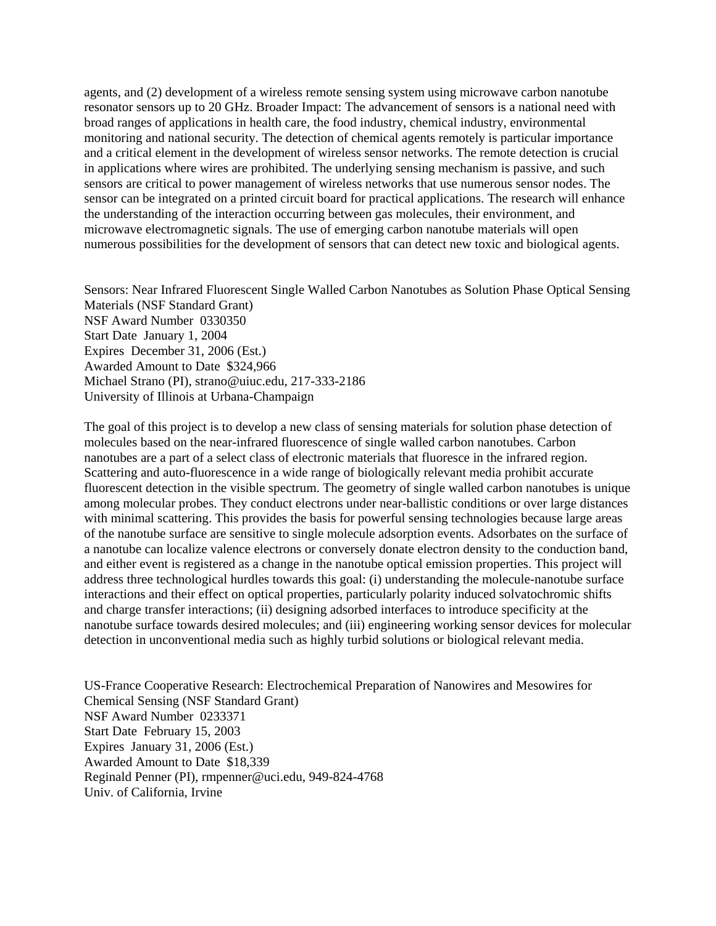agents, and (2) development of a wireless remote sensing system using microwave carbon nanotube resonator sensors up to 20 GHz. Broader Impact: The advancement of sensors is a national need with broad ranges of applications in health care, the food industry, chemical industry, environmental monitoring and national security. The detection of chemical agents remotely is particular importance and a critical element in the development of wireless sensor networks. The remote detection is crucial in applications where wires are prohibited. The underlying sensing mechanism is passive, and such sensors are critical to power management of wireless networks that use numerous sensor nodes. The sensor can be integrated on a printed circuit board for practical applications. The research will enhance the understanding of the interaction occurring between gas molecules, their environment, and microwave electromagnetic signals. The use of emerging carbon nanotube materials will open numerous possibilities for the development of sensors that can detect new toxic and biological agents.

Sensors: Near Infrared Fluorescent Single Walled Carbon Nanotubes as Solution Phase Optical Sensing Materials (NSF Standard Grant) NSF Award Number 0330350 Start Date January 1, 2004 Expires December 31, 2006 (Est.) Awarded Amount to Date \$324,966 Michael Strano (PI), strano@uiuc.edu, 217-333-2186 University of Illinois at Urbana-Champaign

The goal of this project is to develop a new class of sensing materials for solution phase detection of molecules based on the near-infrared fluorescence of single walled carbon nanotubes. Carbon nanotubes are a part of a select class of electronic materials that fluoresce in the infrared region. Scattering and auto-fluorescence in a wide range of biologically relevant media prohibit accurate fluorescent detection in the visible spectrum. The geometry of single walled carbon nanotubes is unique among molecular probes. They conduct electrons under near-ballistic conditions or over large distances with minimal scattering. This provides the basis for powerful sensing technologies because large areas of the nanotube surface are sensitive to single molecule adsorption events. Adsorbates on the surface of a nanotube can localize valence electrons or conversely donate electron density to the conduction band, and either event is registered as a change in the nanotube optical emission properties. This project will address three technological hurdles towards this goal: (i) understanding the molecule-nanotube surface interactions and their effect on optical properties, particularly polarity induced solvatochromic shifts and charge transfer interactions; (ii) designing adsorbed interfaces to introduce specificity at the nanotube surface towards desired molecules; and (iii) engineering working sensor devices for molecular detection in unconventional media such as highly turbid solutions or biological relevant media.

US-France Cooperative Research: Electrochemical Preparation of Nanowires and Mesowires for Chemical Sensing (NSF Standard Grant) NSF Award Number 0233371 Start Date February 15, 2003 Expires January 31, 2006 (Est.) Awarded Amount to Date \$18,339 Reginald Penner (PI), rmpenner@uci.edu, 949-824-4768 Univ. of California, Irvine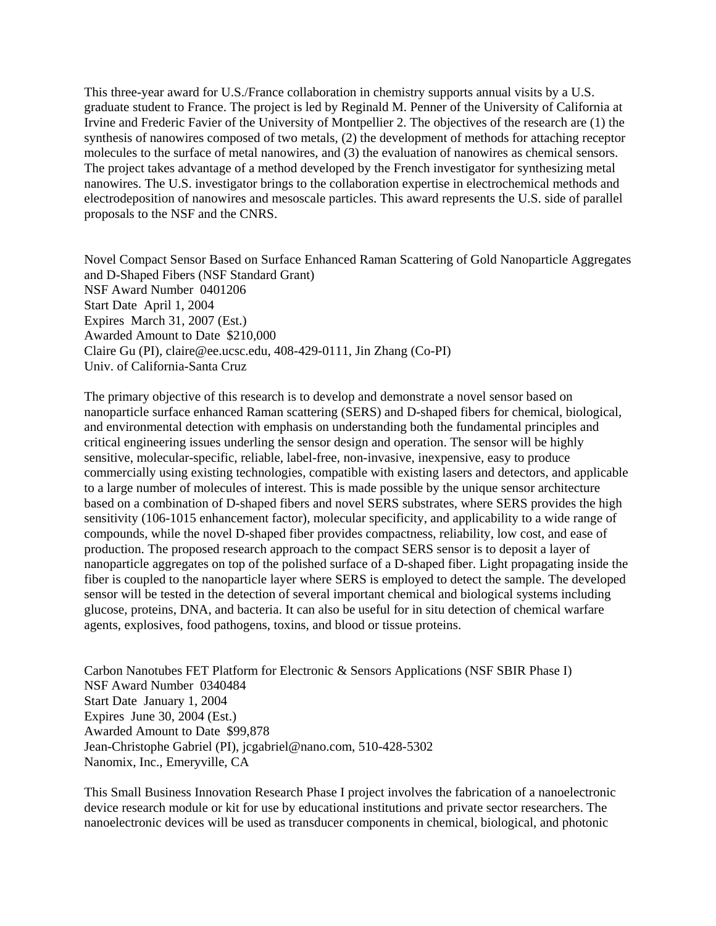This three-year award for U.S./France collaboration in chemistry supports annual visits by a U.S. graduate student to France. The project is led by Reginald M. Penner of the University of California at Irvine and Frederic Favier of the University of Montpellier 2. The objectives of the research are (1) the synthesis of nanowires composed of two metals, (2) the development of methods for attaching receptor molecules to the surface of metal nanowires, and (3) the evaluation of nanowires as chemical sensors. The project takes advantage of a method developed by the French investigator for synthesizing metal nanowires. The U.S. investigator brings to the collaboration expertise in electrochemical methods and electrodeposition of nanowires and mesoscale particles. This award represents the U.S. side of parallel proposals to the NSF and the CNRS.

Novel Compact Sensor Based on Surface Enhanced Raman Scattering of Gold Nanoparticle Aggregates and D-Shaped Fibers (NSF Standard Grant) NSF Award Number 0401206 Start Date April 1, 2004 Expires March 31, 2007 (Est.) Awarded Amount to Date \$210,000 Claire Gu (PI), claire@ee.ucsc.edu, 408-429-0111, Jin Zhang (Co-PI) Univ. of California-Santa Cruz

The primary objective of this research is to develop and demonstrate a novel sensor based on nanoparticle surface enhanced Raman scattering (SERS) and D-shaped fibers for chemical, biological, and environmental detection with emphasis on understanding both the fundamental principles and critical engineering issues underling the sensor design and operation. The sensor will be highly sensitive, molecular-specific, reliable, label-free, non-invasive, inexpensive, easy to produce commercially using existing technologies, compatible with existing lasers and detectors, and applicable to a large number of molecules of interest. This is made possible by the unique sensor architecture based on a combination of D-shaped fibers and novel SERS substrates, where SERS provides the high sensitivity (106-1015 enhancement factor), molecular specificity, and applicability to a wide range of compounds, while the novel D-shaped fiber provides compactness, reliability, low cost, and ease of production. The proposed research approach to the compact SERS sensor is to deposit a layer of nanoparticle aggregates on top of the polished surface of a D-shaped fiber. Light propagating inside the fiber is coupled to the nanoparticle layer where SERS is employed to detect the sample. The developed sensor will be tested in the detection of several important chemical and biological systems including glucose, proteins, DNA, and bacteria. It can also be useful for in situ detection of chemical warfare agents, explosives, food pathogens, toxins, and blood or tissue proteins.

Carbon Nanotubes FET Platform for Electronic & Sensors Applications (NSF SBIR Phase I) NSF Award Number 0340484 Start Date January 1, 2004 Expires June 30, 2004 (Est.) Awarded Amount to Date \$99,878 Jean-Christophe Gabriel (PI), jcgabriel@nano.com, 510-428-5302 Nanomix, Inc., Emeryville, CA

This Small Business Innovation Research Phase I project involves the fabrication of a nanoelectronic device research module or kit for use by educational institutions and private sector researchers. The nanoelectronic devices will be used as transducer components in chemical, biological, and photonic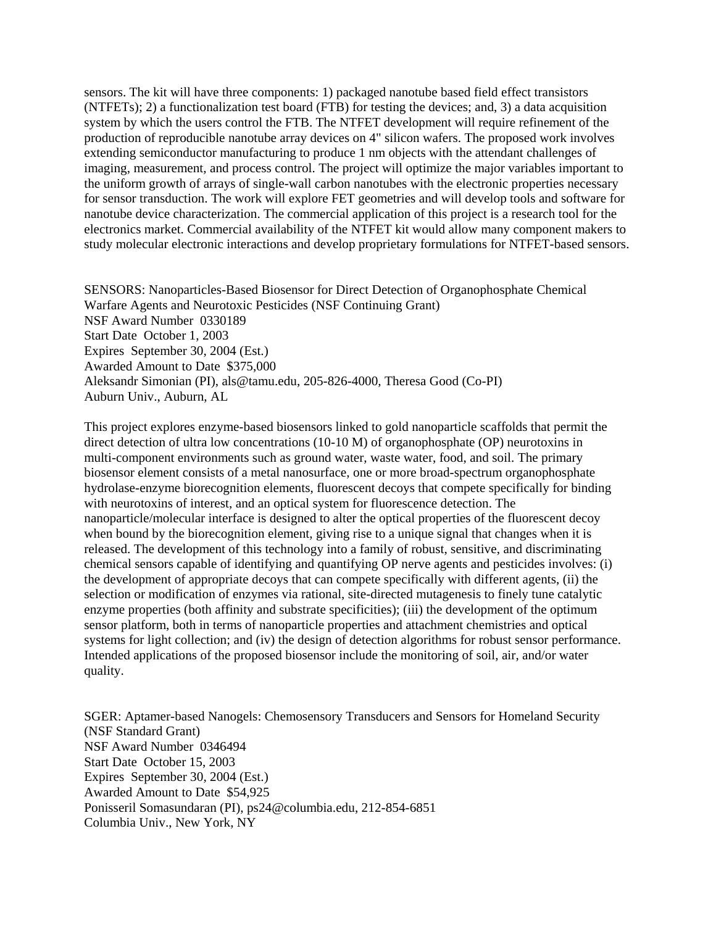sensors. The kit will have three components: 1) packaged nanotube based field effect transistors (NTFETs); 2) a functionalization test board (FTB) for testing the devices; and, 3) a data acquisition system by which the users control the FTB. The NTFET development will require refinement of the production of reproducible nanotube array devices on 4" silicon wafers. The proposed work involves extending semiconductor manufacturing to produce 1 nm objects with the attendant challenges of imaging, measurement, and process control. The project will optimize the major variables important to the uniform growth of arrays of single-wall carbon nanotubes with the electronic properties necessary for sensor transduction. The work will explore FET geometries and will develop tools and software for nanotube device characterization. The commercial application of this project is a research tool for the electronics market. Commercial availability of the NTFET kit would allow many component makers to study molecular electronic interactions and develop proprietary formulations for NTFET-based sensors.

SENSORS: Nanoparticles-Based Biosensor for Direct Detection of Organophosphate Chemical Warfare Agents and Neurotoxic Pesticides (NSF Continuing Grant) NSF Award Number 0330189 Start Date October 1, 2003 Expires September 30, 2004 (Est.) Awarded Amount to Date \$375,000 Aleksandr Simonian (PI), als@tamu.edu, 205-826-4000, Theresa Good (Co-PI) Auburn Univ., Auburn, AL

This project explores enzyme-based biosensors linked to gold nanoparticle scaffolds that permit the direct detection of ultra low concentrations (10-10 M) of organophosphate (OP) neurotoxins in multi-component environments such as ground water, waste water, food, and soil. The primary biosensor element consists of a metal nanosurface, one or more broad-spectrum organophosphate hydrolase-enzyme biorecognition elements, fluorescent decoys that compete specifically for binding with neurotoxins of interest, and an optical system for fluorescence detection. The nanoparticle/molecular interface is designed to alter the optical properties of the fluorescent decoy when bound by the biorecognition element, giving rise to a unique signal that changes when it is released. The development of this technology into a family of robust, sensitive, and discriminating chemical sensors capable of identifying and quantifying OP nerve agents and pesticides involves: (i) the development of appropriate decoys that can compete specifically with different agents, (ii) the selection or modification of enzymes via rational, site-directed mutagenesis to finely tune catalytic enzyme properties (both affinity and substrate specificities); (iii) the development of the optimum sensor platform, both in terms of nanoparticle properties and attachment chemistries and optical systems for light collection; and (iv) the design of detection algorithms for robust sensor performance. Intended applications of the proposed biosensor include the monitoring of soil, air, and/or water quality.

SGER: Aptamer-based Nanogels: Chemosensory Transducers and Sensors for Homeland Security (NSF Standard Grant) NSF Award Number 0346494 Start Date October 15, 2003 Expires September 30, 2004 (Est.) Awarded Amount to Date \$54,925 Ponisseril Somasundaran (PI), ps24@columbia.edu, 212-854-6851 Columbia Univ., New York, NY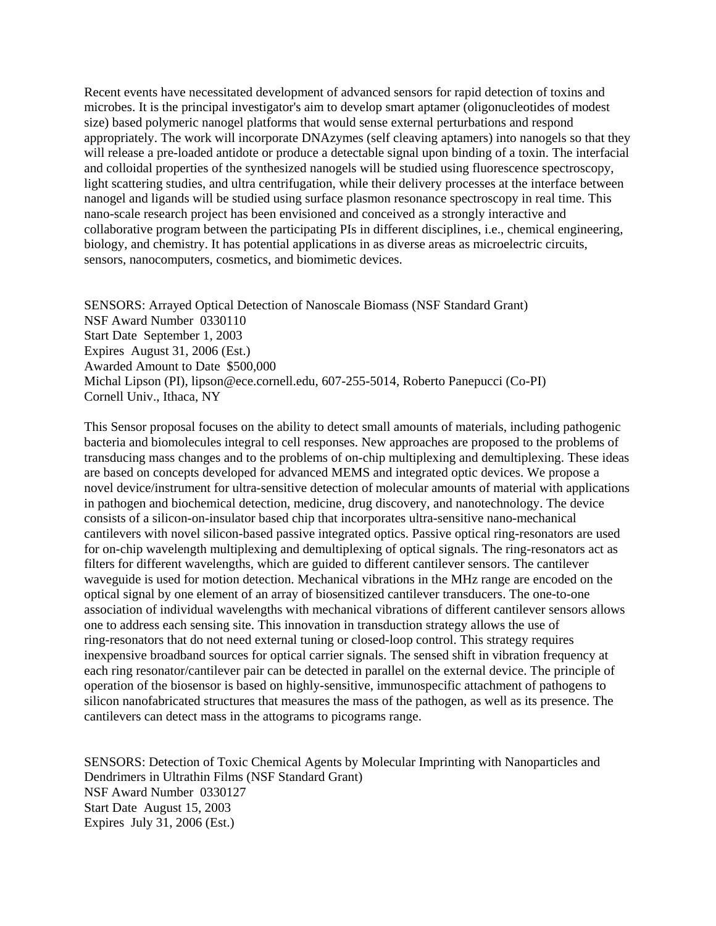Recent events have necessitated development of advanced sensors for rapid detection of toxins and microbes. It is the principal investigator's aim to develop smart aptamer (oligonucleotides of modest size) based polymeric nanogel platforms that would sense external perturbations and respond appropriately. The work will incorporate DNAzymes (self cleaving aptamers) into nanogels so that they will release a pre-loaded antidote or produce a detectable signal upon binding of a toxin. The interfacial and colloidal properties of the synthesized nanogels will be studied using fluorescence spectroscopy, light scattering studies, and ultra centrifugation, while their delivery processes at the interface between nanogel and ligands will be studied using surface plasmon resonance spectroscopy in real time. This nano-scale research project has been envisioned and conceived as a strongly interactive and collaborative program between the participating PIs in different disciplines, i.e., chemical engineering, biology, and chemistry. It has potential applications in as diverse areas as microelectric circuits, sensors, nanocomputers, cosmetics, and biomimetic devices.

SENSORS: Arrayed Optical Detection of Nanoscale Biomass (NSF Standard Grant) NSF Award Number 0330110 Start Date September 1, 2003 Expires August 31, 2006 (Est.) Awarded Amount to Date \$500,000 Michal Lipson (PI), lipson@ece.cornell.edu, 607-255-5014, Roberto Panepucci (Co-PI) Cornell Univ., Ithaca, NY

This Sensor proposal focuses on the ability to detect small amounts of materials, including pathogenic bacteria and biomolecules integral to cell responses. New approaches are proposed to the problems of transducing mass changes and to the problems of on-chip multiplexing and demultiplexing. These ideas are based on concepts developed for advanced MEMS and integrated optic devices. We propose a novel device/instrument for ultra-sensitive detection of molecular amounts of material with applications in pathogen and biochemical detection, medicine, drug discovery, and nanotechnology. The device consists of a silicon-on-insulator based chip that incorporates ultra-sensitive nano-mechanical cantilevers with novel silicon-based passive integrated optics. Passive optical ring-resonators are used for on-chip wavelength multiplexing and demultiplexing of optical signals. The ring-resonators act as filters for different wavelengths, which are guided to different cantilever sensors. The cantilever waveguide is used for motion detection. Mechanical vibrations in the MHz range are encoded on the optical signal by one element of an array of biosensitized cantilever transducers. The one-to-one association of individual wavelengths with mechanical vibrations of different cantilever sensors allows one to address each sensing site. This innovation in transduction strategy allows the use of ring-resonators that do not need external tuning or closed-loop control. This strategy requires inexpensive broadband sources for optical carrier signals. The sensed shift in vibration frequency at each ring resonator/cantilever pair can be detected in parallel on the external device. The principle of operation of the biosensor is based on highly-sensitive, immunospecific attachment of pathogens to silicon nanofabricated structures that measures the mass of the pathogen, as well as its presence. The cantilevers can detect mass in the attograms to picograms range.

SENSORS: Detection of Toxic Chemical Agents by Molecular Imprinting with Nanoparticles and Dendrimers in Ultrathin Films (NSF Standard Grant) NSF Award Number 0330127 Start Date August 15, 2003 Expires July 31, 2006 (Est.)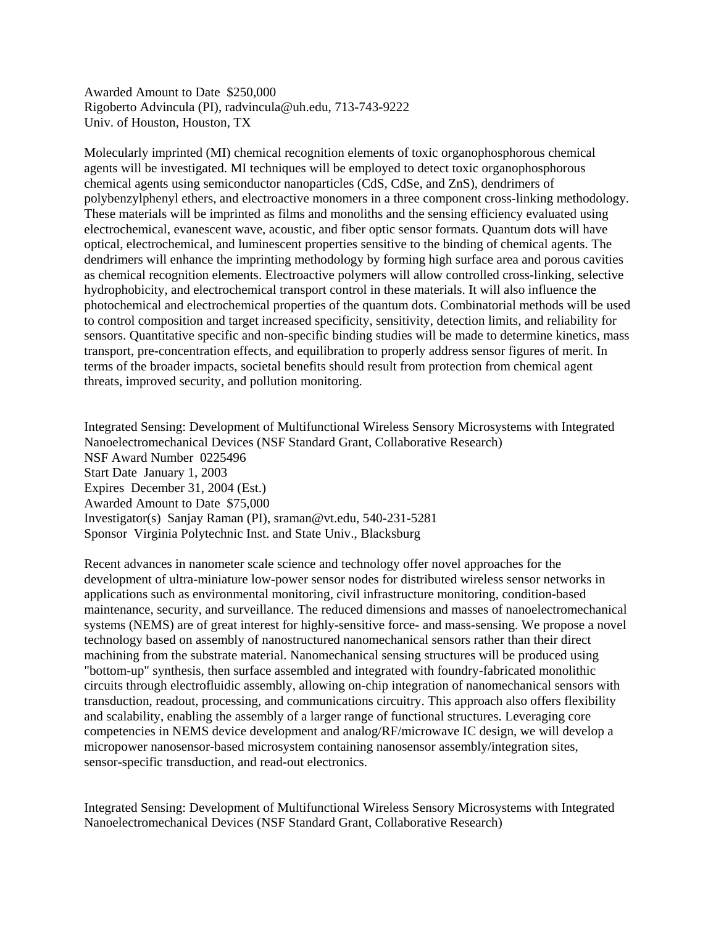Awarded Amount to Date \$250,000 Rigoberto Advincula (PI), radvincula@uh.edu, 713-743-9222 Univ. of Houston, Houston, TX

Molecularly imprinted (MI) chemical recognition elements of toxic organophosphorous chemical agents will be investigated. MI techniques will be employed to detect toxic organophosphorous chemical agents using semiconductor nanoparticles (CdS, CdSe, and ZnS), dendrimers of polybenzylphenyl ethers, and electroactive monomers in a three component cross-linking methodology. These materials will be imprinted as films and monoliths and the sensing efficiency evaluated using electrochemical, evanescent wave, acoustic, and fiber optic sensor formats. Quantum dots will have optical, electrochemical, and luminescent properties sensitive to the binding of chemical agents. The dendrimers will enhance the imprinting methodology by forming high surface area and porous cavities as chemical recognition elements. Electroactive polymers will allow controlled cross-linking, selective hydrophobicity, and electrochemical transport control in these materials. It will also influence the photochemical and electrochemical properties of the quantum dots. Combinatorial methods will be used to control composition and target increased specificity, sensitivity, detection limits, and reliability for sensors. Quantitative specific and non-specific binding studies will be made to determine kinetics, mass transport, pre-concentration effects, and equilibration to properly address sensor figures of merit. In terms of the broader impacts, societal benefits should result from protection from chemical agent threats, improved security, and pollution monitoring.

Integrated Sensing: Development of Multifunctional Wireless Sensory Microsystems with Integrated Nanoelectromechanical Devices (NSF Standard Grant, Collaborative Research) NSF Award Number 0225496 Start Date January 1, 2003 Expires December 31, 2004 (Est.) Awarded Amount to Date \$75,000 Investigator(s) Sanjay Raman (PI), sraman@vt.edu, 540-231-5281 Sponsor Virginia Polytechnic Inst. and State Univ., Blacksburg

Recent advances in nanometer scale science and technology offer novel approaches for the development of ultra-miniature low-power sensor nodes for distributed wireless sensor networks in applications such as environmental monitoring, civil infrastructure monitoring, condition-based maintenance, security, and surveillance. The reduced dimensions and masses of nanoelectromechanical systems (NEMS) are of great interest for highly-sensitive force- and mass-sensing. We propose a novel technology based on assembly of nanostructured nanomechanical sensors rather than their direct machining from the substrate material. Nanomechanical sensing structures will be produced using "bottom-up" synthesis, then surface assembled and integrated with foundry-fabricated monolithic circuits through electrofluidic assembly, allowing on-chip integration of nanomechanical sensors with transduction, readout, processing, and communications circuitry. This approach also offers flexibility and scalability, enabling the assembly of a larger range of functional structures. Leveraging core competencies in NEMS device development and analog/RF/microwave IC design, we will develop a micropower nanosensor-based microsystem containing nanosensor assembly/integration sites, sensor-specific transduction, and read-out electronics.

Integrated Sensing: Development of Multifunctional Wireless Sensory Microsystems with Integrated Nanoelectromechanical Devices (NSF Standard Grant, Collaborative Research)